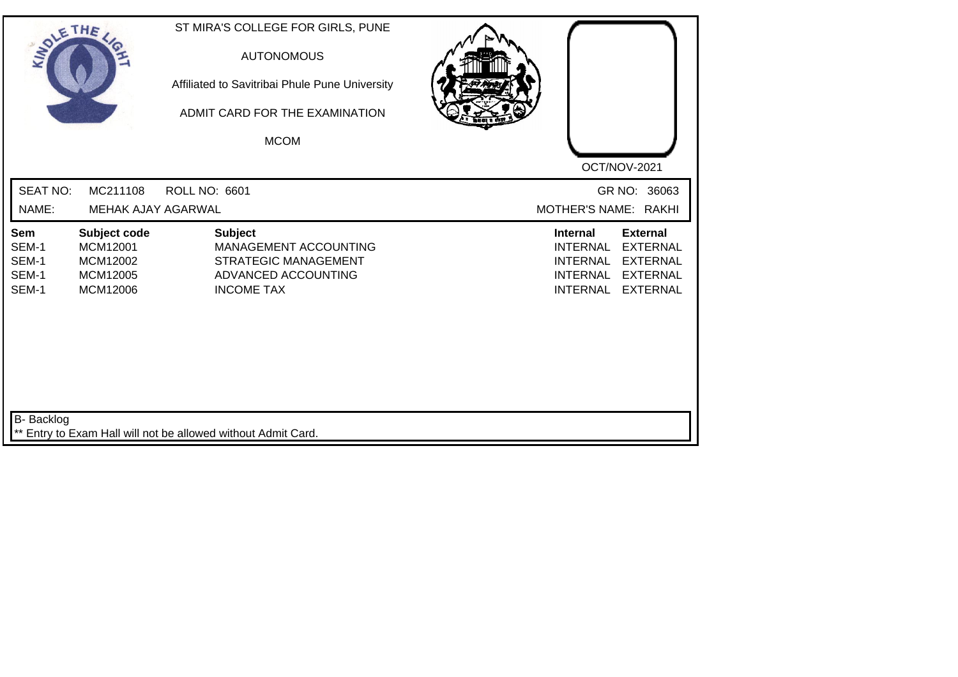| SOLETHE ,                               |                                                              | ST MIRA'S COLLEGE FOR GIRLS, PUNE<br><b>AUTONOMOUS</b><br>Affiliated to Savitribai Phule Pune University<br>ADMIT CARD FOR THE EXAMINATION<br><b>MCOM</b> |                                                                                                                                                                                            |
|-----------------------------------------|--------------------------------------------------------------|-----------------------------------------------------------------------------------------------------------------------------------------------------------|--------------------------------------------------------------------------------------------------------------------------------------------------------------------------------------------|
|                                         |                                                              |                                                                                                                                                           | OCT/NOV-2021                                                                                                                                                                               |
| <b>SEAT NO:</b><br>NAME:                | MC211108<br>MEHAK AJAY AGARWAL                               | <b>ROLL NO: 6601</b>                                                                                                                                      | GR NO: 36063<br>MOTHER'S NAME: RAKHI                                                                                                                                                       |
| Sem<br>SEM-1<br>SEM-1<br>SEM-1<br>SEM-1 | Subject code<br>MCM12001<br>MCM12002<br>MCM12005<br>MCM12006 | <b>Subject</b><br>MANAGEMENT ACCOUNTING<br><b>STRATEGIC MANAGEMENT</b><br>ADVANCED ACCOUNTING<br><b>INCOME TAX</b>                                        | <b>External</b><br><b>Internal</b><br><b>INTERNAL</b><br><b>EXTERNAL</b><br><b>INTERNAL</b><br><b>EXTERNAL</b><br><b>INTERNAL</b><br><b>EXTERNAL</b><br><b>INTERNAL</b><br><b>EXTERNAL</b> |
| <b>B-</b> Backlog                       |                                                              | ** Entry to Exam Hall will not be allowed without Admit Card.                                                                                             |                                                                                                                                                                                            |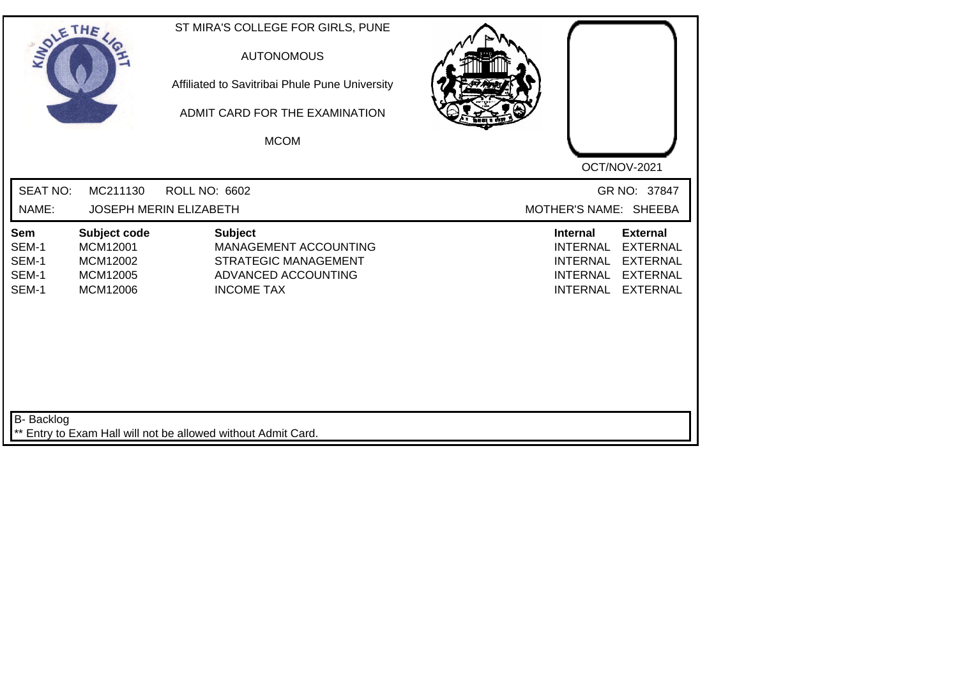| SOLETHE .                               |                                                              | ST MIRA'S COLLEGE FOR GIRLS, PUNE<br><b>AUTONOMOUS</b><br>Affiliated to Savitribai Phule Pune University<br>ADMIT CARD FOR THE EXAMINATION<br><b>MCOM</b> | OCT/NOV-2021                                                                                                                            |
|-----------------------------------------|--------------------------------------------------------------|-----------------------------------------------------------------------------------------------------------------------------------------------------------|-----------------------------------------------------------------------------------------------------------------------------------------|
| <b>SEAT NO:</b><br>NAME:                | MC211130                                                     | <b>ROLL NO: 6602</b><br><b>JOSEPH MERIN ELIZABETH</b>                                                                                                     | GR NO: 37847<br>MOTHER'S NAME: SHEEBA                                                                                                   |
| Sem<br>SEM-1<br>SEM-1<br>SEM-1<br>SEM-1 | Subject code<br>MCM12001<br>MCM12002<br>MCM12005<br>MCM12006 | <b>Subject</b><br>MANAGEMENT ACCOUNTING<br><b>STRATEGIC MANAGEMENT</b><br>ADVANCED ACCOUNTING<br><b>INCOME TAX</b>                                        | <b>External</b><br><b>Internal</b><br><b>INTERNAL</b><br><b>EXTERNAL</b><br>INTERNAL EXTERNAL<br>INTERNAL EXTERNAL<br>INTERNAL EXTERNAL |
| <b>B-</b> Backlog                       |                                                              | ** Entry to Exam Hall will not be allowed without Admit Card.                                                                                             |                                                                                                                                         |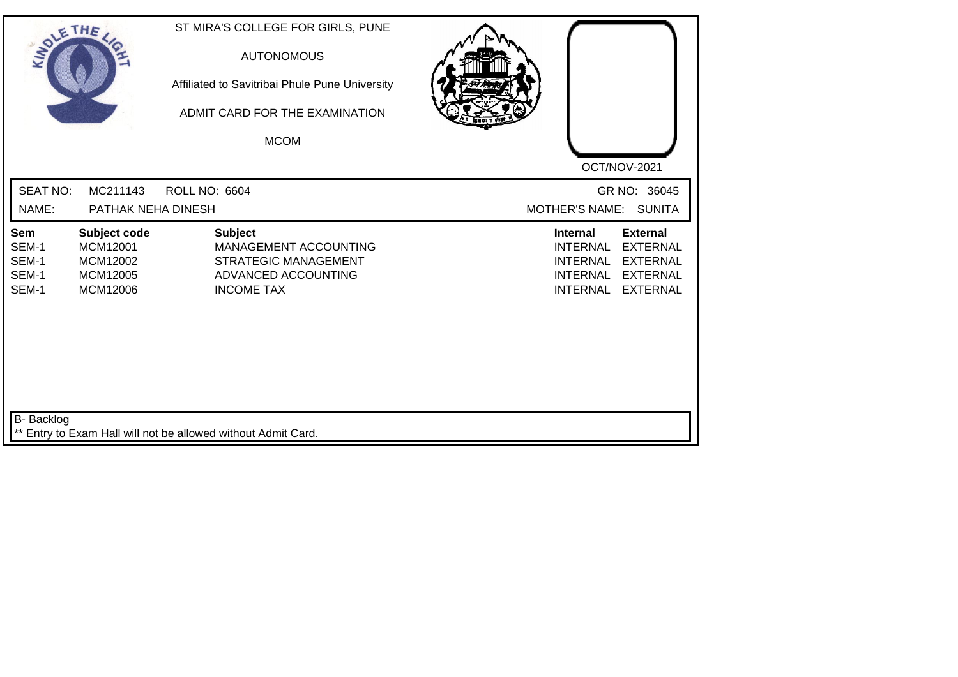| SOLETHE,                                |                                                              | ST MIRA'S COLLEGE FOR GIRLS, PUNE<br><b>AUTONOMOUS</b><br>Affiliated to Savitribai Phule Pune University<br>ADMIT CARD FOR THE EXAMINATION<br><b>MCOM</b> | OCT/NOV-2021                                                                                                                                                                               |  |
|-----------------------------------------|--------------------------------------------------------------|-----------------------------------------------------------------------------------------------------------------------------------------------------------|--------------------------------------------------------------------------------------------------------------------------------------------------------------------------------------------|--|
| <b>SEAT NO:</b><br>NAME:                | MC211143<br>PATHAK NEHA DINESH                               | <b>ROLL NO: 6604</b>                                                                                                                                      | GR NO: 36045<br>MOTHER'S NAME: SUNITA                                                                                                                                                      |  |
| Sem<br>SEM-1<br>SEM-1<br>SEM-1<br>SEM-1 | Subject code<br>MCM12001<br>MCM12002<br>MCM12005<br>MCM12006 | <b>Subject</b><br>MANAGEMENT ACCOUNTING<br><b>STRATEGIC MANAGEMENT</b><br>ADVANCED ACCOUNTING<br><b>INCOME TAX</b>                                        | <b>Internal</b><br><b>External</b><br><b>INTERNAL</b><br><b>EXTERNAL</b><br><b>INTERNAL</b><br><b>EXTERNAL</b><br><b>INTERNAL</b><br><b>EXTERNAL</b><br><b>INTERNAL</b><br><b>EXTERNAL</b> |  |
| <b>B-</b> Backlog                       |                                                              | ** Entry to Exam Hall will not be allowed without Admit Card.                                                                                             |                                                                                                                                                                                            |  |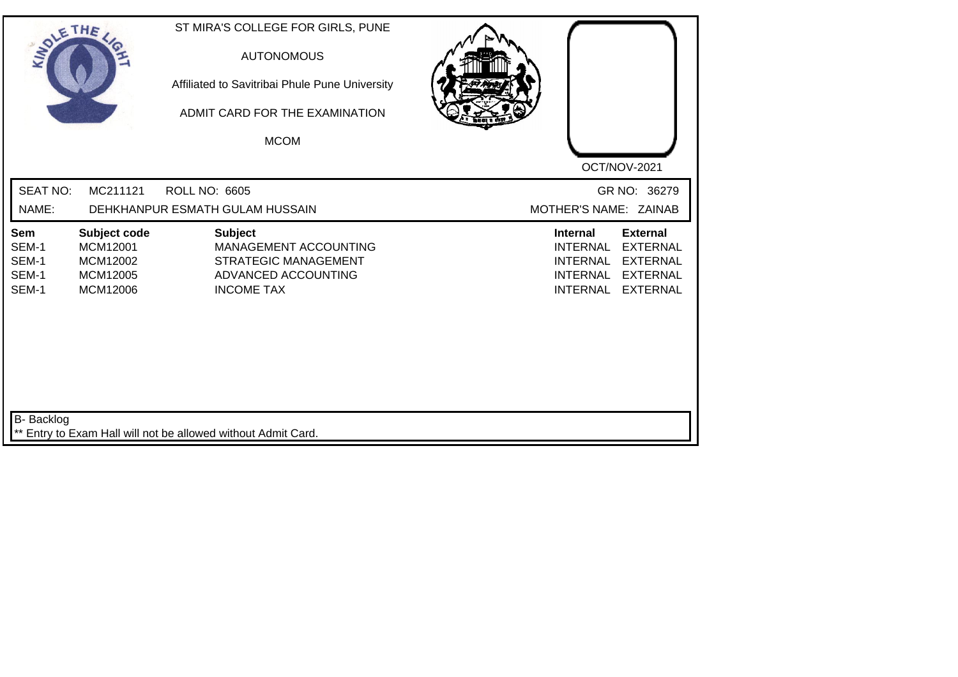| SOLETHE,                                |                                                              | ST MIRA'S COLLEGE FOR GIRLS, PUNE<br><b>AUTONOMOUS</b><br>Affiliated to Savitribai Phule Pune University<br>ADMIT CARD FOR THE EXAMINATION<br><b>MCOM</b> | OCT/NOV-2021                                                                                                                                             |
|-----------------------------------------|--------------------------------------------------------------|-----------------------------------------------------------------------------------------------------------------------------------------------------------|----------------------------------------------------------------------------------------------------------------------------------------------------------|
| <b>SEAT NO:</b><br>NAME:                | MC211121                                                     | <b>ROLL NO: 6605</b><br>DEHKHANPUR ESMATH GULAM HUSSAIN                                                                                                   | GR NO: 36279<br>MOTHER'S NAME: ZAINAB                                                                                                                    |
| Sem<br>SEM-1<br>SEM-1<br>SEM-1<br>SEM-1 | Subject code<br>MCM12001<br>MCM12002<br>MCM12005<br>MCM12006 | <b>Subject</b><br>MANAGEMENT ACCOUNTING<br><b>STRATEGIC MANAGEMENT</b><br>ADVANCED ACCOUNTING<br><b>INCOME TAX</b>                                        | <b>External</b><br><b>Internal</b><br><b>INTERNAL</b><br><b>EXTERNAL</b><br>INTERNAL EXTERNAL<br>INTERNAL EXTERNAL<br><b>INTERNAL</b><br><b>EXTERNAL</b> |
| B- Backlog                              |                                                              | ** Entry to Exam Hall will not be allowed without Admit Card.                                                                                             |                                                                                                                                                          |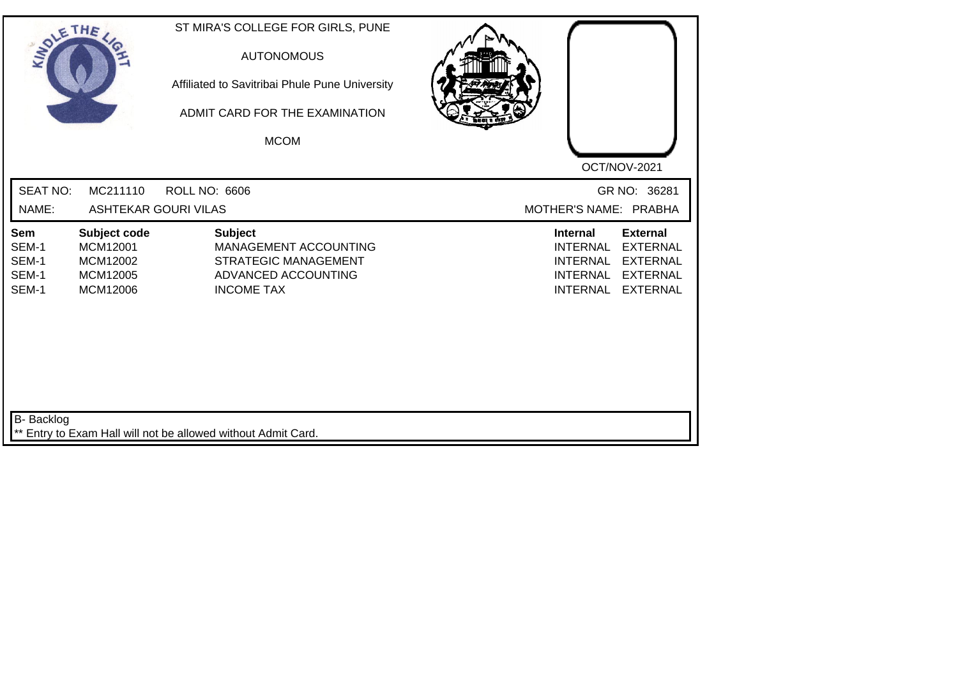| SOLETHE,                                |                                                              | ST MIRA'S COLLEGE FOR GIRLS, PUNE<br><b>AUTONOMOUS</b><br>Affiliated to Savitribai Phule Pune University<br>ADMIT CARD FOR THE EXAMINATION<br><b>MCOM</b> |                                                                                                                                                                                            |  |
|-----------------------------------------|--------------------------------------------------------------|-----------------------------------------------------------------------------------------------------------------------------------------------------------|--------------------------------------------------------------------------------------------------------------------------------------------------------------------------------------------|--|
| <b>SEAT NO:</b><br>NAME:                | MC211110<br><b>ASHTEKAR GOURI VILAS</b>                      | <b>ROLL NO: 6606</b>                                                                                                                                      | OCT/NOV-2021<br>GR NO: 36281<br>MOTHER'S NAME: PRABHA                                                                                                                                      |  |
| Sem<br>SEM-1<br>SEM-1<br>SEM-1<br>SEM-1 | Subject code<br>MCM12001<br>MCM12002<br>MCM12005<br>MCM12006 | <b>Subject</b><br>MANAGEMENT ACCOUNTING<br>STRATEGIC MANAGEMENT<br>ADVANCED ACCOUNTING<br><b>INCOME TAX</b>                                               | <b>Internal</b><br><b>External</b><br><b>INTERNAL</b><br><b>EXTERNAL</b><br><b>INTERNAL</b><br><b>EXTERNAL</b><br><b>INTERNAL</b><br><b>EXTERNAL</b><br><b>INTERNAL</b><br><b>EXTERNAL</b> |  |
| <b>B-</b> Backlog                       |                                                              | ** Entry to Exam Hall will not be allowed without Admit Card.                                                                                             |                                                                                                                                                                                            |  |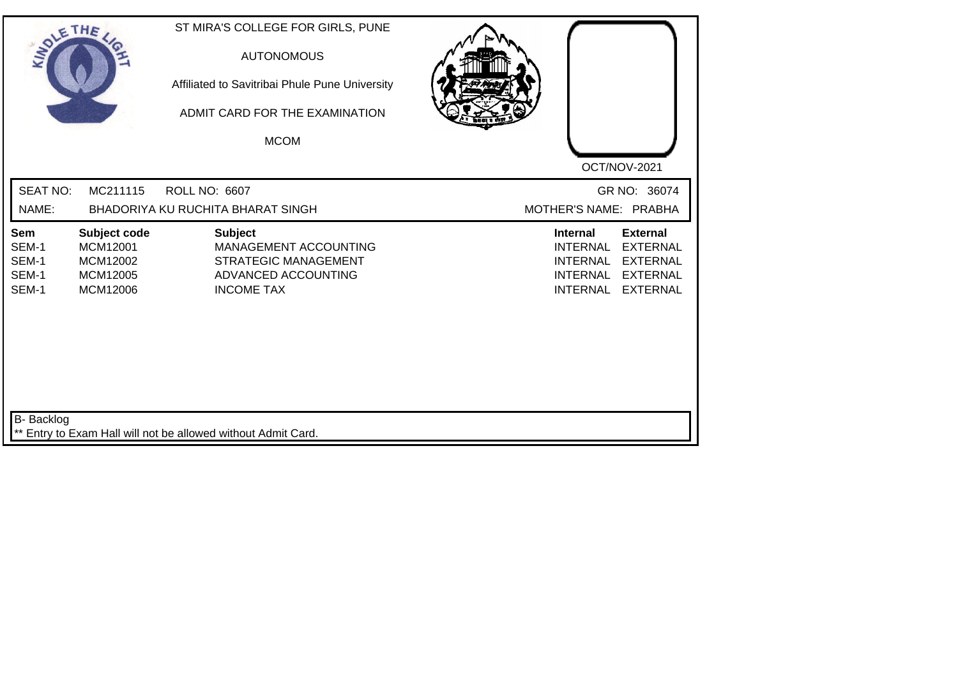| SOLETHE .                               |                                                              | ST MIRA'S COLLEGE FOR GIRLS, PUNE<br><b>AUTONOMOUS</b><br>Affiliated to Savitribai Phule Pune University<br>ADMIT CARD FOR THE EXAMINATION<br><b>MCOM</b> | OCT/NOV-2021                                                                                                                                             |
|-----------------------------------------|--------------------------------------------------------------|-----------------------------------------------------------------------------------------------------------------------------------------------------------|----------------------------------------------------------------------------------------------------------------------------------------------------------|
| <b>SEAT NO:</b><br>NAME:                | MC211115                                                     | <b>ROLL NO: 6607</b><br>BHADORIYA KU RUCHITA BHARAT SINGH                                                                                                 | GR NO: 36074<br>MOTHER'S NAME: PRABHA                                                                                                                    |
| Sem<br>SEM-1<br>SEM-1<br>SEM-1<br>SEM-1 | Subject code<br>MCM12001<br>MCM12002<br>MCM12005<br>MCM12006 | <b>Subject</b><br>MANAGEMENT ACCOUNTING<br><b>STRATEGIC MANAGEMENT</b><br>ADVANCED ACCOUNTING<br><b>INCOME TAX</b>                                        | <b>External</b><br><b>Internal</b><br><b>INTERNAL</b><br><b>EXTERNAL</b><br>INTERNAL EXTERNAL<br>INTERNAL EXTERNAL<br><b>INTERNAL</b><br><b>EXTERNAL</b> |
| B- Backlog                              |                                                              | ** Entry to Exam Hall will not be allowed without Admit Card.                                                                                             |                                                                                                                                                          |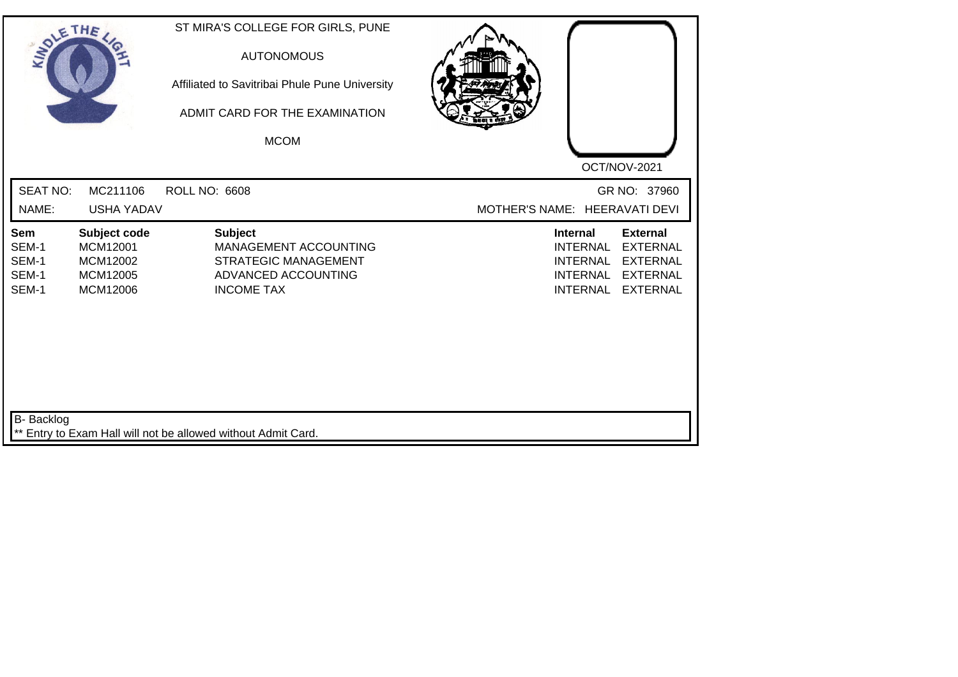| SOLETHE,                                |                                                              | ST MIRA'S COLLEGE FOR GIRLS, PUNE<br><b>AUTONOMOUS</b><br>Affiliated to Savitribai Phule Pune University<br>ADMIT CARD FOR THE EXAMINATION<br><b>MCOM</b> | OCT/NOV-2021                                                                                                                                                                               |
|-----------------------------------------|--------------------------------------------------------------|-----------------------------------------------------------------------------------------------------------------------------------------------------------|--------------------------------------------------------------------------------------------------------------------------------------------------------------------------------------------|
| <b>SEAT NO:</b><br>NAME:                | MC211106<br><b>USHA YADAV</b>                                | <b>ROLL NO: 6608</b>                                                                                                                                      | GR NO: 37960<br>MOTHER'S NAME: HEERAVATI DEVI                                                                                                                                              |
| Sem<br>SEM-1<br>SEM-1<br>SEM-1<br>SEM-1 | Subject code<br>MCM12001<br>MCM12002<br>MCM12005<br>MCM12006 | <b>Subject</b><br>MANAGEMENT ACCOUNTING<br><b>STRATEGIC MANAGEMENT</b><br>ADVANCED ACCOUNTING<br><b>INCOME TAX</b>                                        | <b>External</b><br><b>Internal</b><br><b>INTERNAL</b><br><b>EXTERNAL</b><br><b>INTERNAL</b><br><b>EXTERNAL</b><br><b>INTERNAL</b><br><b>EXTERNAL</b><br><b>INTERNAL</b><br><b>EXTERNAL</b> |
| <b>B-</b> Backlog                       |                                                              | ** Entry to Exam Hall will not be allowed without Admit Card.                                                                                             |                                                                                                                                                                                            |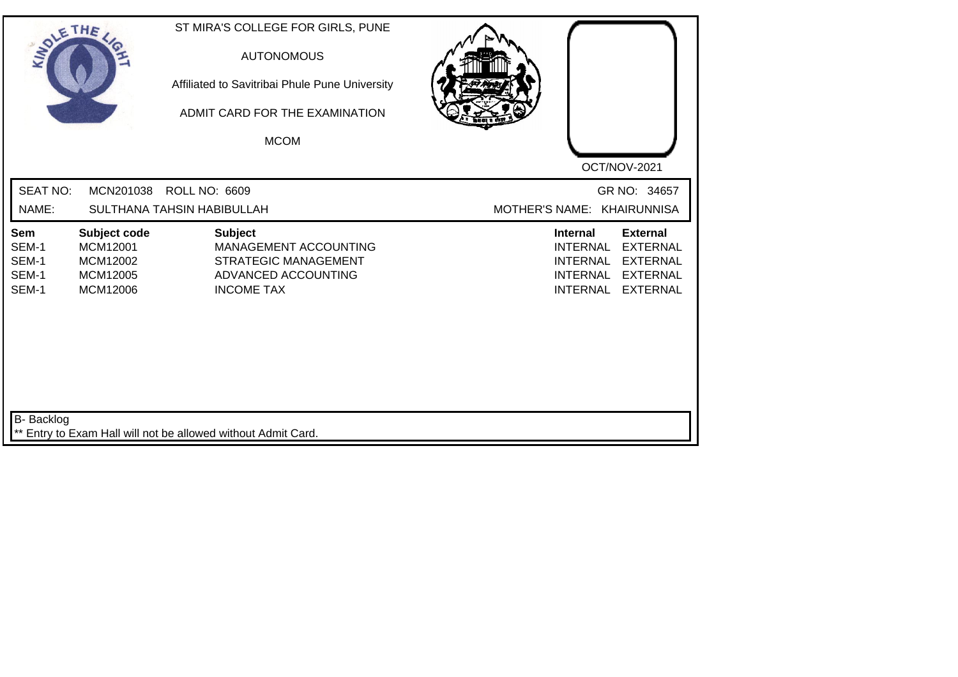| SOLETHE .                               |                                                              | ST MIRA'S COLLEGE FOR GIRLS, PUNE<br><b>AUTONOMOUS</b><br>Affiliated to Savitribai Phule Pune University<br>ADMIT CARD FOR THE EXAMINATION<br><b>MCOM</b> | OCT/NOV-2021                                                                                                                                             |
|-----------------------------------------|--------------------------------------------------------------|-----------------------------------------------------------------------------------------------------------------------------------------------------------|----------------------------------------------------------------------------------------------------------------------------------------------------------|
| <b>SEAT NO:</b><br>NAME:                | MCN201038                                                    | <b>ROLL NO: 6609</b><br>SULTHANA TAHSIN HABIBULLAH                                                                                                        | GR NO: 34657<br>MOTHER'S NAME: KHAIRUNNISA                                                                                                               |
| Sem<br>SEM-1<br>SEM-1<br>SEM-1<br>SEM-1 | Subject code<br>MCM12001<br>MCM12002<br>MCM12005<br>MCM12006 | <b>Subject</b><br>MANAGEMENT ACCOUNTING<br><b>STRATEGIC MANAGEMENT</b><br>ADVANCED ACCOUNTING<br><b>INCOME TAX</b>                                        | <b>External</b><br><b>Internal</b><br><b>INTERNAL</b><br><b>EXTERNAL</b><br>INTERNAL EXTERNAL<br>INTERNAL EXTERNAL<br><b>INTERNAL</b><br><b>EXTERNAL</b> |
| <b>B-</b> Backlog                       |                                                              | ** Entry to Exam Hall will not be allowed without Admit Card.                                                                                             |                                                                                                                                                          |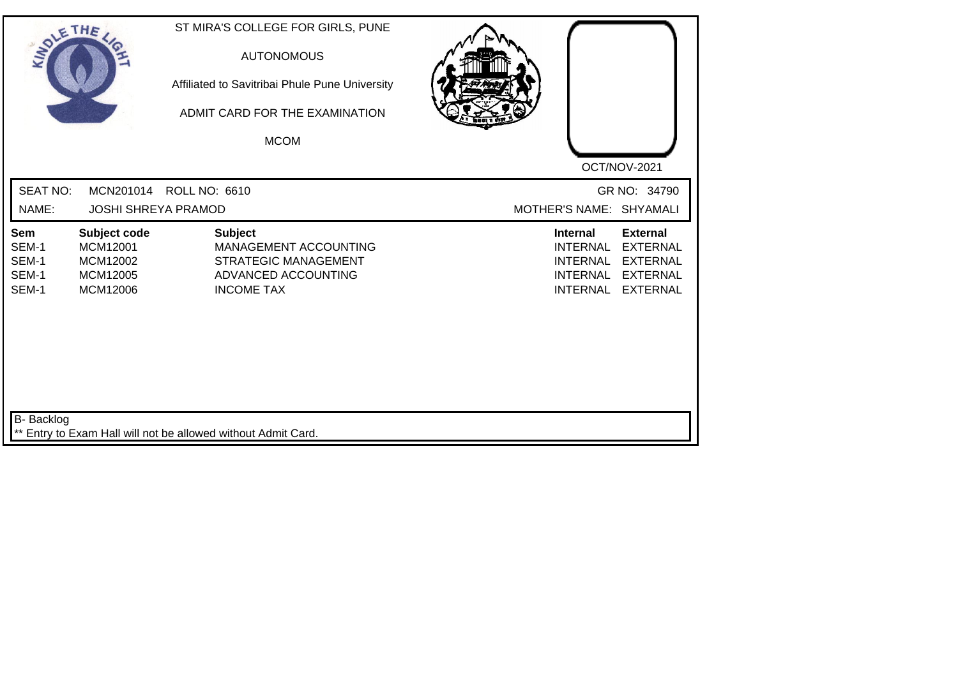| SOLETHE ,                               |                                                              | ST MIRA'S COLLEGE FOR GIRLS, PUNE<br><b>AUTONOMOUS</b><br>Affiliated to Savitribai Phule Pune University<br>ADMIT CARD FOR THE EXAMINATION<br><b>MCOM</b> |                                                                          |                                                                                               |
|-----------------------------------------|--------------------------------------------------------------|-----------------------------------------------------------------------------------------------------------------------------------------------------------|--------------------------------------------------------------------------|-----------------------------------------------------------------------------------------------|
| <b>SEAT NO:</b><br>NAME:                | <b>JOSHI SHREYA PRAMOD</b>                                   | MCN201014 ROLL NO: 6610                                                                                                                                   | MOTHER'S NAME: SHYAMALI                                                  | OCT/NOV-2021<br>GR NO: 34790                                                                  |
| Sem<br>SEM-1<br>SEM-1<br>SEM-1<br>SEM-1 | Subject code<br>MCM12001<br>MCM12002<br>MCM12005<br>MCM12006 | <b>Subject</b><br>MANAGEMENT ACCOUNTING<br><b>STRATEGIC MANAGEMENT</b><br>ADVANCED ACCOUNTING<br><b>INCOME TAX</b>                                        | <b>Internal</b><br><b>INTERNAL</b><br><b>INTERNAL</b><br><b>INTERNAL</b> | <b>External</b><br><b>EXTERNAL</b><br><b>EXTERNAL</b><br>INTERNAL EXTERNAL<br><b>EXTERNAL</b> |
| <b>B-</b> Backlog                       |                                                              | ** Entry to Exam Hall will not be allowed without Admit Card.                                                                                             |                                                                          |                                                                                               |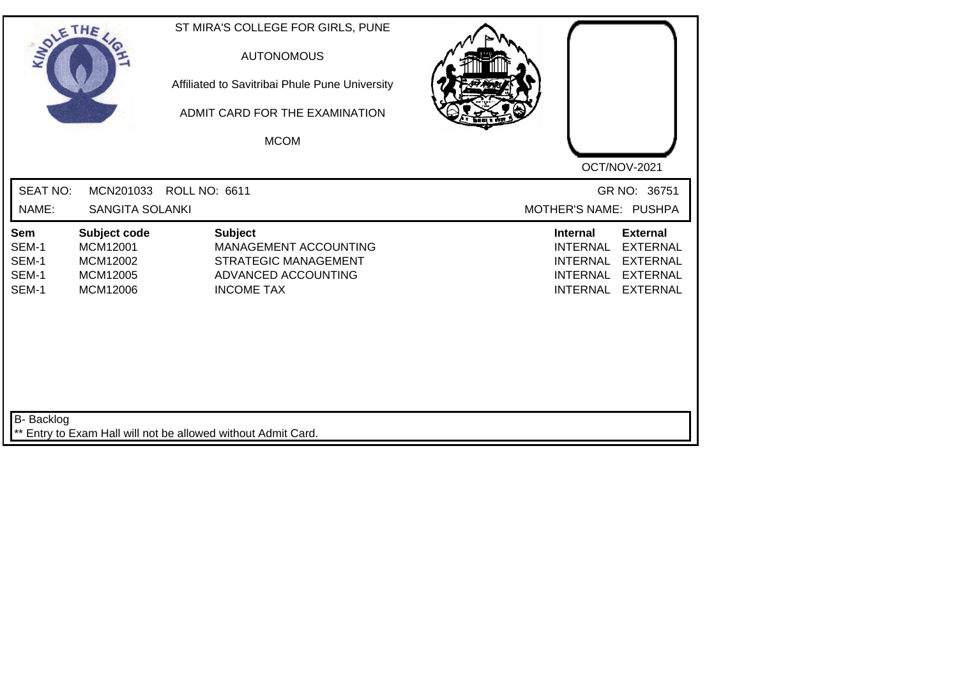| SOLE THE                                |                                                              | ST MIRA'S COLLEGE FOR GIRLS, PUNE<br><b>AUTONOMOUS</b><br>Affiliated to Savitribai Phule Pune University<br>ADMIT CARD FOR THE EXAMINATION |                                                                                                                                                                                            |
|-----------------------------------------|--------------------------------------------------------------|--------------------------------------------------------------------------------------------------------------------------------------------|--------------------------------------------------------------------------------------------------------------------------------------------------------------------------------------------|
|                                         |                                                              | <b>MCOM</b>                                                                                                                                |                                                                                                                                                                                            |
|                                         |                                                              |                                                                                                                                            | OCT/NOV-2021                                                                                                                                                                               |
| <b>SEAT NO:</b>                         | MCN201033                                                    | <b>ROLL NO: 6611</b>                                                                                                                       | GR NO: 36751                                                                                                                                                                               |
| NAME:                                   | <b>SANGITA SOLANKI</b>                                       |                                                                                                                                            | MOTHER'S NAME: PUSHPA                                                                                                                                                                      |
| Sem<br>SEM-1<br>SEM-1<br>SEM-1<br>SEM-1 | Subject code<br>MCM12001<br>MCM12002<br>MCM12005<br>MCM12006 | <b>Subject</b><br>MANAGEMENT ACCOUNTING<br><b>STRATEGIC MANAGEMENT</b><br>ADVANCED ACCOUNTING<br><b>INCOME TAX</b>                         | <b>External</b><br><b>Internal</b><br><b>EXTERNAL</b><br><b>INTERNAL</b><br><b>EXTERNAL</b><br><b>INTERNAL</b><br><b>INTERNAL</b><br><b>EXTERNAL</b><br><b>INTERNAL</b><br><b>EXTERNAL</b> |
| <b>B-</b> Backlog                       |                                                              | ** Entry to Exam Hall will not be allowed without Admit Card.                                                                              |                                                                                                                                                                                            |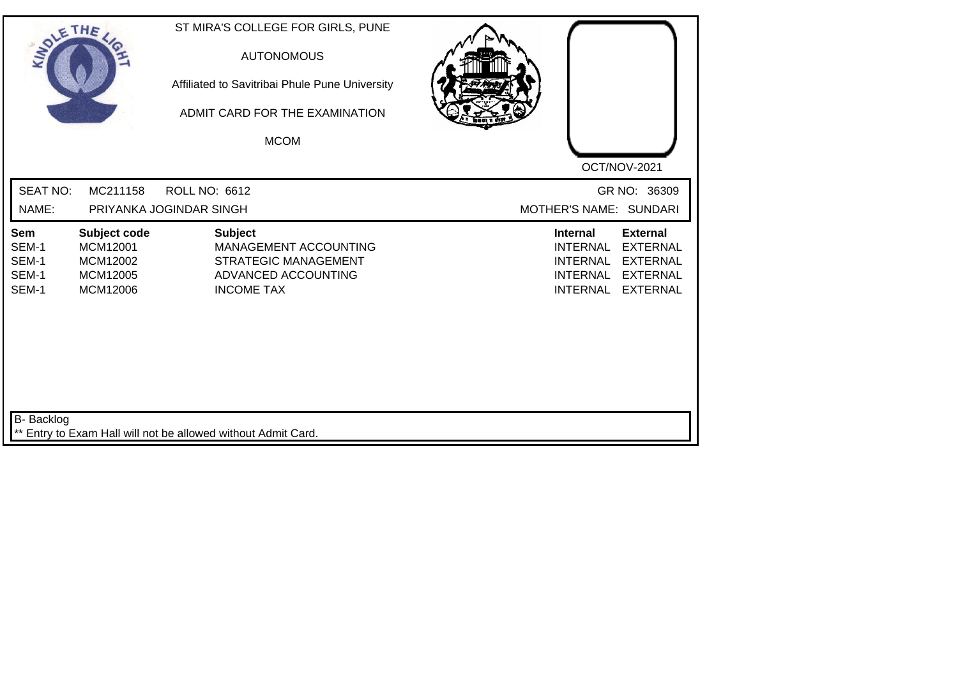| SOLETHE,                                |                                                              | ST MIRA'S COLLEGE FOR GIRLS, PUNE<br><b>AUTONOMOUS</b><br>Affiliated to Savitribai Phule Pune University<br>ADMIT CARD FOR THE EXAMINATION<br><b>MCOM</b> |                                                                                                                                                                           |
|-----------------------------------------|--------------------------------------------------------------|-----------------------------------------------------------------------------------------------------------------------------------------------------------|---------------------------------------------------------------------------------------------------------------------------------------------------------------------------|
| <b>SEAT NO:</b><br>NAME:                | MC211158                                                     | <b>ROLL NO: 6612</b><br>PRIYANKA JOGINDAR SINGH                                                                                                           | OCT/NOV-2021<br>GR NO: 36309<br>MOTHER'S NAME: SUNDARI                                                                                                                    |
| Sem<br>SEM-1<br>SEM-1<br>SEM-1<br>SEM-1 | Subject code<br>MCM12001<br>MCM12002<br>MCM12005<br>MCM12006 | <b>Subject</b><br>MANAGEMENT ACCOUNTING<br><b>STRATEGIC MANAGEMENT</b><br>ADVANCED ACCOUNTING<br><b>INCOME TAX</b>                                        | <b>Internal</b><br><b>External</b><br><b>INTERNAL</b><br><b>EXTERNAL</b><br><b>INTERNAL</b><br><b>EXTERNAL</b><br>INTERNAL EXTERNAL<br><b>INTERNAL</b><br><b>EXTERNAL</b> |
| <b>B-</b> Backlog                       |                                                              | ** Entry to Exam Hall will not be allowed without Admit Card.                                                                                             |                                                                                                                                                                           |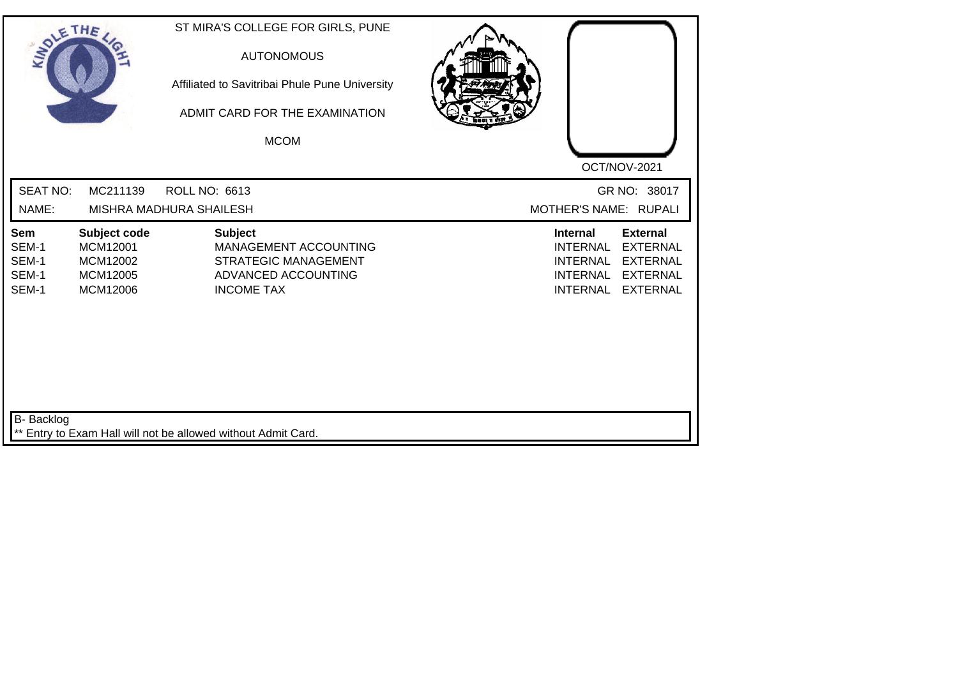| SOLETHE,                                |                                                              | ST MIRA'S COLLEGE FOR GIRLS, PUNE<br><b>AUTONOMOUS</b><br>Affiliated to Savitribai Phule Pune University<br>ADMIT CARD FOR THE EXAMINATION<br><b>MCOM</b> |                                                                                                                                                          |
|-----------------------------------------|--------------------------------------------------------------|-----------------------------------------------------------------------------------------------------------------------------------------------------------|----------------------------------------------------------------------------------------------------------------------------------------------------------|
| <b>SEAT NO:</b><br>NAME:                | MC211139                                                     | <b>ROLL NO: 6613</b><br>MISHRA MADHURA SHAILESH                                                                                                           | OCT/NOV-2021<br>GR NO: 38017<br>MOTHER'S NAME: RUPALI                                                                                                    |
| Sem<br>SEM-1<br>SEM-1<br>SEM-1<br>SEM-1 | Subject code<br>MCM12001<br>MCM12002<br>MCM12005<br>MCM12006 | <b>Subject</b><br>MANAGEMENT ACCOUNTING<br><b>STRATEGIC MANAGEMENT</b><br>ADVANCED ACCOUNTING<br><b>INCOME TAX</b>                                        | <b>External</b><br><b>Internal</b><br><b>INTERNAL</b><br><b>EXTERNAL</b><br>INTERNAL EXTERNAL<br>INTERNAL EXTERNAL<br><b>INTERNAL</b><br><b>EXTERNAL</b> |
| <b>B-</b> Backlog                       |                                                              | ** Entry to Exam Hall will not be allowed without Admit Card.                                                                                             |                                                                                                                                                          |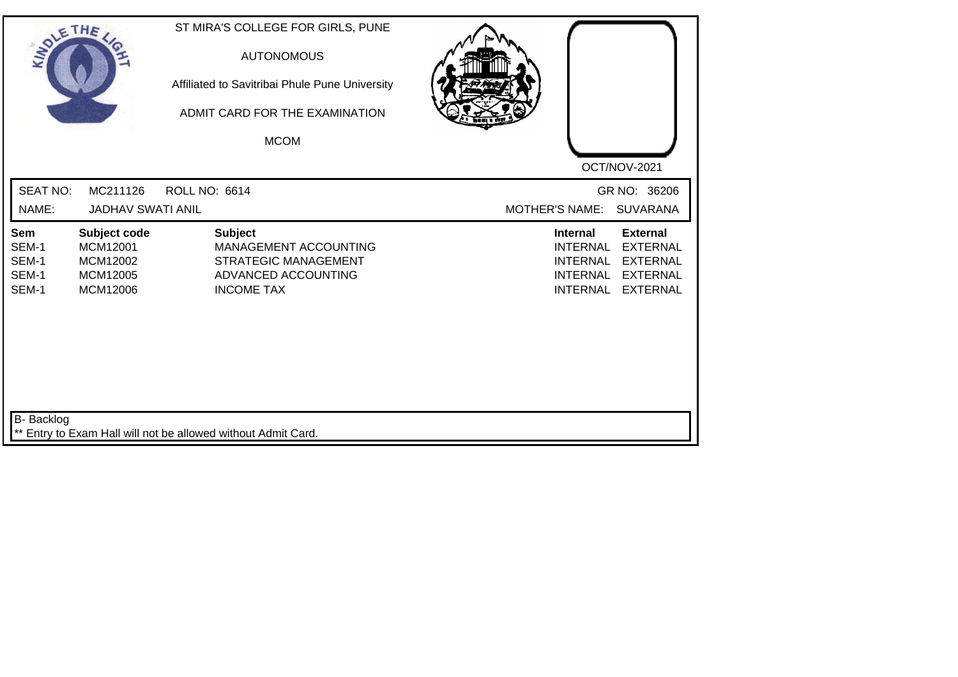| SOLETHE ,                               |                                                              | ST MIRA'S COLLEGE FOR GIRLS, PUNE<br><b>AUTONOMOUS</b><br>Affiliated to Savitribai Phule Pune University<br>ADMIT CARD FOR THE EXAMINATION |                                                                                                                                                                                     |
|-----------------------------------------|--------------------------------------------------------------|--------------------------------------------------------------------------------------------------------------------------------------------|-------------------------------------------------------------------------------------------------------------------------------------------------------------------------------------|
|                                         |                                                              | <b>MCOM</b>                                                                                                                                |                                                                                                                                                                                     |
|                                         |                                                              |                                                                                                                                            | OCT/NOV-2021                                                                                                                                                                        |
| <b>SEAT NO:</b><br>NAME:                | MC211126<br><b>JADHAV SWATI ANIL</b>                         | <b>ROLL NO: 6614</b>                                                                                                                       | GR NO: 36206<br><b>MOTHER'S NAME:</b><br><b>SUVARANA</b>                                                                                                                            |
| Sem<br>SEM-1<br>SEM-1<br>SEM-1<br>SEM-1 | Subject code<br>MCM12001<br>MCM12002<br>MCM12005<br>MCM12006 | <b>Subject</b><br>MANAGEMENT ACCOUNTING<br><b>STRATEGIC MANAGEMENT</b><br>ADVANCED ACCOUNTING<br><b>INCOME TAX</b>                         | Internal<br><b>External</b><br><b>INTERNAL</b><br><b>EXTERNAL</b><br><b>EXTERNAL</b><br><b>INTERNAL</b><br><b>INTERNAL</b><br><b>EXTERNAL</b><br><b>INTERNAL</b><br><b>EXTERNAL</b> |
| <b>B-</b> Backlog                       |                                                              | ** Entry to Exam Hall will not be allowed without Admit Card.                                                                              |                                                                                                                                                                                     |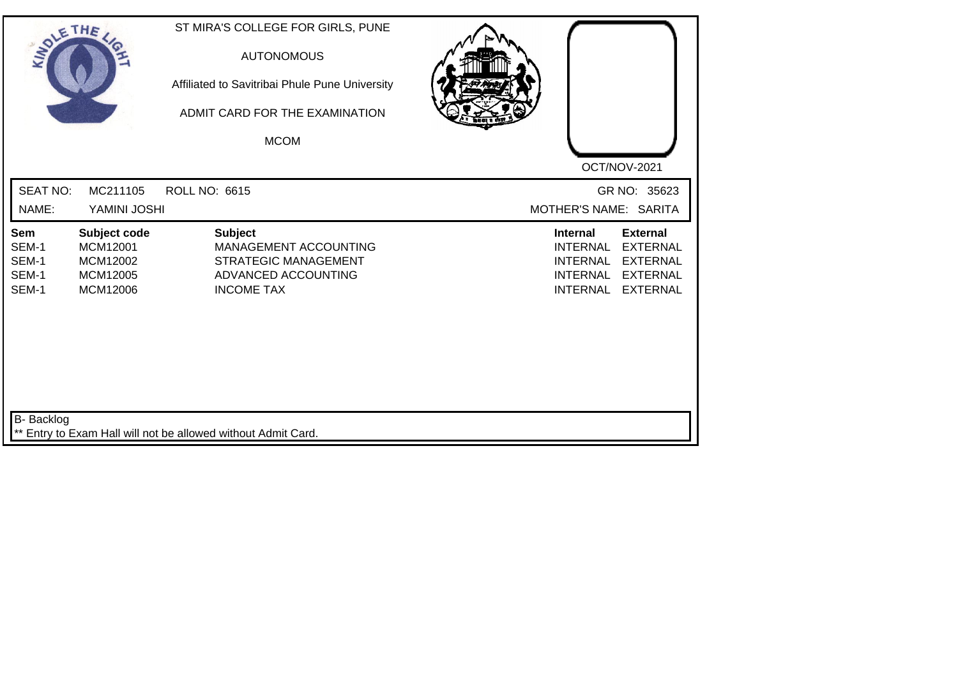| SOLE THE                                |                                                              | ST MIRA'S COLLEGE FOR GIRLS, PUNE<br><b>AUTONOMOUS</b><br>Affiliated to Savitribai Phule Pune University<br>ADMIT CARD FOR THE EXAMINATION<br><b>MCOM</b> |                                                                                                                                                                                            |
|-----------------------------------------|--------------------------------------------------------------|-----------------------------------------------------------------------------------------------------------------------------------------------------------|--------------------------------------------------------------------------------------------------------------------------------------------------------------------------------------------|
|                                         |                                                              |                                                                                                                                                           | OCT/NOV-2021                                                                                                                                                                               |
| <b>SEAT NO:</b><br>NAME:                | MC211105<br>YAMINI JOSHI                                     | <b>ROLL NO: 6615</b>                                                                                                                                      | GR NO: 35623<br>MOTHER'S NAME: SARITA                                                                                                                                                      |
| Sem<br>SEM-1<br>SEM-1<br>SEM-1<br>SEM-1 | Subject code<br>MCM12001<br>MCM12002<br>MCM12005<br>MCM12006 | <b>Subject</b><br>MANAGEMENT ACCOUNTING<br><b>STRATEGIC MANAGEMENT</b><br>ADVANCED ACCOUNTING<br><b>INCOME TAX</b>                                        | <b>External</b><br><b>Internal</b><br><b>INTERNAL</b><br><b>EXTERNAL</b><br><b>INTERNAL</b><br><b>EXTERNAL</b><br><b>INTERNAL</b><br><b>EXTERNAL</b><br><b>INTERNAL</b><br><b>EXTERNAL</b> |
| <b>B-</b> Backlog                       |                                                              | ** Entry to Exam Hall will not be allowed without Admit Card.                                                                                             |                                                                                                                                                                                            |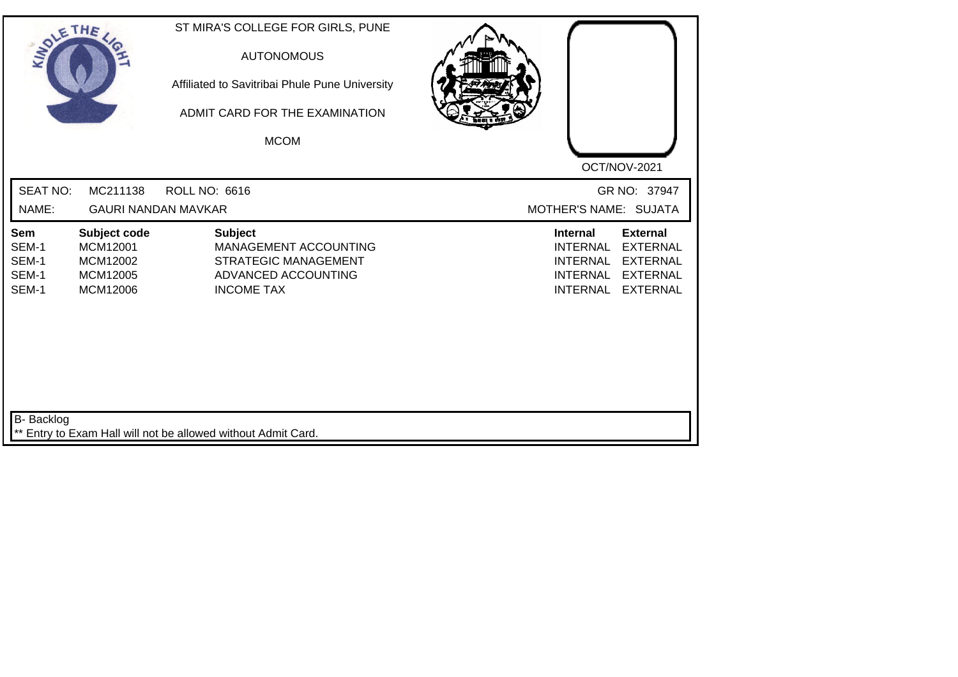| SOLETHE .                               |                                                              | ST MIRA'S COLLEGE FOR GIRLS, PUNE<br><b>AUTONOMOUS</b><br>Affiliated to Savitribai Phule Pune University<br>ADMIT CARD FOR THE EXAMINATION<br><b>MCOM</b> |                                                                                                                                                                                            |
|-----------------------------------------|--------------------------------------------------------------|-----------------------------------------------------------------------------------------------------------------------------------------------------------|--------------------------------------------------------------------------------------------------------------------------------------------------------------------------------------------|
| <b>SEAT NO:</b><br>NAME:                | MC211138                                                     | <b>ROLL NO: 6616</b><br><b>GAURI NANDAN MAVKAR</b>                                                                                                        | OCT/NOV-2021<br>GR NO: 37947<br>MOTHER'S NAME: SUJATA                                                                                                                                      |
| Sem<br>SEM-1<br>SEM-1<br>SEM-1<br>SEM-1 | Subject code<br>MCM12001<br>MCM12002<br>MCM12005<br>MCM12006 | <b>Subject</b><br>MANAGEMENT ACCOUNTING<br><b>STRATEGIC MANAGEMENT</b><br>ADVANCED ACCOUNTING<br><b>INCOME TAX</b>                                        | <b>External</b><br><b>Internal</b><br><b>INTERNAL</b><br><b>EXTERNAL</b><br><b>INTERNAL</b><br><b>EXTERNAL</b><br><b>INTERNAL</b><br><b>EXTERNAL</b><br><b>INTERNAL</b><br><b>EXTERNAL</b> |
| <b>B-</b> Backlog                       |                                                              | ** Entry to Exam Hall will not be allowed without Admit Card.                                                                                             |                                                                                                                                                                                            |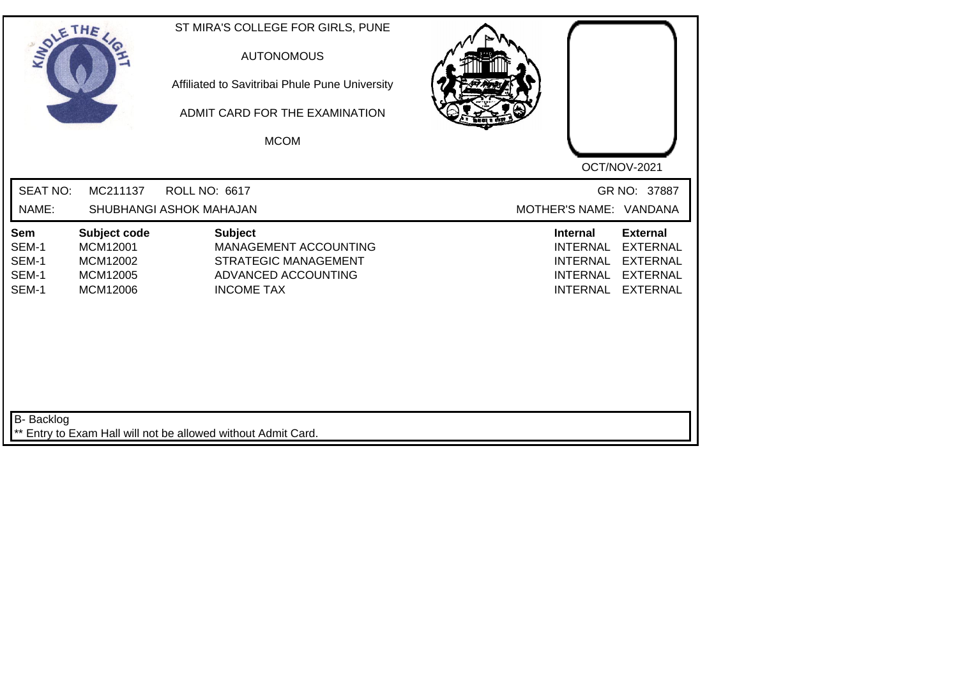| SOLETHE,                                |                                                              | ST MIRA'S COLLEGE FOR GIRLS, PUNE<br><b>AUTONOMOUS</b><br>Affiliated to Savitribai Phule Pune University<br>ADMIT CARD FOR THE EXAMINATION<br><b>MCOM</b> |                                                                                               |                                                                          |
|-----------------------------------------|--------------------------------------------------------------|-----------------------------------------------------------------------------------------------------------------------------------------------------------|-----------------------------------------------------------------------------------------------|--------------------------------------------------------------------------|
| <b>SEAT NO:</b><br>NAME:                | MC211137                                                     | <b>ROLL NO: 6617</b><br>SHUBHANGI ASHOK MAHAJAN                                                                                                           | OCT/NOV-2021<br>MOTHER'S NAME: VANDANA                                                        | GR NO: 37887                                                             |
| Sem<br>SEM-1<br>SEM-1<br>SEM-1<br>SEM-1 | Subject code<br>MCM12001<br>MCM12002<br>MCM12005<br>MCM12006 | <b>Subject</b><br>MANAGEMENT ACCOUNTING<br><b>STRATEGIC MANAGEMENT</b><br>ADVANCED ACCOUNTING<br><b>INCOME TAX</b>                                        | <b>Internal</b><br><b>INTERNAL</b><br><b>INTERNAL</b><br>INTERNAL EXTERNAL<br><b>INTERNAL</b> | <b>External</b><br><b>EXTERNAL</b><br><b>EXTERNAL</b><br><b>EXTERNAL</b> |
| <b>B-</b> Backlog                       |                                                              | ** Entry to Exam Hall will not be allowed without Admit Card.                                                                                             |                                                                                               |                                                                          |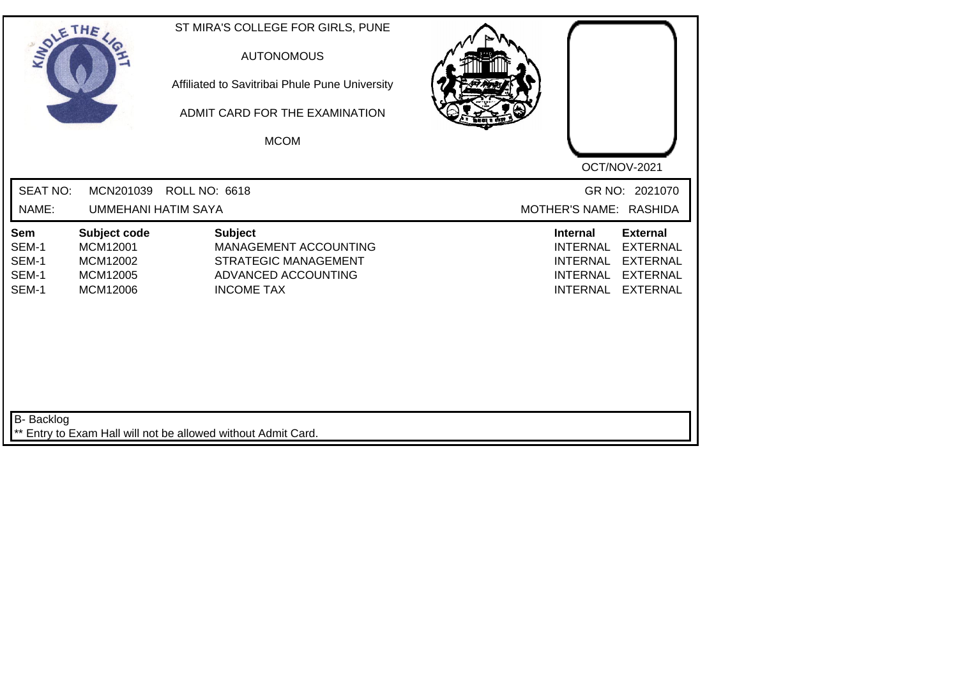| SOLE THE                                |                                                              | ST MIRA'S COLLEGE FOR GIRLS, PUNE<br><b>AUTONOMOUS</b><br>Affiliated to Savitribai Phule Pune University<br>ADMIT CARD FOR THE EXAMINATION<br><b>MCOM</b> |                                                                                                                                                                                            |
|-----------------------------------------|--------------------------------------------------------------|-----------------------------------------------------------------------------------------------------------------------------------------------------------|--------------------------------------------------------------------------------------------------------------------------------------------------------------------------------------------|
| <b>SEAT NO:</b>                         | MCN201039                                                    | ROLL NO: 6618                                                                                                                                             | OCT/NOV-2021<br>GR NO: 2021070                                                                                                                                                             |
| NAME:                                   | <b>UMMEHANI HATIM SAYA</b>                                   |                                                                                                                                                           | MOTHER'S NAME: RASHIDA                                                                                                                                                                     |
| Sem<br>SEM-1<br>SEM-1<br>SEM-1<br>SEM-1 | Subject code<br>MCM12001<br>MCM12002<br>MCM12005<br>MCM12006 | <b>Subject</b><br>MANAGEMENT ACCOUNTING<br><b>STRATEGIC MANAGEMENT</b><br>ADVANCED ACCOUNTING<br><b>INCOME TAX</b>                                        | <b>External</b><br><b>Internal</b><br><b>EXTERNAL</b><br><b>INTERNAL</b><br><b>EXTERNAL</b><br><b>INTERNAL</b><br><b>INTERNAL</b><br><b>EXTERNAL</b><br><b>INTERNAL</b><br><b>EXTERNAL</b> |
| <b>B-</b> Backlog                       |                                                              | Entry to Exam Hall will not be allowed without Admit Card.                                                                                                |                                                                                                                                                                                            |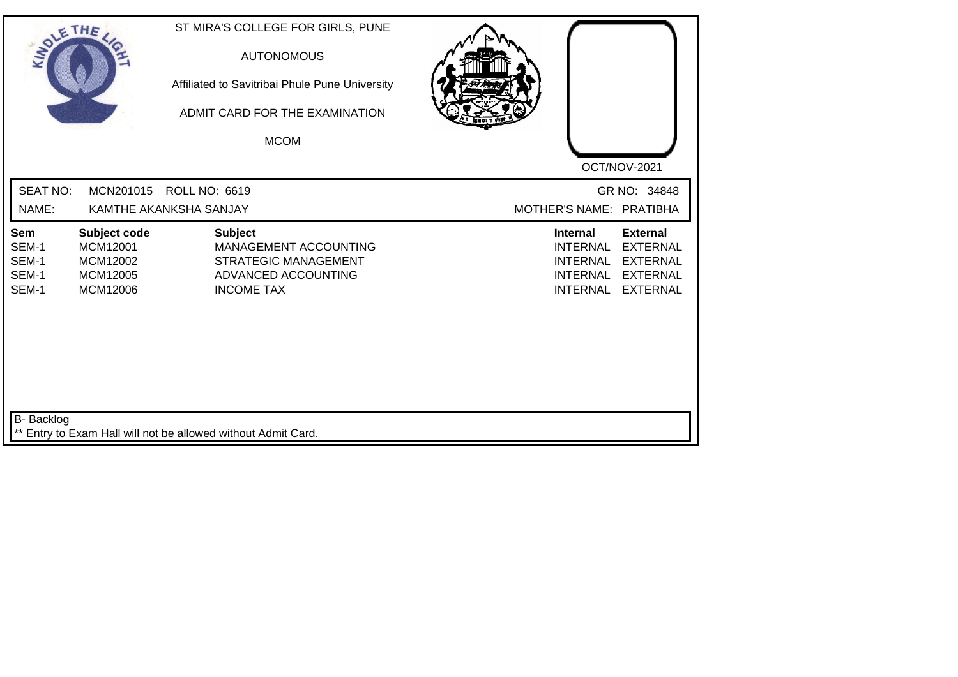| SOLETHE,                                |                                                              | ST MIRA'S COLLEGE FOR GIRLS, PUNE<br><b>AUTONOMOUS</b><br>Affiliated to Savitribai Phule Pune University<br>ADMIT CARD FOR THE EXAMINATION<br><b>MCOM</b> |                                                                                             | OCT/NOV-2021                                                                                |
|-----------------------------------------|--------------------------------------------------------------|-----------------------------------------------------------------------------------------------------------------------------------------------------------|---------------------------------------------------------------------------------------------|---------------------------------------------------------------------------------------------|
| <b>SEAT NO:</b><br>NAME:                | MCN201015                                                    | ROLL NO: 6619<br>KAMTHE AKANKSHA SANJAY                                                                                                                   | MOTHER'S NAME: PRATIBHA                                                                     | GR NO: 34848                                                                                |
| Sem<br>SEM-1<br>SEM-1<br>SEM-1<br>SEM-1 | Subject code<br>MCM12001<br>MCM12002<br>MCM12005<br>MCM12006 | <b>Subject</b><br>MANAGEMENT ACCOUNTING<br><b>STRATEGIC MANAGEMENT</b><br>ADVANCED ACCOUNTING<br><b>INCOME TAX</b>                                        | <b>Internal</b><br><b>INTERNAL</b><br><b>INTERNAL</b><br><b>INTERNAL</b><br><b>INTERNAL</b> | <b>External</b><br><b>EXTERNAL</b><br><b>EXTERNAL</b><br><b>EXTERNAL</b><br><b>EXTERNAL</b> |
| <b>B-</b> Backlog                       |                                                              | ** Entry to Exam Hall will not be allowed without Admit Card.                                                                                             |                                                                                             |                                                                                             |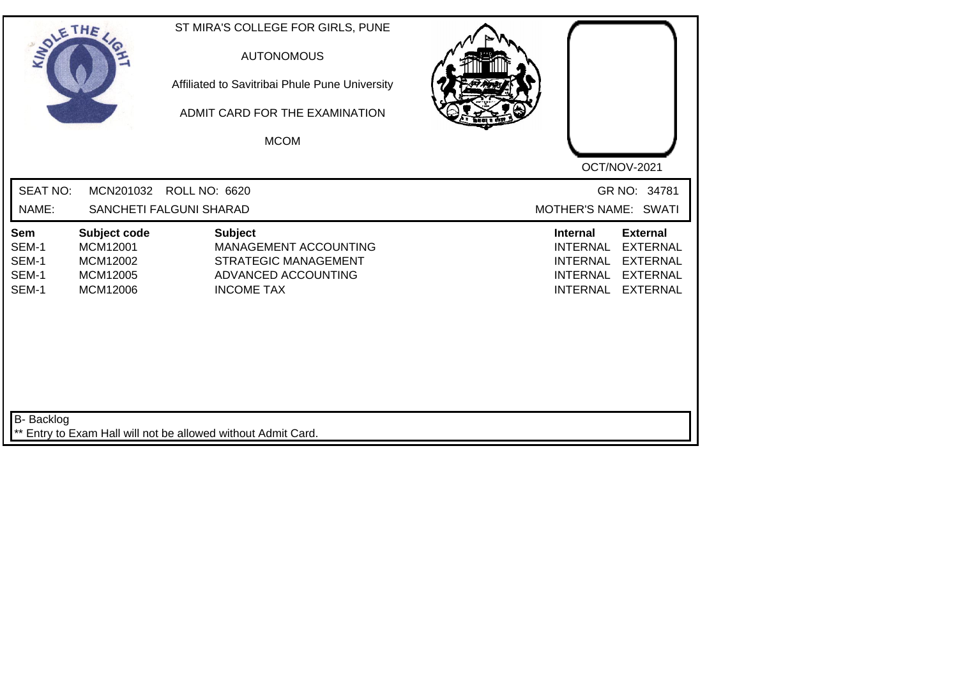| SOLETHE .                               |                                                              | ST MIRA'S COLLEGE FOR GIRLS, PUNE<br><b>AUTONOMOUS</b><br>Affiliated to Savitribai Phule Pune University<br>ADMIT CARD FOR THE EXAMINATION<br><b>MCOM</b> | OCT/NOV-2021                                                                                                                            |
|-----------------------------------------|--------------------------------------------------------------|-----------------------------------------------------------------------------------------------------------------------------------------------------------|-----------------------------------------------------------------------------------------------------------------------------------------|
| <b>SEAT NO:</b><br>NAME:                |                                                              | MCN201032 ROLL NO: 6620<br>SANCHETI FALGUNI SHARAD                                                                                                        | GR NO: 34781<br>MOTHER'S NAME: SWATI                                                                                                    |
| Sem<br>SEM-1<br>SEM-1<br>SEM-1<br>SEM-1 | Subject code<br>MCM12001<br>MCM12002<br>MCM12005<br>MCM12006 | <b>Subject</b><br>MANAGEMENT ACCOUNTING<br><b>STRATEGIC MANAGEMENT</b><br>ADVANCED ACCOUNTING<br><b>INCOME TAX</b>                                        | <b>External</b><br><b>Internal</b><br><b>INTERNAL</b><br><b>EXTERNAL</b><br>INTERNAL EXTERNAL<br>INTERNAL EXTERNAL<br>INTERNAL EXTERNAL |
| <b>B-</b> Backlog                       |                                                              | ** Entry to Exam Hall will not be allowed without Admit Card.                                                                                             |                                                                                                                                         |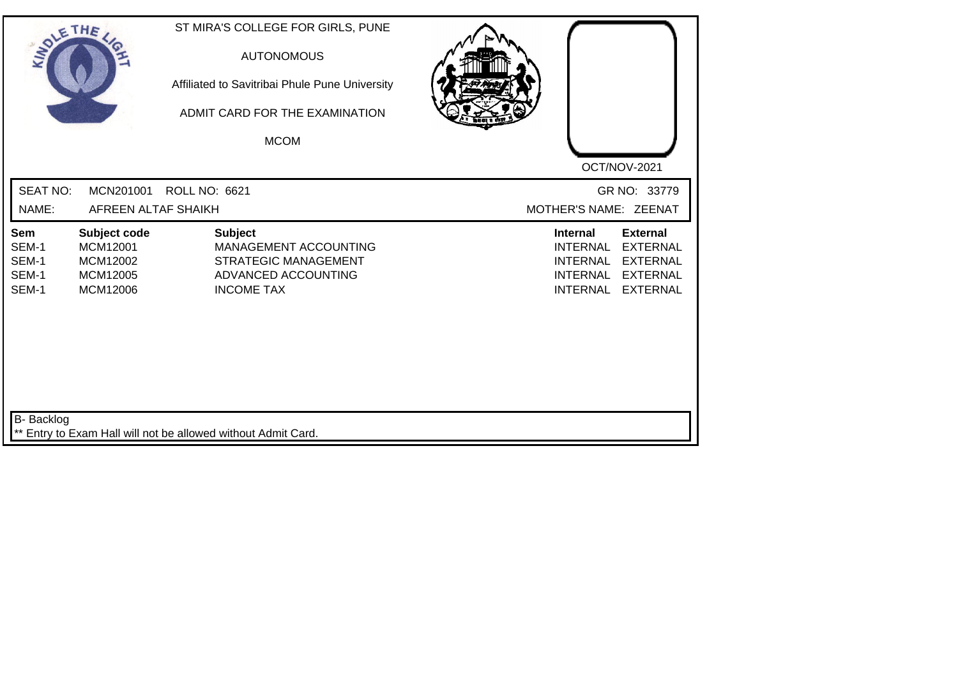| SOLE THE                                |                                                              | ST MIRA'S COLLEGE FOR GIRLS, PUNE<br><b>AUTONOMOUS</b><br>Affiliated to Savitribai Phule Pune University<br>ADMIT CARD FOR THE EXAMINATION<br><b>MCOM</b> |                                                                                                                                         |
|-----------------------------------------|--------------------------------------------------------------|-----------------------------------------------------------------------------------------------------------------------------------------------------------|-----------------------------------------------------------------------------------------------------------------------------------------|
|                                         |                                                              |                                                                                                                                                           | OCT/NOV-2021                                                                                                                            |
| <b>SEAT NO:</b><br>NAME:                | MCN201001<br>AFREEN ALTAF SHAIKH                             | <b>ROLL NO: 6621</b>                                                                                                                                      | GR NO: 33779<br>MOTHER'S NAME: ZEENAT                                                                                                   |
| Sem<br>SEM-1<br>SEM-1<br>SEM-1<br>SEM-1 | Subject code<br>MCM12001<br>MCM12002<br>MCM12005<br>MCM12006 | <b>Subject</b><br>MANAGEMENT ACCOUNTING<br><b>STRATEGIC MANAGEMENT</b><br>ADVANCED ACCOUNTING<br><b>INCOME TAX</b>                                        | <b>External</b><br><b>Internal</b><br><b>INTERNAL</b><br><b>EXTERNAL</b><br>INTERNAL EXTERNAL<br>INTERNAL EXTERNAL<br>INTERNAL EXTERNAL |
| B- Backlog                              |                                                              | ** Entry to Exam Hall will not be allowed without Admit Card.                                                                                             |                                                                                                                                         |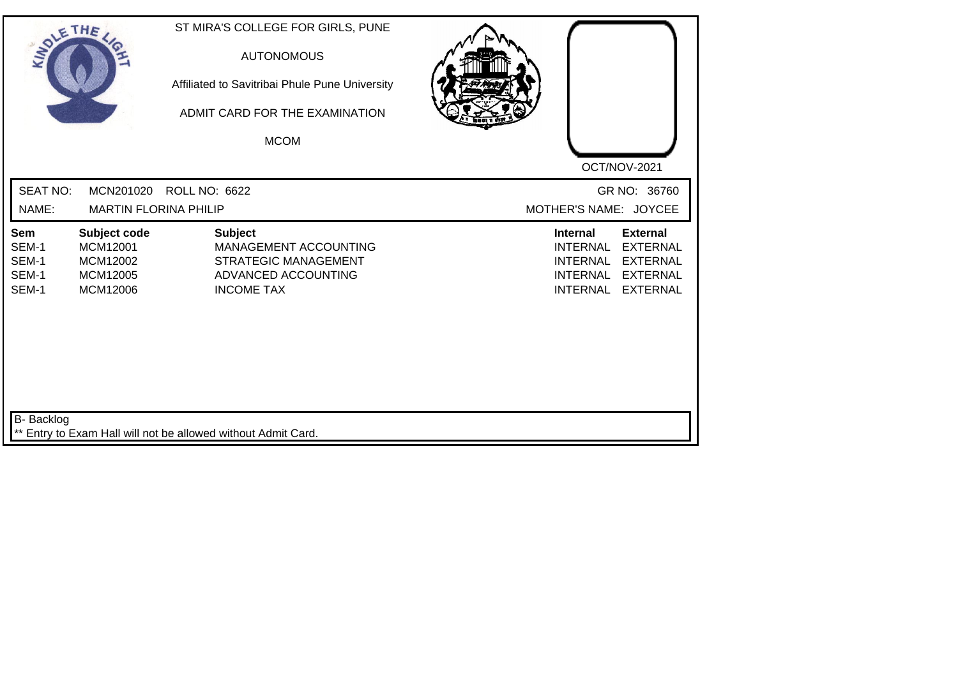| SOLE THE                                |                                                              | ST MIRA'S COLLEGE FOR GIRLS, PUNE<br><b>AUTONOMOUS</b><br>Affiliated to Savitribai Phule Pune University<br>ADMIT CARD FOR THE EXAMINATION<br><b>MCOM</b> |                 |                                                                                                                      |
|-----------------------------------------|--------------------------------------------------------------|-----------------------------------------------------------------------------------------------------------------------------------------------------------|-----------------|----------------------------------------------------------------------------------------------------------------------|
|                                         |                                                              |                                                                                                                                                           |                 | OCT/NOV-2021                                                                                                         |
| <b>SEAT NO:</b><br>NAME:                | MCN201020<br><b>MARTIN FLORINA PHILIP</b>                    | <b>ROLL NO: 6622</b>                                                                                                                                      |                 | GR NO: 36760<br>MOTHER'S NAME: JOYCEE                                                                                |
|                                         |                                                              |                                                                                                                                                           |                 |                                                                                                                      |
| Sem<br>SEM-1<br>SEM-1<br>SEM-1<br>SEM-1 | Subject code<br>MCM12001<br>MCM12002<br>MCM12005<br>MCM12006 | <b>Subject</b><br>MANAGEMENT ACCOUNTING<br><b>STRATEGIC MANAGEMENT</b><br>ADVANCED ACCOUNTING<br><b>INCOME TAX</b>                                        | <b>Internal</b> | <b>External</b><br><b>INTERNAL</b><br><b>EXTERNAL</b><br>INTERNAL EXTERNAL<br>INTERNAL EXTERNAL<br>INTERNAL EXTERNAL |
| B- Backlog                              |                                                              | ** Entry to Exam Hall will not be allowed without Admit Card.                                                                                             |                 |                                                                                                                      |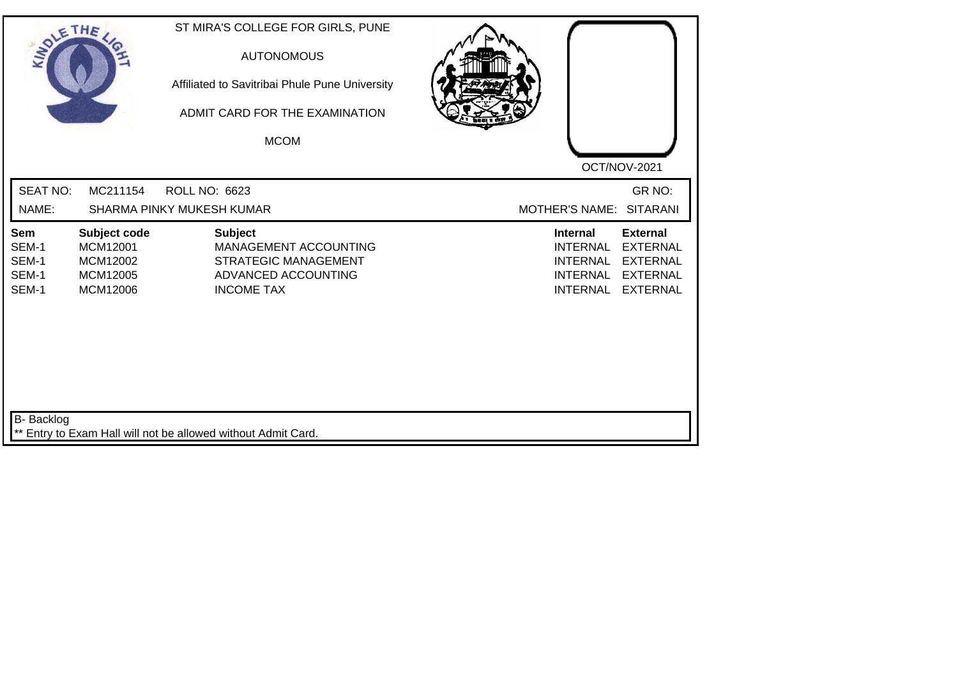| SOLETHE ,                               |                                                              | ST MIRA'S COLLEGE FOR GIRLS, PUNE<br><b>AUTONOMOUS</b><br>Affiliated to Savitribai Phule Pune University<br>ADMIT CARD FOR THE EXAMINATION<br><b>MCOM</b> |                                                                                                                                                                                     |  |
|-----------------------------------------|--------------------------------------------------------------|-----------------------------------------------------------------------------------------------------------------------------------------------------------|-------------------------------------------------------------------------------------------------------------------------------------------------------------------------------------|--|
|                                         |                                                              |                                                                                                                                                           | OCT/NOV-2021                                                                                                                                                                        |  |
| <b>SEAT NO:</b>                         | MC211154                                                     | <b>ROLL NO: 6623</b>                                                                                                                                      | GR NO:                                                                                                                                                                              |  |
| NAME:                                   |                                                              | SHARMA PINKY MUKESH KUMAR                                                                                                                                 | MOTHER'S NAME: SITARANI                                                                                                                                                             |  |
| Sem<br>SEM-1<br>SEM-1<br>SEM-1<br>SEM-1 | Subject code<br>MCM12001<br>MCM12002<br>MCM12005<br>MCM12006 | <b>Subject</b><br>MANAGEMENT ACCOUNTING<br><b>STRATEGIC MANAGEMENT</b><br>ADVANCED ACCOUNTING<br><b>INCOME TAX</b>                                        | Internal<br><b>External</b><br><b>INTERNAL</b><br><b>EXTERNAL</b><br><b>EXTERNAL</b><br><b>INTERNAL</b><br><b>INTERNAL</b><br><b>EXTERNAL</b><br><b>INTERNAL</b><br><b>EXTERNAL</b> |  |
| <b>B-</b> Backlog                       |                                                              | ** Entry to Exam Hall will not be allowed without Admit Card.                                                                                             |                                                                                                                                                                                     |  |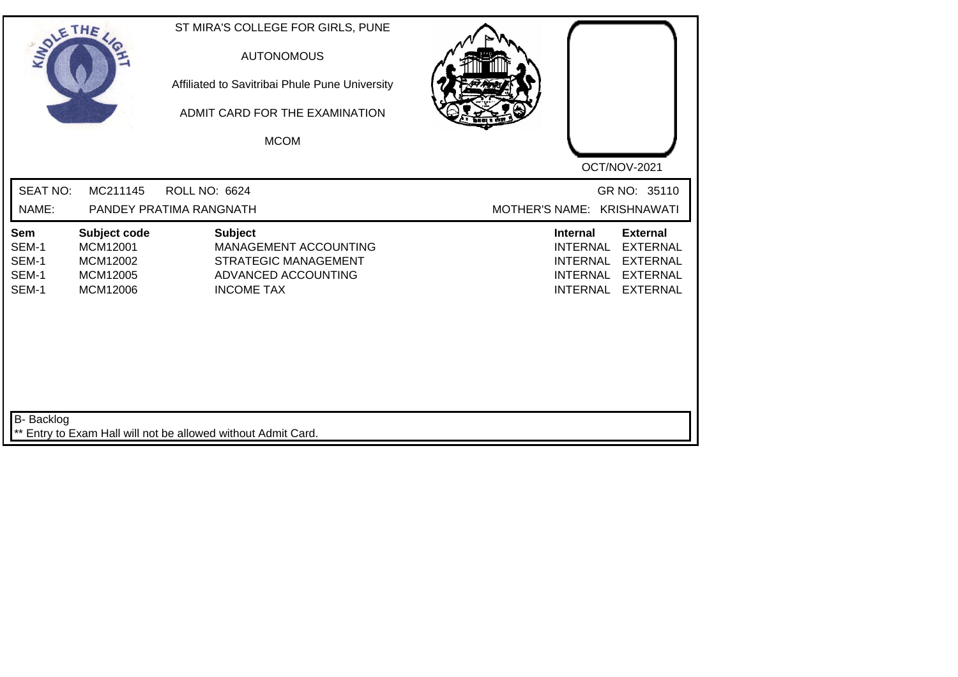| SOLETHE .                               |                                                              | ST MIRA'S COLLEGE FOR GIRLS, PUNE<br><b>AUTONOMOUS</b><br>Affiliated to Savitribai Phule Pune University<br>ADMIT CARD FOR THE EXAMINATION<br><b>MCOM</b> |                                                       | OCT/NOV-2021                                                                                    |
|-----------------------------------------|--------------------------------------------------------------|-----------------------------------------------------------------------------------------------------------------------------------------------------------|-------------------------------------------------------|-------------------------------------------------------------------------------------------------|
| <b>SEAT NO:</b><br>NAME:                | MC211145                                                     | ROLL NO: 6624<br>PANDEY PRATIMA RANGNATH                                                                                                                  | MOTHER'S NAME: KRISHNAWATI                            | GR NO: 35110                                                                                    |
| Sem<br>SEM-1<br>SEM-1<br>SEM-1<br>SEM-1 | Subject code<br>MCM12001<br>MCM12002<br>MCM12005<br>MCM12006 | <b>Subject</b><br>MANAGEMENT ACCOUNTING<br><b>STRATEGIC MANAGEMENT</b><br>ADVANCED ACCOUNTING<br><b>INCOME TAX</b>                                        | <b>Internal</b><br><b>INTERNAL</b><br><b>INTERNAL</b> | <b>External</b><br><b>EXTERNAL</b><br>INTERNAL EXTERNAL<br>INTERNAL EXTERNAL<br><b>EXTERNAL</b> |
| B- Backlog                              |                                                              | ** Entry to Exam Hall will not be allowed without Admit Card.                                                                                             |                                                       |                                                                                                 |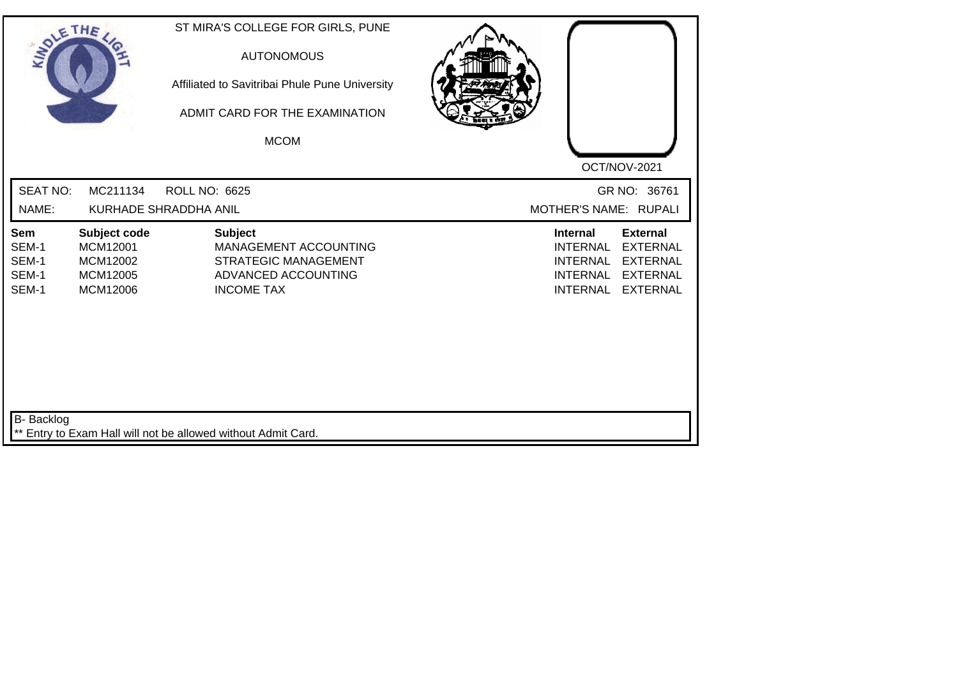| SOLETHE,                                |                                                              | ST MIRA'S COLLEGE FOR GIRLS, PUNE<br><b>AUTONOMOUS</b><br>Affiliated to Savitribai Phule Pune University<br>ADMIT CARD FOR THE EXAMINATION<br><b>MCOM</b> |                                                                                                                                                                                            |
|-----------------------------------------|--------------------------------------------------------------|-----------------------------------------------------------------------------------------------------------------------------------------------------------|--------------------------------------------------------------------------------------------------------------------------------------------------------------------------------------------|
| <b>SEAT NO:</b><br>NAME:                | MC211134                                                     | <b>ROLL NO: 6625</b><br>KURHADE SHRADDHA ANIL                                                                                                             | OCT/NOV-2021<br>GR NO: 36761<br>MOTHER'S NAME: RUPALI                                                                                                                                      |
| Sem<br>SEM-1<br>SEM-1<br>SEM-1<br>SEM-1 | Subject code<br>MCM12001<br>MCM12002<br>MCM12005<br>MCM12006 | <b>Subject</b><br>MANAGEMENT ACCOUNTING<br><b>STRATEGIC MANAGEMENT</b><br>ADVANCED ACCOUNTING<br><b>INCOME TAX</b>                                        | <b>External</b><br><b>Internal</b><br><b>INTERNAL</b><br><b>EXTERNAL</b><br><b>EXTERNAL</b><br><b>INTERNAL</b><br><b>INTERNAL</b><br><b>EXTERNAL</b><br><b>INTERNAL</b><br><b>EXTERNAL</b> |
| <b>B-</b> Backlog                       |                                                              | ** Entry to Exam Hall will not be allowed without Admit Card.                                                                                             |                                                                                                                                                                                            |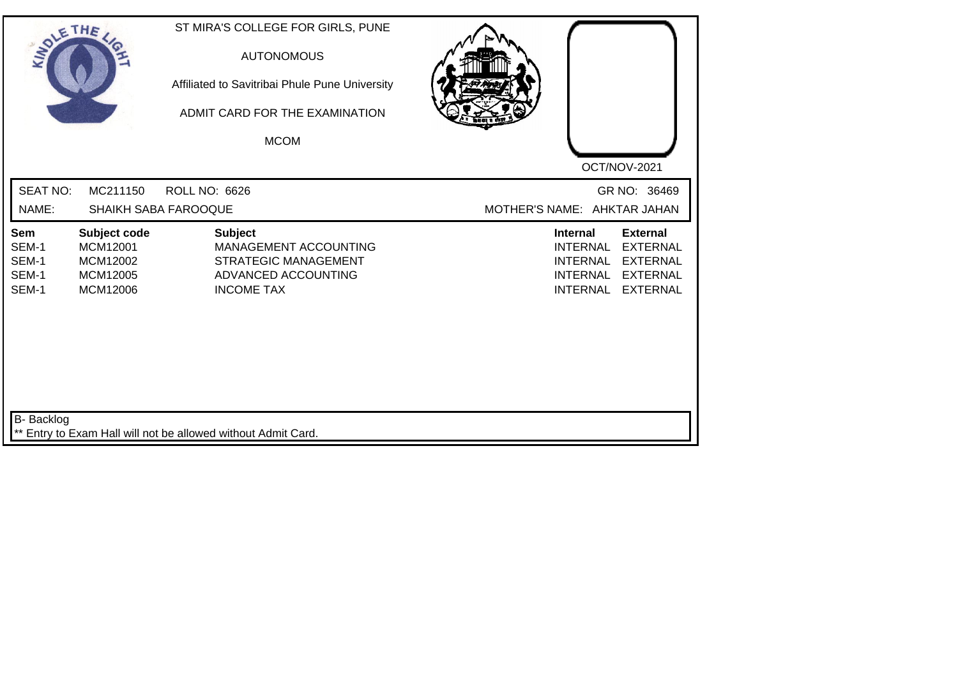| SOLETHE,                                |                                                              | ST MIRA'S COLLEGE FOR GIRLS, PUNE<br><b>AUTONOMOUS</b><br>Affiliated to Savitribai Phule Pune University<br>ADMIT CARD FOR THE EXAMINATION<br><b>MCOM</b> | OCT/NOV-2021                                                                                                                                             |
|-----------------------------------------|--------------------------------------------------------------|-----------------------------------------------------------------------------------------------------------------------------------------------------------|----------------------------------------------------------------------------------------------------------------------------------------------------------|
| <b>SEAT NO:</b><br>NAME:                | MC211150                                                     | <b>ROLL NO: 6626</b><br>SHAIKH SABA FAROOQUE                                                                                                              | GR NO: 36469<br>MOTHER'S NAME: AHKTAR JAHAN                                                                                                              |
| Sem<br>SEM-1<br>SEM-1<br>SEM-1<br>SEM-1 | Subject code<br>MCM12001<br>MCM12002<br>MCM12005<br>MCM12006 | <b>Subject</b><br>MANAGEMENT ACCOUNTING<br><b>STRATEGIC MANAGEMENT</b><br>ADVANCED ACCOUNTING<br><b>INCOME TAX</b>                                        | <b>External</b><br><b>Internal</b><br><b>INTERNAL</b><br><b>EXTERNAL</b><br>INTERNAL EXTERNAL<br>INTERNAL EXTERNAL<br><b>INTERNAL</b><br><b>EXTERNAL</b> |
| B- Backlog                              |                                                              | ** Entry to Exam Hall will not be allowed without Admit Card.                                                                                             |                                                                                                                                                          |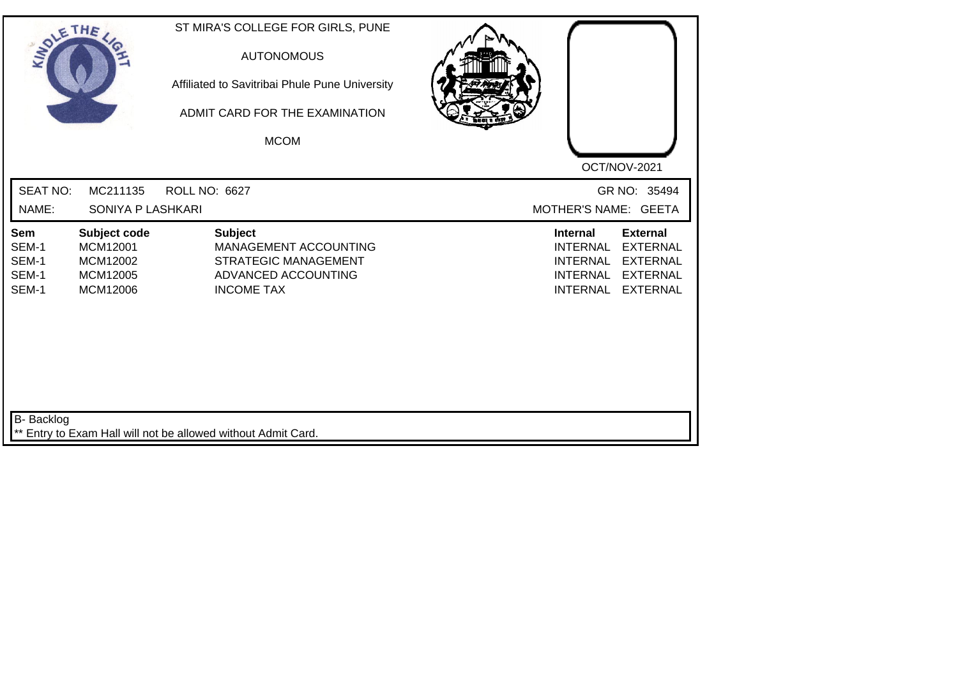| SOLETHE ,                               |                                                              | ST MIRA'S COLLEGE FOR GIRLS, PUNE<br><b>AUTONOMOUS</b><br>Affiliated to Savitribai Phule Pune University<br>ADMIT CARD FOR THE EXAMINATION<br><b>MCOM</b> |                                                                                                                                                                                            |
|-----------------------------------------|--------------------------------------------------------------|-----------------------------------------------------------------------------------------------------------------------------------------------------------|--------------------------------------------------------------------------------------------------------------------------------------------------------------------------------------------|
|                                         |                                                              |                                                                                                                                                           | OCT/NOV-2021                                                                                                                                                                               |
| <b>SEAT NO:</b>                         | MC211135                                                     | ROLL NO: 6627                                                                                                                                             | GR NO: 35494                                                                                                                                                                               |
| NAME:                                   | SONIYA P LASHKARI                                            |                                                                                                                                                           | MOTHER'S NAME: GEETA                                                                                                                                                                       |
| Sem<br>SEM-1<br>SEM-1<br>SEM-1<br>SEM-1 | Subject code<br>MCM12001<br>MCM12002<br>MCM12005<br>MCM12006 | <b>Subject</b><br>MANAGEMENT ACCOUNTING<br><b>STRATEGIC MANAGEMENT</b><br>ADVANCED ACCOUNTING<br><b>INCOME TAX</b>                                        | <b>Internal</b><br><b>External</b><br><b>INTERNAL</b><br><b>EXTERNAL</b><br><b>INTERNAL</b><br><b>EXTERNAL</b><br><b>INTERNAL</b><br><b>EXTERNAL</b><br><b>INTERNAL</b><br><b>EXTERNAL</b> |
| <b>B-</b> Backlog                       |                                                              | ** Entry to Exam Hall will not be allowed without Admit Card.                                                                                             |                                                                                                                                                                                            |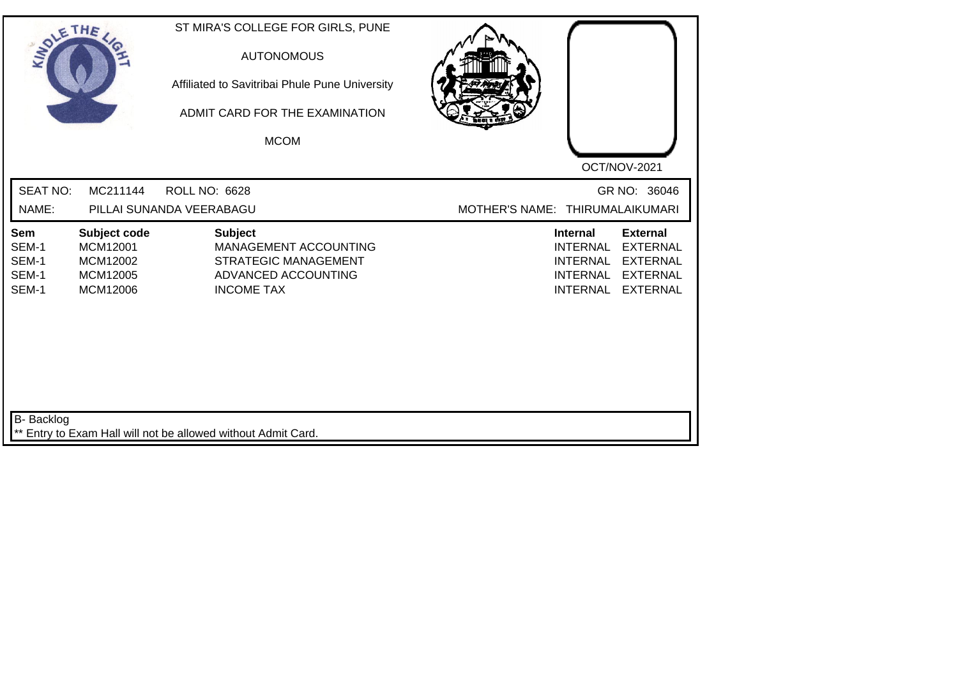| SOLETHE,                                       |                                                              | ST MIRA'S COLLEGE FOR GIRLS, PUNE<br><b>AUTONOMOUS</b><br>Affiliated to Savitribai Phule Pune University<br>ADMIT CARD FOR THE EXAMINATION<br><b>MCOM</b> | OCT/NOV-2021                                                                                                                            |
|------------------------------------------------|--------------------------------------------------------------|-----------------------------------------------------------------------------------------------------------------------------------------------------------|-----------------------------------------------------------------------------------------------------------------------------------------|
| <b>SEAT NO:</b><br>NAME:                       | MC211144                                                     | <b>ROLL NO: 6628</b><br>PILLAI SUNANDA VEERABAGU                                                                                                          | GR NO: 36046<br>MOTHER'S NAME: THIRUMALAIKUMARI                                                                                         |
| <b>Sem</b><br>SEM-1<br>SEM-1<br>SEM-1<br>SEM-1 | Subject code<br>MCM12001<br>MCM12002<br>MCM12005<br>MCM12006 | <b>Subject</b><br>MANAGEMENT ACCOUNTING<br><b>STRATEGIC MANAGEMENT</b><br>ADVANCED ACCOUNTING<br><b>INCOME TAX</b>                                        | <b>External</b><br><b>Internal</b><br><b>INTERNAL</b><br><b>EXTERNAL</b><br>INTERNAL EXTERNAL<br>INTERNAL EXTERNAL<br>INTERNAL EXTERNAL |
| <b>B-</b> Backlog                              |                                                              | Entry to Exam Hall will not be allowed without Admit Card.                                                                                                |                                                                                                                                         |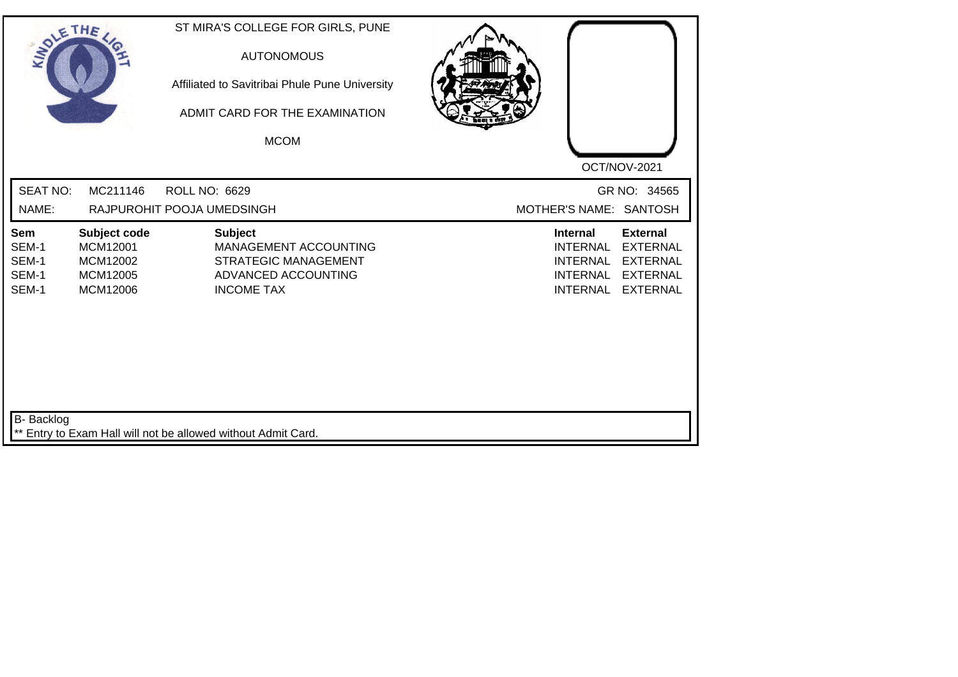| SOLETHE,                                |                                                              | ST MIRA'S COLLEGE FOR GIRLS, PUNE<br><b>AUTONOMOUS</b><br>Affiliated to Savitribai Phule Pune University<br>ADMIT CARD FOR THE EXAMINATION<br><b>MCOM</b> | OCT/NOV-2021                                                                                                                                                                               |
|-----------------------------------------|--------------------------------------------------------------|-----------------------------------------------------------------------------------------------------------------------------------------------------------|--------------------------------------------------------------------------------------------------------------------------------------------------------------------------------------------|
| <b>SEAT NO:</b><br>NAME:                | MC211146                                                     | <b>ROLL NO: 6629</b><br>RAJPUROHIT POOJA UMEDSINGH                                                                                                        | GR NO: 34565<br>MOTHER'S NAME: SANTOSH                                                                                                                                                     |
| Sem<br>SEM-1<br>SEM-1<br>SEM-1<br>SEM-1 | Subject code<br>MCM12001<br>MCM12002<br>MCM12005<br>MCM12006 | <b>Subject</b><br>MANAGEMENT ACCOUNTING<br><b>STRATEGIC MANAGEMENT</b><br>ADVANCED ACCOUNTING<br><b>INCOME TAX</b>                                        | <b>Internal</b><br><b>External</b><br><b>INTERNAL</b><br><b>EXTERNAL</b><br><b>EXTERNAL</b><br><b>INTERNAL</b><br><b>INTERNAL</b><br><b>EXTERNAL</b><br><b>INTERNAL</b><br><b>EXTERNAL</b> |
| <b>B-</b> Backlog                       |                                                              | ** Entry to Exam Hall will not be allowed without Admit Card.                                                                                             |                                                                                                                                                                                            |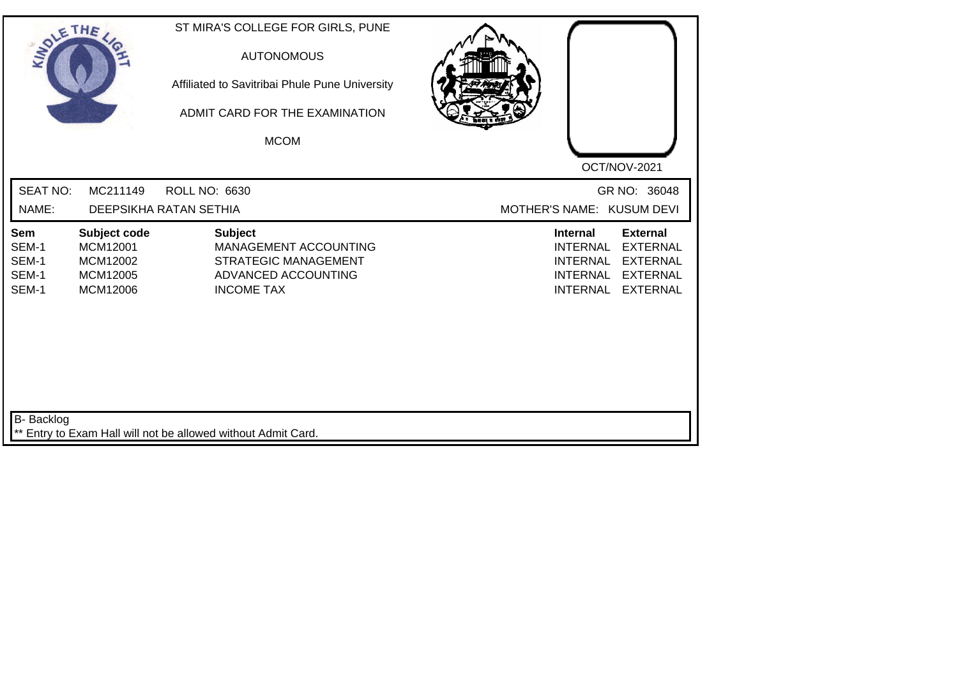| SOLETHE,                                |                                                              | ST MIRA'S COLLEGE FOR GIRLS, PUNE<br><b>AUTONOMOUS</b><br>Affiliated to Savitribai Phule Pune University<br>ADMIT CARD FOR THE EXAMINATION<br><b>MCOM</b> | OCT/NOV-2021                                                                                                                                             |
|-----------------------------------------|--------------------------------------------------------------|-----------------------------------------------------------------------------------------------------------------------------------------------------------|----------------------------------------------------------------------------------------------------------------------------------------------------------|
| <b>SEAT NO:</b><br>NAME:                | MC211149                                                     | ROLL NO: 6630<br>DEEPSIKHA RATAN SETHIA                                                                                                                   | GR NO: 36048<br>MOTHER'S NAME: KUSUM DEVI                                                                                                                |
| Sem<br>SEM-1<br>SEM-1<br>SEM-1<br>SEM-1 | Subject code<br>MCM12001<br>MCM12002<br>MCM12005<br>MCM12006 | <b>Subject</b><br>MANAGEMENT ACCOUNTING<br><b>STRATEGIC MANAGEMENT</b><br>ADVANCED ACCOUNTING<br><b>INCOME TAX</b>                                        | <b>External</b><br><b>Internal</b><br><b>INTERNAL</b><br><b>EXTERNAL</b><br>INTERNAL EXTERNAL<br>INTERNAL EXTERNAL<br><b>INTERNAL</b><br><b>EXTERNAL</b> |
| B- Backlog                              |                                                              | ** Entry to Exam Hall will not be allowed without Admit Card.                                                                                             |                                                                                                                                                          |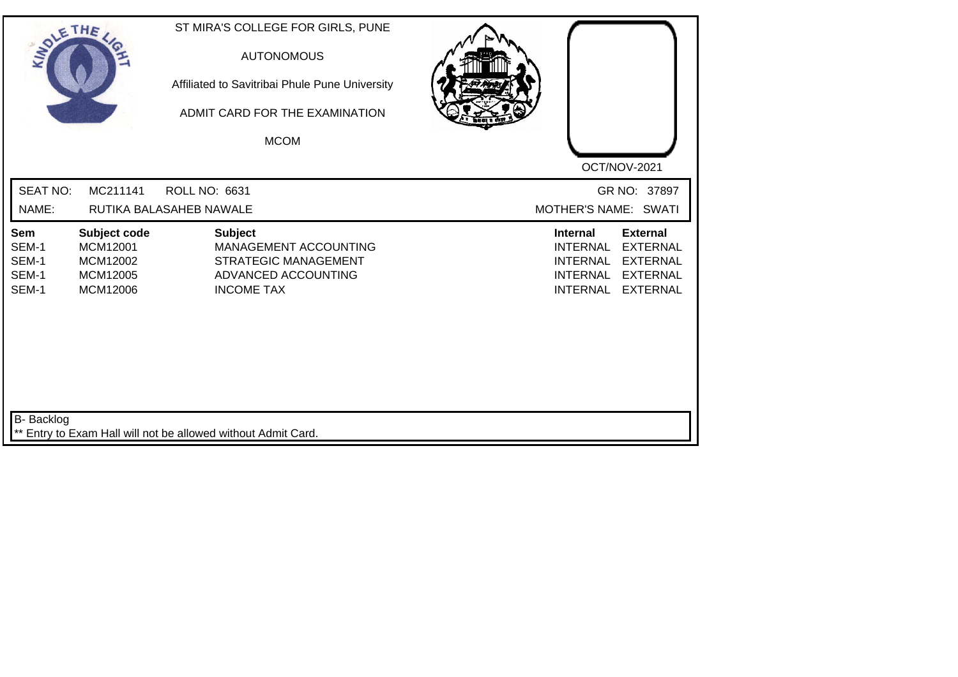| SOLETHE ,                               |                                                              | ST MIRA'S COLLEGE FOR GIRLS, PUNE<br><b>AUTONOMOUS</b><br>Affiliated to Savitribai Phule Pune University<br>ADMIT CARD FOR THE EXAMINATION<br><b>MCOM</b> |                                                                                                                                                                                            |
|-----------------------------------------|--------------------------------------------------------------|-----------------------------------------------------------------------------------------------------------------------------------------------------------|--------------------------------------------------------------------------------------------------------------------------------------------------------------------------------------------|
|                                         |                                                              |                                                                                                                                                           | OCT/NOV-2021                                                                                                                                                                               |
| <b>SEAT NO:</b><br>NAME:                | MC211141                                                     | <b>ROLL NO: 6631</b><br>RUTIKA BALASAHEB NAWALE                                                                                                           | GR NO: 37897<br>MOTHER'S NAME: SWATI                                                                                                                                                       |
| Sem<br>SEM-1<br>SEM-1<br>SEM-1<br>SEM-1 | Subject code<br>MCM12001<br>MCM12002<br>MCM12005<br>MCM12006 | <b>Subject</b><br>MANAGEMENT ACCOUNTING<br><b>STRATEGIC MANAGEMENT</b><br>ADVANCED ACCOUNTING<br><b>INCOME TAX</b>                                        | <b>External</b><br><b>Internal</b><br><b>INTERNAL</b><br><b>EXTERNAL</b><br><b>EXTERNAL</b><br><b>INTERNAL</b><br><b>INTERNAL</b><br><b>EXTERNAL</b><br><b>INTERNAL</b><br><b>EXTERNAL</b> |
| <b>B-</b> Backlog                       |                                                              | ** Entry to Exam Hall will not be allowed without Admit Card.                                                                                             |                                                                                                                                                                                            |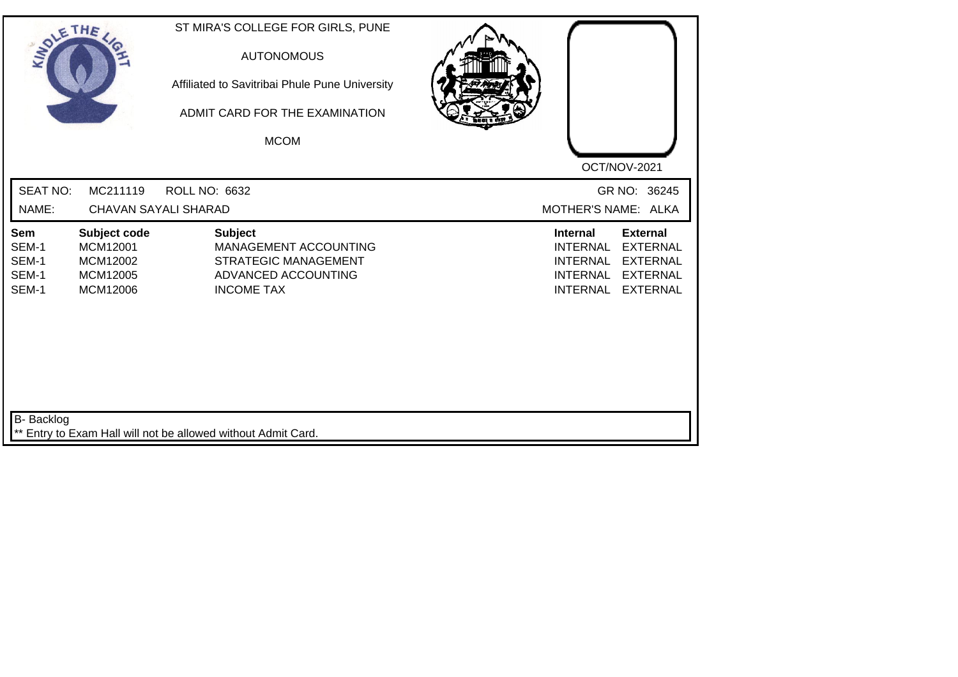| SOLETHE ,                               |                                                              | ST MIRA'S COLLEGE FOR GIRLS, PUNE<br><b>AUTONOMOUS</b><br>Affiliated to Savitribai Phule Pune University<br>ADMIT CARD FOR THE EXAMINATION<br><b>MCOM</b> |                                                                                                                                                                                            |  |
|-----------------------------------------|--------------------------------------------------------------|-----------------------------------------------------------------------------------------------------------------------------------------------------------|--------------------------------------------------------------------------------------------------------------------------------------------------------------------------------------------|--|
|                                         |                                                              |                                                                                                                                                           | OCT/NOV-2021                                                                                                                                                                               |  |
| <b>SEAT NO:</b><br>NAME:                | MC211119                                                     | ROLL NO: 6632<br><b>CHAVAN SAYALI SHARAD</b>                                                                                                              | GR NO: 36245<br>MOTHER'S NAME: ALKA                                                                                                                                                        |  |
| Sem<br>SEM-1<br>SEM-1<br>SEM-1<br>SEM-1 | Subject code<br>MCM12001<br>MCM12002<br>MCM12005<br>MCM12006 | <b>Subject</b><br>MANAGEMENT ACCOUNTING<br><b>STRATEGIC MANAGEMENT</b><br>ADVANCED ACCOUNTING<br><b>INCOME TAX</b>                                        | <b>Internal</b><br><b>External</b><br><b>INTERNAL</b><br><b>EXTERNAL</b><br><b>INTERNAL</b><br><b>EXTERNAL</b><br><b>INTERNAL</b><br><b>EXTERNAL</b><br><b>INTERNAL</b><br><b>EXTERNAL</b> |  |
| B- Backlog                              |                                                              | ** Entry to Exam Hall will not be allowed without Admit Card.                                                                                             |                                                                                                                                                                                            |  |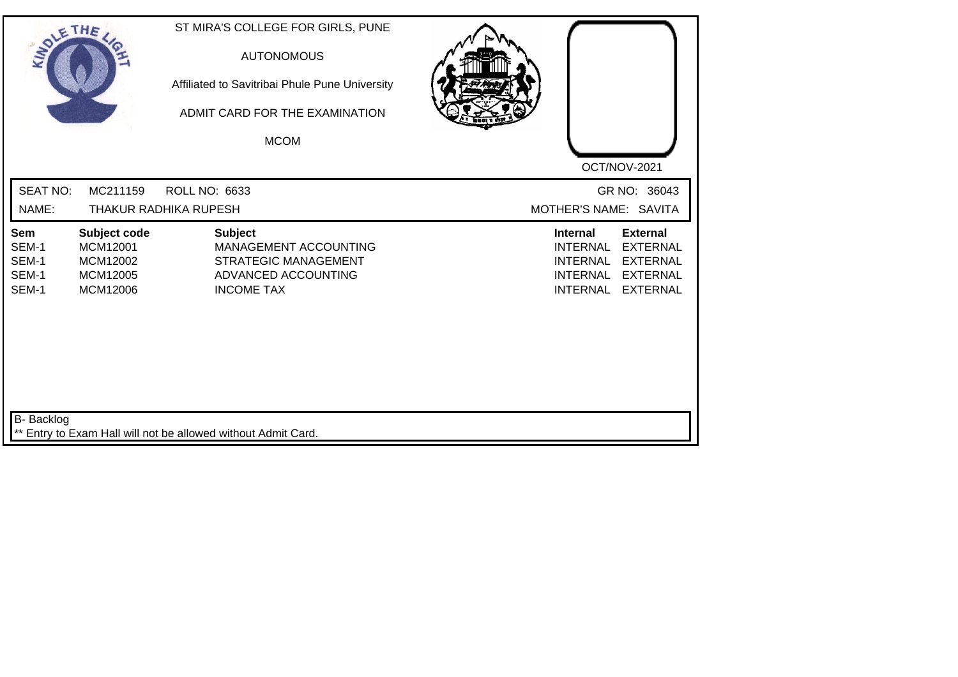| SOLETHE,                                |                                                              | ST MIRA'S COLLEGE FOR GIRLS, PUNE<br><b>AUTONOMOUS</b><br>Affiliated to Savitribai Phule Pune University<br>ADMIT CARD FOR THE EXAMINATION<br><b>MCOM</b> |                                                                                                                                                          |
|-----------------------------------------|--------------------------------------------------------------|-----------------------------------------------------------------------------------------------------------------------------------------------------------|----------------------------------------------------------------------------------------------------------------------------------------------------------|
| <b>SEAT NO:</b><br>NAME:                | MC211159                                                     | ROLL NO: 6633<br>THAKUR RADHIKA RUPESH                                                                                                                    | OCT/NOV-2021<br>GR NO: 36043<br>MOTHER'S NAME: SAVITA                                                                                                    |
| Sem<br>SEM-1<br>SEM-1<br>SEM-1<br>SEM-1 | Subject code<br>MCM12001<br>MCM12002<br>MCM12005<br>MCM12006 | <b>Subject</b><br>MANAGEMENT ACCOUNTING<br><b>STRATEGIC MANAGEMENT</b><br>ADVANCED ACCOUNTING<br><b>INCOME TAX</b>                                        | <b>External</b><br><b>Internal</b><br><b>EXTERNAL</b><br><b>INTERNAL</b><br>INTERNAL EXTERNAL<br>INTERNAL EXTERNAL<br><b>INTERNAL</b><br><b>EXTERNAL</b> |
| <b>B-</b> Backlog                       |                                                              | ** Entry to Exam Hall will not be allowed without Admit Card.                                                                                             |                                                                                                                                                          |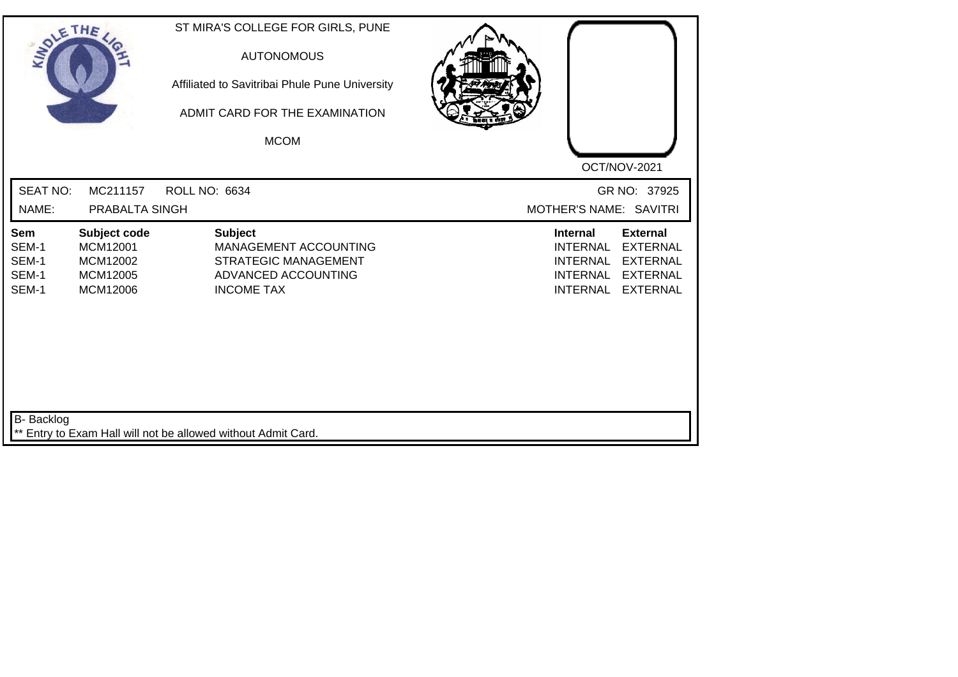| SOLE THE                                       |                                                              | ST MIRA'S COLLEGE FOR GIRLS, PUNE<br><b>AUTONOMOUS</b><br>Affiliated to Savitribai Phule Pune University<br>ADMIT CARD FOR THE EXAMINATION<br><b>MCOM</b> |                                                                                                                                                                                            |
|------------------------------------------------|--------------------------------------------------------------|-----------------------------------------------------------------------------------------------------------------------------------------------------------|--------------------------------------------------------------------------------------------------------------------------------------------------------------------------------------------|
|                                                |                                                              |                                                                                                                                                           | OCT/NOV-2021                                                                                                                                                                               |
| <b>SEAT NO:</b>                                | MC211157                                                     | ROLL NO: 6634                                                                                                                                             | GR NO: 37925                                                                                                                                                                               |
| NAME:                                          | PRABALTA SINGH                                               |                                                                                                                                                           | MOTHER'S NAME: SAVITRI                                                                                                                                                                     |
| <b>Sem</b><br>SEM-1<br>SEM-1<br>SEM-1<br>SEM-1 | Subject code<br>MCM12001<br>MCM12002<br>MCM12005<br>MCM12006 | <b>Subject</b><br>MANAGEMENT ACCOUNTING<br><b>STRATEGIC MANAGEMENT</b><br>ADVANCED ACCOUNTING<br><b>INCOME TAX</b>                                        | <b>External</b><br><b>Internal</b><br><b>INTERNAL</b><br><b>EXTERNAL</b><br><b>INTERNAL</b><br><b>EXTERNAL</b><br><b>INTERNAL</b><br><b>EXTERNAL</b><br><b>INTERNAL</b><br><b>EXTERNAL</b> |
| <b>B-</b> Backlog                              |                                                              | ** Entry to Exam Hall will not be allowed without Admit Card.                                                                                             |                                                                                                                                                                                            |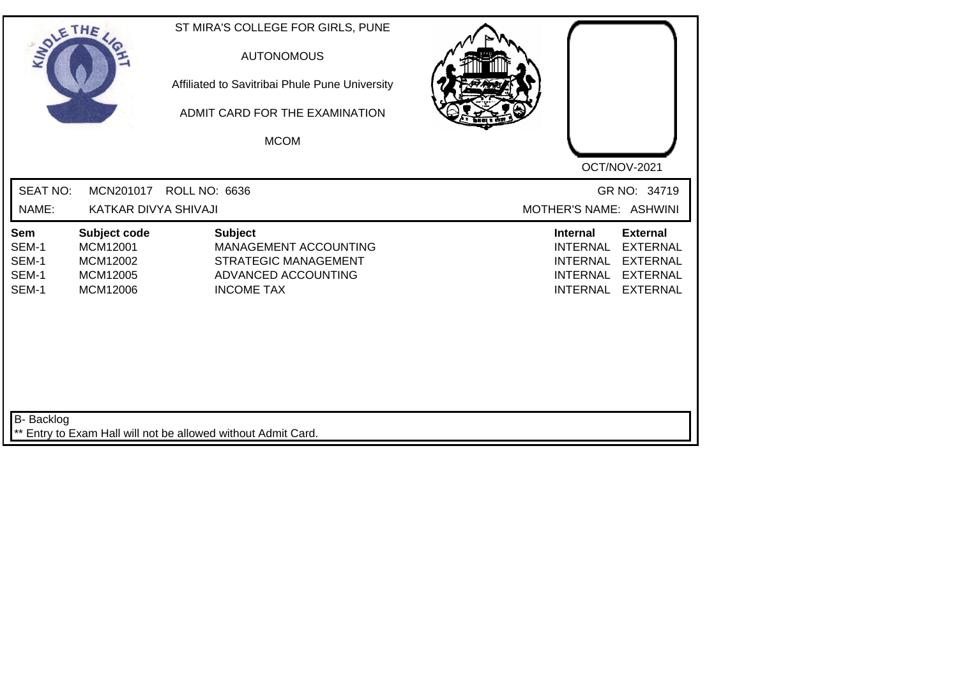| SOLE THE                                       |                                                              | ST MIRA'S COLLEGE FOR GIRLS, PUNE<br><b>AUTONOMOUS</b><br>Affiliated to Savitribai Phule Pune University<br>ADMIT CARD FOR THE EXAMINATION<br><b>MCOM</b> |                                                                                                                                                                           |
|------------------------------------------------|--------------------------------------------------------------|-----------------------------------------------------------------------------------------------------------------------------------------------------------|---------------------------------------------------------------------------------------------------------------------------------------------------------------------------|
|                                                |                                                              |                                                                                                                                                           | OCT/NOV-2021                                                                                                                                                              |
| <b>SEAT NO:</b><br>NAME:                       | MCN201017<br>KATKAR DIVYA SHIVAJI                            | <b>ROLL NO: 6636</b>                                                                                                                                      | GR NO: 34719<br>MOTHER'S NAME: ASHWINI                                                                                                                                    |
| <b>Sem</b><br>SEM-1<br>SEM-1<br>SEM-1<br>SEM-1 | Subject code<br>MCM12001<br>MCM12002<br>MCM12005<br>MCM12006 | <b>Subject</b><br>MANAGEMENT ACCOUNTING<br><b>STRATEGIC MANAGEMENT</b><br>ADVANCED ACCOUNTING<br><b>INCOME TAX</b>                                        | <b>External</b><br><b>Internal</b><br><b>INTERNAL</b><br><b>EXTERNAL</b><br>INTERNAL EXTERNAL<br><b>INTERNAL</b><br><b>EXTERNAL</b><br><b>INTERNAL</b><br><b>EXTERNAL</b> |
| <b>B-</b> Backlog                              |                                                              | ** Entry to Exam Hall will not be allowed without Admit Card.                                                                                             |                                                                                                                                                                           |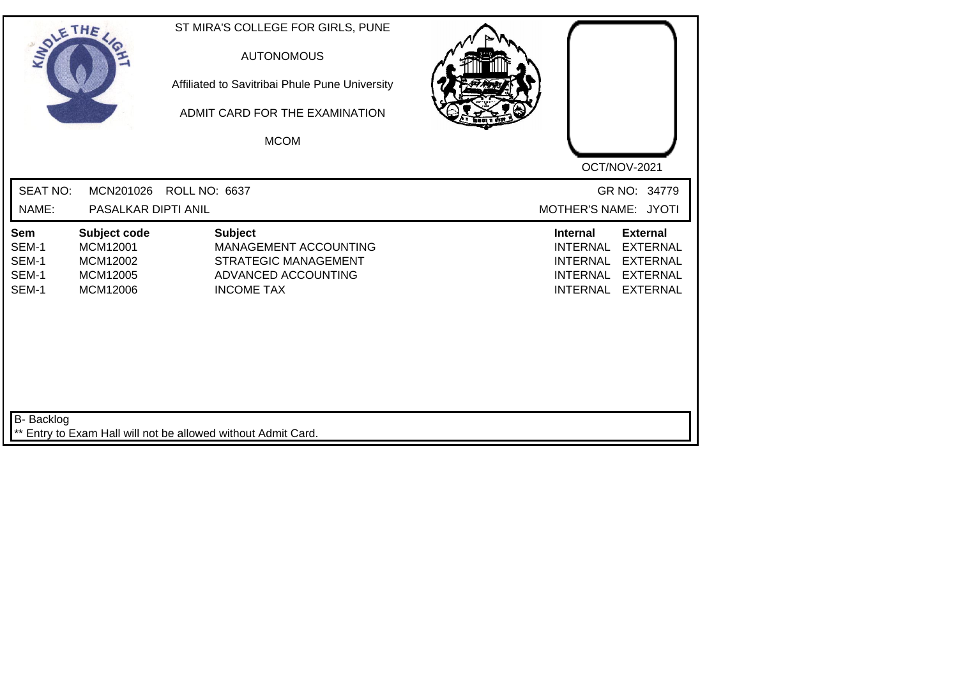| SOLETHE .                               |                                                              | ST MIRA'S COLLEGE FOR GIRLS, PUNE<br><b>AUTONOMOUS</b><br>Affiliated to Savitribai Phule Pune University<br>ADMIT CARD FOR THE EXAMINATION |                                                                                                                                                                                            |
|-----------------------------------------|--------------------------------------------------------------|--------------------------------------------------------------------------------------------------------------------------------------------|--------------------------------------------------------------------------------------------------------------------------------------------------------------------------------------------|
|                                         |                                                              | <b>MCOM</b>                                                                                                                                |                                                                                                                                                                                            |
|                                         |                                                              |                                                                                                                                            | OCT/NOV-2021                                                                                                                                                                               |
| <b>SEAT NO:</b>                         | MCN201026                                                    | <b>ROLL NO: 6637</b>                                                                                                                       | GR NO: 34779                                                                                                                                                                               |
| NAME:                                   | PASALKAR DIPTI ANIL                                          |                                                                                                                                            | MOTHER'S NAME: JYOTI                                                                                                                                                                       |
| Sem<br>SEM-1<br>SEM-1<br>SEM-1<br>SEM-1 | Subject code<br>MCM12001<br>MCM12002<br>MCM12005<br>MCM12006 | <b>Subject</b><br>MANAGEMENT ACCOUNTING<br><b>STRATEGIC MANAGEMENT</b><br>ADVANCED ACCOUNTING<br><b>INCOME TAX</b>                         | <b>External</b><br><b>Internal</b><br><b>INTERNAL</b><br><b>EXTERNAL</b><br><b>INTERNAL</b><br><b>EXTERNAL</b><br><b>INTERNAL</b><br><b>EXTERNAL</b><br><b>INTERNAL</b><br><b>EXTERNAL</b> |
| B- Backlog                              |                                                              | Entry to Exam Hall will not be allowed without Admit Card.                                                                                 |                                                                                                                                                                                            |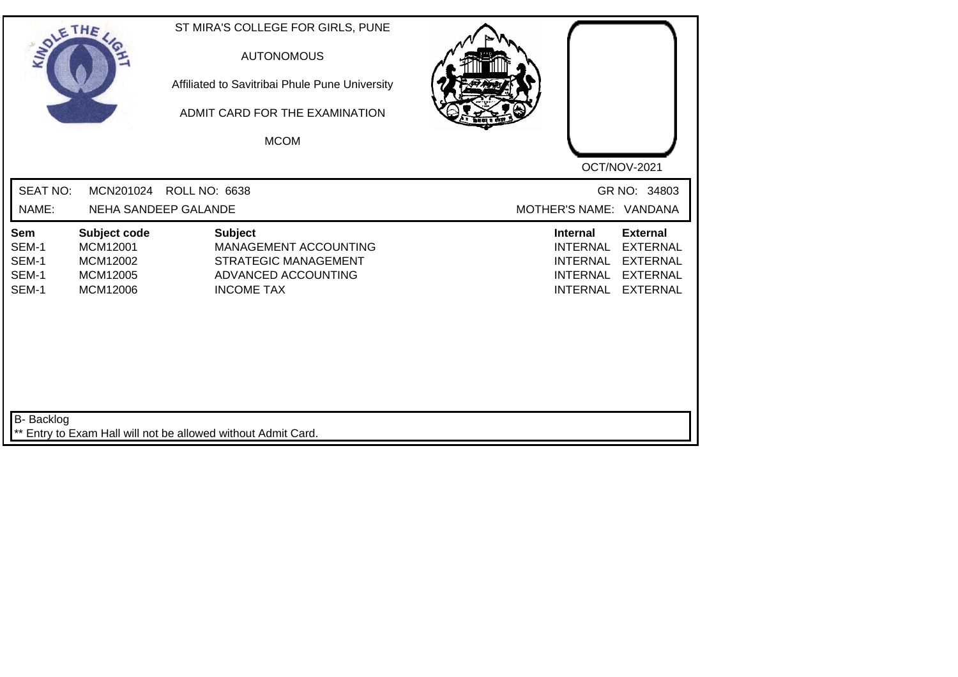| SOLETHE,                                |                                                              | ST MIRA'S COLLEGE FOR GIRLS, PUNE<br><b>AUTONOMOUS</b><br>Affiliated to Savitribai Phule Pune University<br>ADMIT CARD FOR THE EXAMINATION<br><b>MCOM</b> |                                                                                             | OCT/NOV-2021                                                                                |
|-----------------------------------------|--------------------------------------------------------------|-----------------------------------------------------------------------------------------------------------------------------------------------------------|---------------------------------------------------------------------------------------------|---------------------------------------------------------------------------------------------|
| <b>SEAT NO:</b><br>NAME:                |                                                              | MCN201024 ROLL NO: 6638<br>NEHA SANDEEP GALANDE                                                                                                           | MOTHER'S NAME: VANDANA                                                                      | GR NO: 34803                                                                                |
| Sem<br>SEM-1<br>SEM-1<br>SEM-1<br>SEM-1 | Subject code<br>MCM12001<br>MCM12002<br>MCM12005<br>MCM12006 | <b>Subject</b><br>MANAGEMENT ACCOUNTING<br><b>STRATEGIC MANAGEMENT</b><br>ADVANCED ACCOUNTING<br><b>INCOME TAX</b>                                        | <b>Internal</b><br><b>INTERNAL</b><br><b>INTERNAL</b><br><b>INTERNAL</b><br><b>INTERNAL</b> | <b>External</b><br><b>EXTERNAL</b><br><b>EXTERNAL</b><br><b>EXTERNAL</b><br><b>EXTERNAL</b> |
| <b>B-</b> Backlog                       |                                                              | ** Entry to Exam Hall will not be allowed without Admit Card.                                                                                             |                                                                                             |                                                                                             |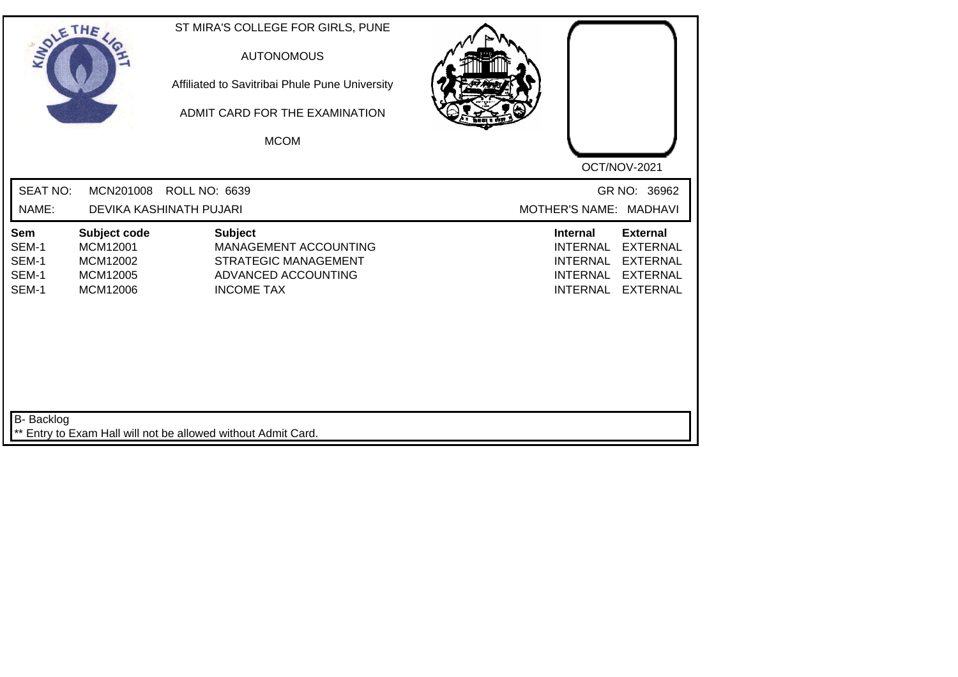| SOLETHE .                               |                                                              | ST MIRA'S COLLEGE FOR GIRLS, PUNE<br><b>AUTONOMOUS</b><br>Affiliated to Savitribai Phule Pune University<br>ADMIT CARD FOR THE EXAMINATION<br><b>MCOM</b> | OCT/NOV-2021                                                                                                                            |  |
|-----------------------------------------|--------------------------------------------------------------|-----------------------------------------------------------------------------------------------------------------------------------------------------------|-----------------------------------------------------------------------------------------------------------------------------------------|--|
| <b>SEAT NO:</b><br>NAME:                | MCN201008                                                    | <b>ROLL NO: 6639</b><br>DEVIKA KASHINATH PUJARI                                                                                                           | GR NO: 36962<br>MOTHER'S NAME: MADHAVI                                                                                                  |  |
| Sem<br>SEM-1<br>SEM-1<br>SEM-1<br>SEM-1 | Subject code<br>MCM12001<br>MCM12002<br>MCM12005<br>MCM12006 | <b>Subject</b><br>MANAGEMENT ACCOUNTING<br><b>STRATEGIC MANAGEMENT</b><br>ADVANCED ACCOUNTING<br><b>INCOME TAX</b>                                        | <b>External</b><br><b>Internal</b><br><b>INTERNAL</b><br><b>EXTERNAL</b><br>INTERNAL EXTERNAL<br>INTERNAL EXTERNAL<br>INTERNAL EXTERNAL |  |
| <b>B-</b> Backlog                       |                                                              | ** Entry to Exam Hall will not be allowed without Admit Card.                                                                                             |                                                                                                                                         |  |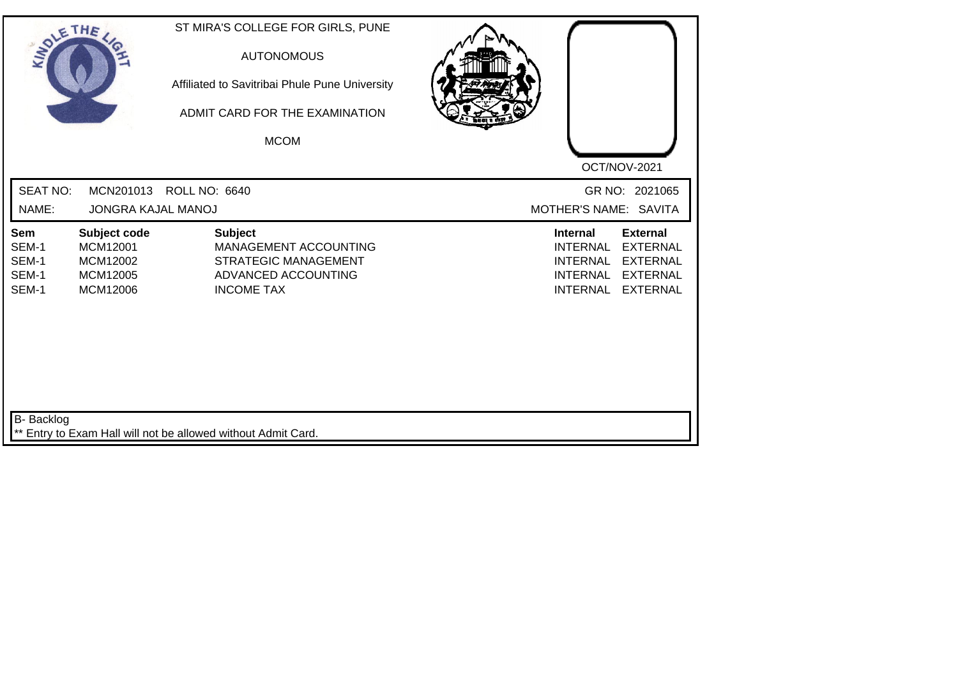| SOLE THE                                |                                                              | ST MIRA'S COLLEGE FOR GIRLS, PUNE<br><b>AUTONOMOUS</b><br>Affiliated to Savitribai Phule Pune University<br>ADMIT CARD FOR THE EXAMINATION |                                                                                                                                                                                            |
|-----------------------------------------|--------------------------------------------------------------|--------------------------------------------------------------------------------------------------------------------------------------------|--------------------------------------------------------------------------------------------------------------------------------------------------------------------------------------------|
|                                         |                                                              | <b>MCOM</b>                                                                                                                                |                                                                                                                                                                                            |
|                                         |                                                              |                                                                                                                                            | OCT/NOV-2021                                                                                                                                                                               |
| <b>SEAT NO:</b>                         |                                                              | MCN201013 ROLL NO: 6640                                                                                                                    | GR NO: 2021065                                                                                                                                                                             |
| NAME:                                   | JONGRA KAJAL MANOJ                                           |                                                                                                                                            | MOTHER'S NAME: SAVITA                                                                                                                                                                      |
| Sem<br>SEM-1<br>SEM-1<br>SEM-1<br>SEM-1 | Subject code<br>MCM12001<br>MCM12002<br>MCM12005<br>MCM12006 | <b>Subject</b><br>MANAGEMENT ACCOUNTING<br><b>STRATEGIC MANAGEMENT</b><br>ADVANCED ACCOUNTING<br><b>INCOME TAX</b>                         | <b>External</b><br><b>Internal</b><br><b>EXTERNAL</b><br><b>INTERNAL</b><br><b>INTERNAL</b><br><b>EXTERNAL</b><br><b>INTERNAL</b><br><b>EXTERNAL</b><br><b>INTERNAL</b><br><b>EXTERNAL</b> |
| <b>B-</b> Backlog                       |                                                              | ** Entry to Exam Hall will not be allowed without Admit Card.                                                                              |                                                                                                                                                                                            |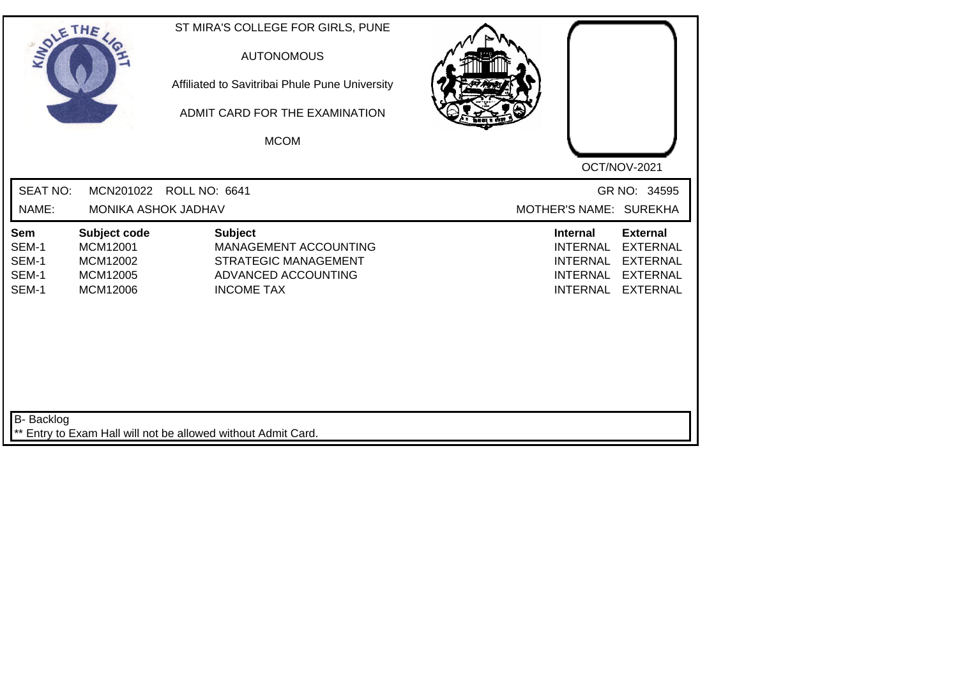| SOLETHE,                                |                                                              | ST MIRA'S COLLEGE FOR GIRLS, PUNE<br><b>AUTONOMOUS</b><br>Affiliated to Savitribai Phule Pune University<br>ADMIT CARD FOR THE EXAMINATION<br><b>MCOM</b> |                 |                                                                                                                                                                         |
|-----------------------------------------|--------------------------------------------------------------|-----------------------------------------------------------------------------------------------------------------------------------------------------------|-----------------|-------------------------------------------------------------------------------------------------------------------------------------------------------------------------|
| <b>SEAT NO:</b><br>NAME:                | MONIKA ASHOK JADHAV                                          | MCN201022 ROLL NO: 6641                                                                                                                                   |                 | OCT/NOV-2021<br>GR NO: 34595<br>MOTHER'S NAME: SUREKHA                                                                                                                  |
| Sem<br>SEM-1<br>SEM-1<br>SEM-1<br>SEM-1 | Subject code<br>MCM12001<br>MCM12002<br>MCM12005<br>MCM12006 | <b>Subject</b><br>MANAGEMENT ACCOUNTING<br><b>STRATEGIC MANAGEMENT</b><br>ADVANCED ACCOUNTING<br><b>INCOME TAX</b>                                        | <b>Internal</b> | <b>External</b><br><b>INTERNAL</b><br><b>EXTERNAL</b><br><b>EXTERNAL</b><br><b>INTERNAL</b><br><b>INTERNAL</b><br><b>EXTERNAL</b><br><b>INTERNAL</b><br><b>EXTERNAL</b> |
| <b>B-</b> Backlog                       |                                                              | ** Entry to Exam Hall will not be allowed without Admit Card.                                                                                             |                 |                                                                                                                                                                         |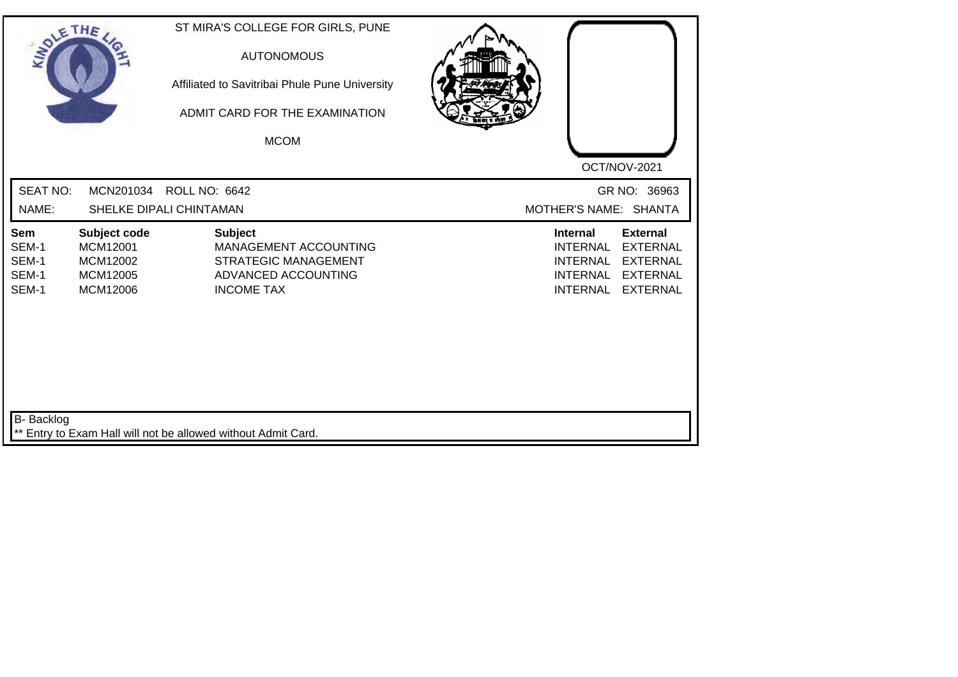| SOLETHE .                               |                                                              | ST MIRA'S COLLEGE FOR GIRLS, PUNE<br><b>AUTONOMOUS</b><br>Affiliated to Savitribai Phule Pune University<br>ADMIT CARD FOR THE EXAMINATION<br><b>MCOM</b> | OCT/NOV-2021                                                                                                                            |
|-----------------------------------------|--------------------------------------------------------------|-----------------------------------------------------------------------------------------------------------------------------------------------------------|-----------------------------------------------------------------------------------------------------------------------------------------|
| <b>SEAT NO:</b><br>NAME:                |                                                              | MCN201034 ROLL NO: 6642<br>SHELKE DIPALI CHINTAMAN                                                                                                        | GR NO: 36963<br>MOTHER'S NAME: SHANTA                                                                                                   |
| Sem<br>SEM-1<br>SEM-1<br>SEM-1<br>SEM-1 | Subject code<br>MCM12001<br>MCM12002<br>MCM12005<br>MCM12006 | <b>Subject</b><br>MANAGEMENT ACCOUNTING<br><b>STRATEGIC MANAGEMENT</b><br>ADVANCED ACCOUNTING<br><b>INCOME TAX</b>                                        | <b>External</b><br><b>Internal</b><br><b>INTERNAL</b><br><b>EXTERNAL</b><br>INTERNAL EXTERNAL<br>INTERNAL EXTERNAL<br>INTERNAL EXTERNAL |
| <b>B-</b> Backlog                       |                                                              | ** Entry to Exam Hall will not be allowed without Admit Card.                                                                                             |                                                                                                                                         |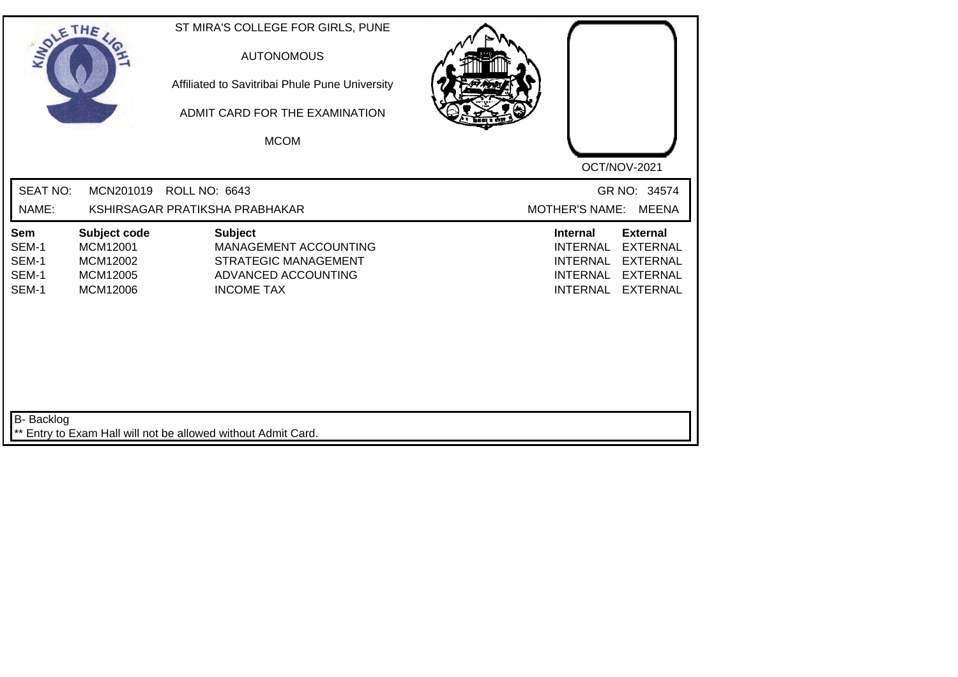| SOLETHE ,                               |                                                              | ST MIRA'S COLLEGE FOR GIRLS, PUNE<br><b>AUTONOMOUS</b><br>Affiliated to Savitribai Phule Pune University<br>ADMIT CARD FOR THE EXAMINATION<br><b>MCOM</b> | OCT/NOV-2021                                                                                                                                             |
|-----------------------------------------|--------------------------------------------------------------|-----------------------------------------------------------------------------------------------------------------------------------------------------------|----------------------------------------------------------------------------------------------------------------------------------------------------------|
| <b>SEAT NO:</b><br>NAME:                | MCN201019                                                    | <b>ROLL NO: 6643</b><br>KSHIRSAGAR PRATIKSHA PRABHAKAR                                                                                                    | GR NO: 34574<br><b>MOTHER'S NAME:</b><br><b>MEENA</b>                                                                                                    |
| Sem<br>SEM-1<br>SEM-1<br>SEM-1<br>SEM-1 | Subject code<br>MCM12001<br>MCM12002<br>MCM12005<br>MCM12006 | <b>Subject</b><br>MANAGEMENT ACCOUNTING<br><b>STRATEGIC MANAGEMENT</b><br>ADVANCED ACCOUNTING<br><b>INCOME TAX</b>                                        | <b>Internal</b><br><b>External</b><br><b>INTERNAL</b><br><b>EXTERNAL</b><br>INTERNAL EXTERNAL<br>INTERNAL EXTERNAL<br><b>INTERNAL</b><br><b>EXTERNAL</b> |
| <b>B-</b> Backlog                       |                                                              | ** Entry to Exam Hall will not be allowed without Admit Card.                                                                                             |                                                                                                                                                          |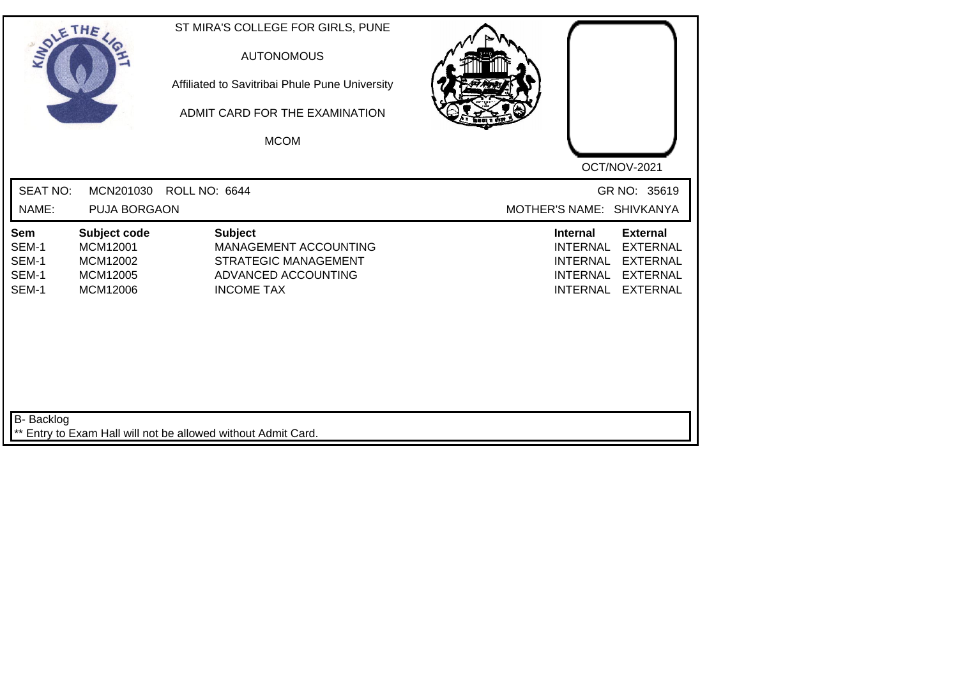| SOLETHE .                                                                                               | ST MIRA'S COLLEGE FOR GIRLS, PUNE<br><b>AUTONOMOUS</b><br>Affiliated to Savitribai Phule Pune University<br>ADMIT CARD FOR THE EXAMINATION<br><b>MCOM</b> |                                                                                                                                                                                            |
|---------------------------------------------------------------------------------------------------------|-----------------------------------------------------------------------------------------------------------------------------------------------------------|--------------------------------------------------------------------------------------------------------------------------------------------------------------------------------------------|
|                                                                                                         |                                                                                                                                                           | OCT/NOV-2021                                                                                                                                                                               |
| <b>SEAT NO:</b><br>MCN201030                                                                            | <b>ROLL NO: 6644</b>                                                                                                                                      | GR NO: 35619                                                                                                                                                                               |
| NAME:<br><b>PUJA BORGAON</b>                                                                            |                                                                                                                                                           | MOTHER'S NAME: SHIVKANYA                                                                                                                                                                   |
| Subject code<br>Sem<br>SEM-1<br>MCM12001<br>SEM-1<br>MCM12002<br>SEM-1<br>MCM12005<br>SEM-1<br>MCM12006 | <b>Subject</b><br>MANAGEMENT ACCOUNTING<br><b>STRATEGIC MANAGEMENT</b><br>ADVANCED ACCOUNTING<br><b>INCOME TAX</b>                                        | <b>Internal</b><br><b>External</b><br><b>INTERNAL</b><br><b>EXTERNAL</b><br><b>INTERNAL</b><br><b>EXTERNAL</b><br><b>INTERNAL</b><br><b>EXTERNAL</b><br><b>INTERNAL</b><br><b>EXTERNAL</b> |
| <b>B-</b> Backlog                                                                                       | ** Entry to Exam Hall will not be allowed without Admit Card.                                                                                             |                                                                                                                                                                                            |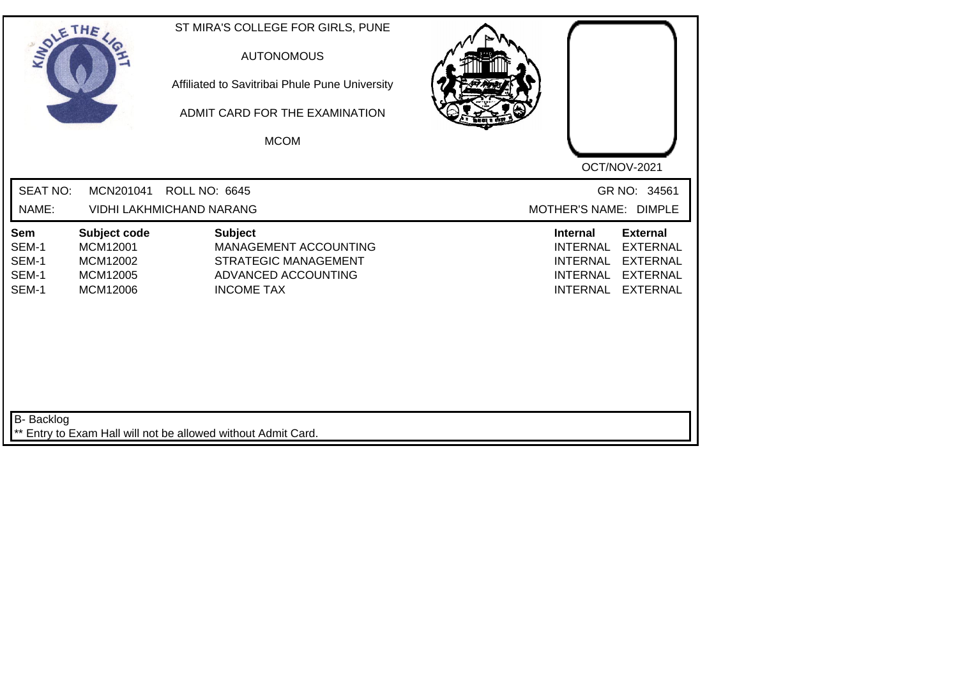| SOLETHE,                                |                                                              | ST MIRA'S COLLEGE FOR GIRLS, PUNE<br><b>AUTONOMOUS</b><br>Affiliated to Savitribai Phule Pune University<br>ADMIT CARD FOR THE EXAMINATION<br><b>MCOM</b> | OCT/NOV-2021                                                                                                                                                                               |
|-----------------------------------------|--------------------------------------------------------------|-----------------------------------------------------------------------------------------------------------------------------------------------------------|--------------------------------------------------------------------------------------------------------------------------------------------------------------------------------------------|
| <b>SEAT NO:</b><br>NAME:                | MCN201041                                                    | <b>ROLL NO: 6645</b><br><b>VIDHI LAKHMICHAND NARANG</b>                                                                                                   | GR NO: 34561<br>MOTHER'S NAME: DIMPLE                                                                                                                                                      |
| Sem<br>SEM-1<br>SEM-1<br>SEM-1<br>SEM-1 | Subject code<br>MCM12001<br>MCM12002<br>MCM12005<br>MCM12006 | <b>Subject</b><br>MANAGEMENT ACCOUNTING<br><b>STRATEGIC MANAGEMENT</b><br>ADVANCED ACCOUNTING<br><b>INCOME TAX</b>                                        | <b>Internal</b><br><b>External</b><br><b>INTERNAL</b><br><b>EXTERNAL</b><br><b>EXTERNAL</b><br><b>INTERNAL</b><br><b>INTERNAL</b><br><b>EXTERNAL</b><br><b>INTERNAL</b><br><b>EXTERNAL</b> |
| B- Backlog                              |                                                              | ** Entry to Exam Hall will not be allowed without Admit Card.                                                                                             |                                                                                                                                                                                            |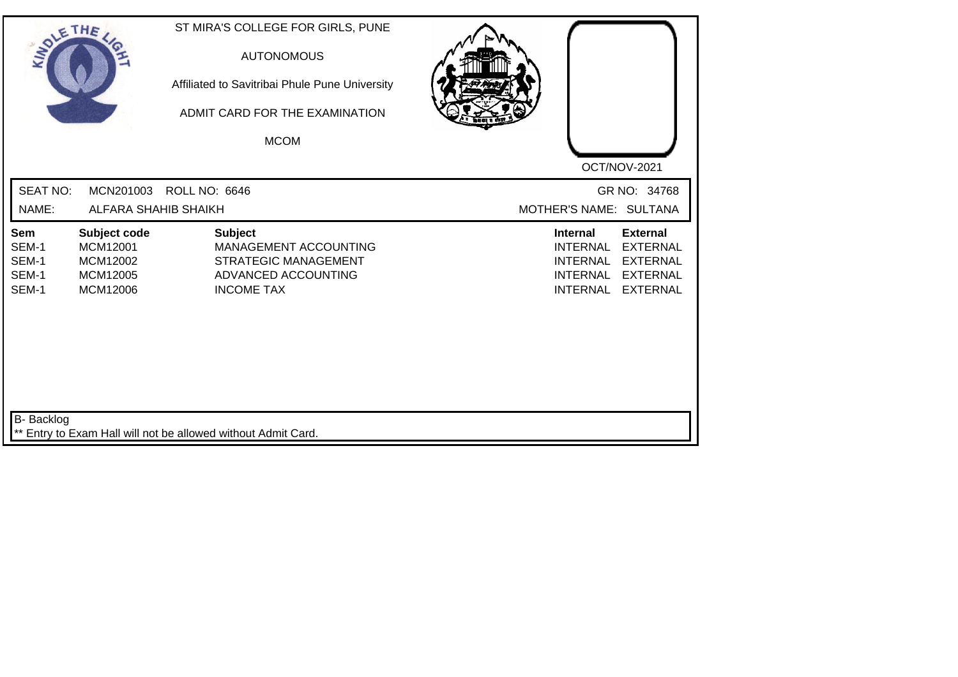| SOLETHE ,                               |                                                              | ST MIRA'S COLLEGE FOR GIRLS, PUNE<br><b>AUTONOMOUS</b><br>Affiliated to Savitribai Phule Pune University<br>ADMIT CARD FOR THE EXAMINATION<br><b>MCOM</b> |                                                                                                                                                                                            |
|-----------------------------------------|--------------------------------------------------------------|-----------------------------------------------------------------------------------------------------------------------------------------------------------|--------------------------------------------------------------------------------------------------------------------------------------------------------------------------------------------|
|                                         |                                                              |                                                                                                                                                           | OCT/NOV-2021                                                                                                                                                                               |
| <b>SEAT NO:</b>                         | MCN201003                                                    | <b>ROLL NO: 6646</b>                                                                                                                                      | GR NO: 34768                                                                                                                                                                               |
| NAME:                                   | ALFARA SHAHIB SHAIKH                                         |                                                                                                                                                           | MOTHER'S NAME: SULTANA                                                                                                                                                                     |
| Sem<br>SEM-1<br>SEM-1<br>SEM-1<br>SEM-1 | Subject code<br>MCM12001<br>MCM12002<br>MCM12005<br>MCM12006 | <b>Subject</b><br>MANAGEMENT ACCOUNTING<br><b>STRATEGIC MANAGEMENT</b><br>ADVANCED ACCOUNTING<br><b>INCOME TAX</b>                                        | <b>Internal</b><br><b>External</b><br><b>INTERNAL</b><br><b>EXTERNAL</b><br><b>EXTERNAL</b><br><b>INTERNAL</b><br><b>INTERNAL</b><br><b>EXTERNAL</b><br><b>INTERNAL</b><br><b>EXTERNAL</b> |
| B- Backlog                              |                                                              | ** Entry to Exam Hall will not be allowed without Admit Card.                                                                                             |                                                                                                                                                                                            |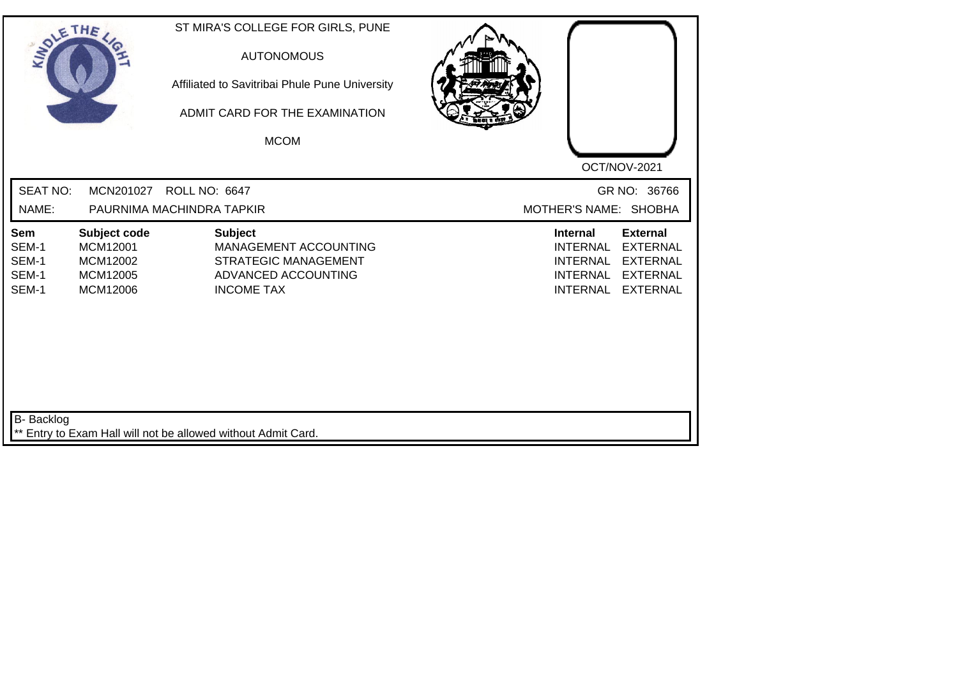| SOLE THE                                |                                                              | ST MIRA'S COLLEGE FOR GIRLS, PUNE<br><b>AUTONOMOUS</b><br>Affiliated to Savitribai Phule Pune University<br>ADMIT CARD FOR THE EXAMINATION<br><b>MCOM</b> |                                                                                                                                                          |
|-----------------------------------------|--------------------------------------------------------------|-----------------------------------------------------------------------------------------------------------------------------------------------------------|----------------------------------------------------------------------------------------------------------------------------------------------------------|
|                                         |                                                              |                                                                                                                                                           | OCT/NOV-2021                                                                                                                                             |
| <b>SEAT NO:</b>                         | MCN201027                                                    | <b>ROLL NO: 6647</b>                                                                                                                                      | GR NO: 36766                                                                                                                                             |
| NAME:                                   |                                                              | PAURNIMA MACHINDRA TAPKIR                                                                                                                                 | MOTHER'S NAME: SHOBHA                                                                                                                                    |
| Sem<br>SEM-1<br>SEM-1<br>SEM-1<br>SEM-1 | Subject code<br>MCM12001<br>MCM12002<br>MCM12005<br>MCM12006 | <b>Subject</b><br>MANAGEMENT ACCOUNTING<br><b>STRATEGIC MANAGEMENT</b><br>ADVANCED ACCOUNTING<br><b>INCOME TAX</b>                                        | <b>Internal</b><br><b>External</b><br><b>INTERNAL</b><br><b>EXTERNAL</b><br>INTERNAL EXTERNAL<br><b>INTERNAL</b><br><b>EXTERNAL</b><br>INTERNAL EXTERNAL |
| <b>B-</b> Backlog                       |                                                              | ** Entry to Exam Hall will not be allowed without Admit Card.                                                                                             |                                                                                                                                                          |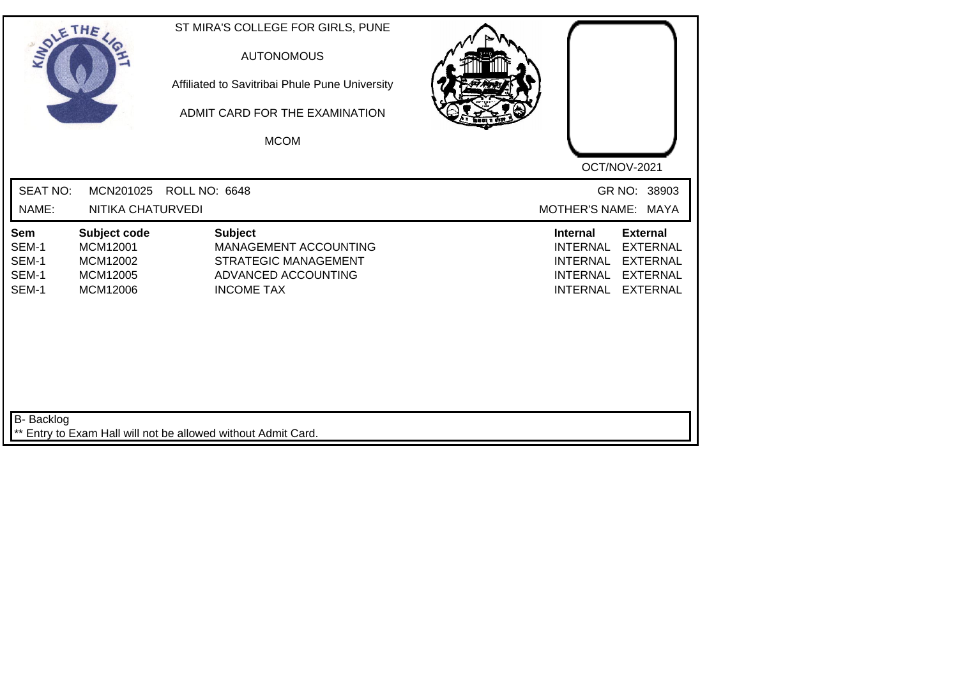| SOLE THE                                |                                                              | ST MIRA'S COLLEGE FOR GIRLS, PUNE<br><b>AUTONOMOUS</b><br>Affiliated to Savitribai Phule Pune University<br>ADMIT CARD FOR THE EXAMINATION |                                                                                                                                                                                            |
|-----------------------------------------|--------------------------------------------------------------|--------------------------------------------------------------------------------------------------------------------------------------------|--------------------------------------------------------------------------------------------------------------------------------------------------------------------------------------------|
|                                         |                                                              | <b>MCOM</b>                                                                                                                                |                                                                                                                                                                                            |
|                                         |                                                              |                                                                                                                                            | OCT/NOV-2021                                                                                                                                                                               |
| <b>SEAT NO:</b>                         | MCN201025                                                    | <b>ROLL NO: 6648</b>                                                                                                                       | GR NO: 38903                                                                                                                                                                               |
| NAME:                                   | NITIKA CHATURVEDI                                            |                                                                                                                                            | MOTHER'S NAME: MAYA                                                                                                                                                                        |
| Sem<br>SEM-1<br>SEM-1<br>SEM-1<br>SEM-1 | Subject code<br>MCM12001<br>MCM12002<br>MCM12005<br>MCM12006 | <b>Subject</b><br>MANAGEMENT ACCOUNTING<br><b>STRATEGIC MANAGEMENT</b><br>ADVANCED ACCOUNTING<br><b>INCOME TAX</b>                         | <b>External</b><br><b>Internal</b><br><b>INTERNAL</b><br><b>EXTERNAL</b><br><b>INTERNAL</b><br><b>EXTERNAL</b><br><b>INTERNAL</b><br><b>EXTERNAL</b><br><b>INTERNAL</b><br><b>EXTERNAL</b> |
| <b>B-</b> Backlog                       |                                                              | Entry to Exam Hall will not be allowed without Admit Card.                                                                                 |                                                                                                                                                                                            |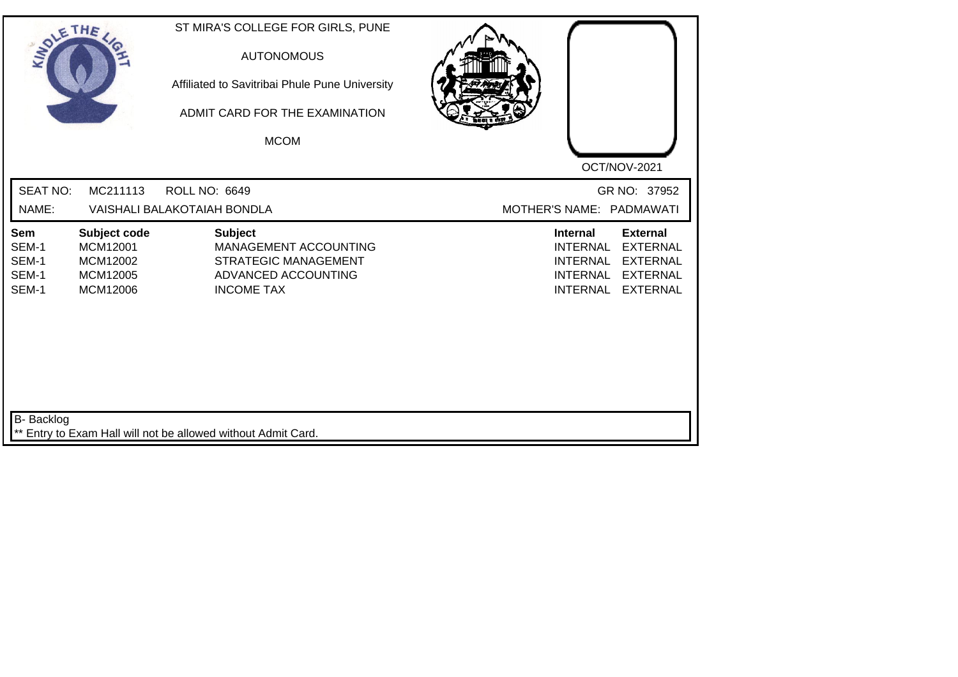| SOLETHE,                                |                                                              | ST MIRA'S COLLEGE FOR GIRLS, PUNE<br><b>AUTONOMOUS</b><br>Affiliated to Savitribai Phule Pune University<br>ADMIT CARD FOR THE EXAMINATION<br><b>MCOM</b> | OCT/NOV-2021                                                                                                                                                                               |
|-----------------------------------------|--------------------------------------------------------------|-----------------------------------------------------------------------------------------------------------------------------------------------------------|--------------------------------------------------------------------------------------------------------------------------------------------------------------------------------------------|
| <b>SEAT NO:</b><br>NAME:                | MC211113                                                     | <b>ROLL NO: 6649</b><br><b>VAISHALI BALAKOTAIAH BONDLA</b>                                                                                                | GR NO: 37952<br>MOTHER'S NAME: PADMAWATI                                                                                                                                                   |
| Sem<br>SEM-1<br>SEM-1<br>SEM-1<br>SEM-1 | Subject code<br>MCM12001<br>MCM12002<br>MCM12005<br>MCM12006 | <b>Subject</b><br>MANAGEMENT ACCOUNTING<br><b>STRATEGIC MANAGEMENT</b><br>ADVANCED ACCOUNTING<br><b>INCOME TAX</b>                                        | <b>Internal</b><br><b>External</b><br><b>INTERNAL</b><br><b>EXTERNAL</b><br><b>EXTERNAL</b><br><b>INTERNAL</b><br><b>INTERNAL</b><br><b>EXTERNAL</b><br><b>INTERNAL</b><br><b>EXTERNAL</b> |
| B- Backlog                              |                                                              | ** Entry to Exam Hall will not be allowed without Admit Card.                                                                                             |                                                                                                                                                                                            |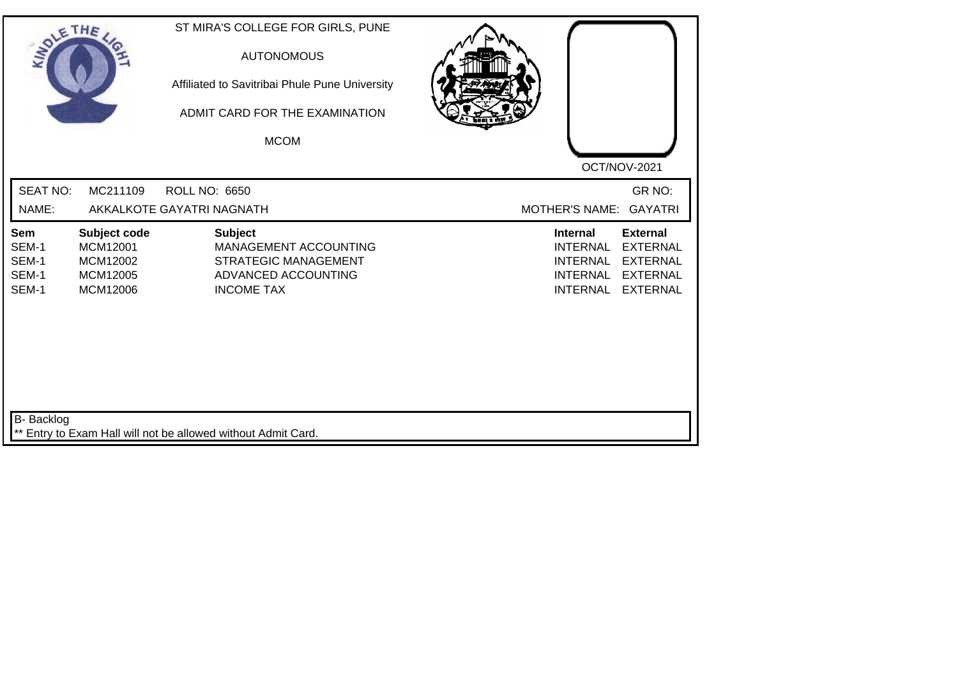| SOLETHE ,                               |                                                              | ST MIRA'S COLLEGE FOR GIRLS, PUNE<br><b>AUTONOMOUS</b><br>Affiliated to Savitribai Phule Pune University<br>ADMIT CARD FOR THE EXAMINATION<br><b>MCOM</b> |                                                                                                                                                                                     |
|-----------------------------------------|--------------------------------------------------------------|-----------------------------------------------------------------------------------------------------------------------------------------------------------|-------------------------------------------------------------------------------------------------------------------------------------------------------------------------------------|
|                                         |                                                              |                                                                                                                                                           | OCT/NOV-2021                                                                                                                                                                        |
| <b>SEAT NO:</b><br>NAME:                | MC211109                                                     | <b>ROLL NO: 6650</b><br>AKKALKOTE GAYATRI NAGNATH                                                                                                         | GR NO:<br>MOTHER'S NAME: GAYATRI                                                                                                                                                    |
| Sem<br>SEM-1<br>SEM-1<br>SEM-1<br>SEM-1 | Subject code<br>MCM12001<br>MCM12002<br>MCM12005<br>MCM12006 | <b>Subject</b><br>MANAGEMENT ACCOUNTING<br><b>STRATEGIC MANAGEMENT</b><br>ADVANCED ACCOUNTING<br><b>INCOME TAX</b>                                        | Internal<br><b>External</b><br><b>INTERNAL</b><br><b>EXTERNAL</b><br><b>EXTERNAL</b><br><b>INTERNAL</b><br><b>INTERNAL</b><br><b>EXTERNAL</b><br><b>INTERNAL</b><br><b>EXTERNAL</b> |
| <b>B-</b> Backlog                       |                                                              | ** Entry to Exam Hall will not be allowed without Admit Card.                                                                                             |                                                                                                                                                                                     |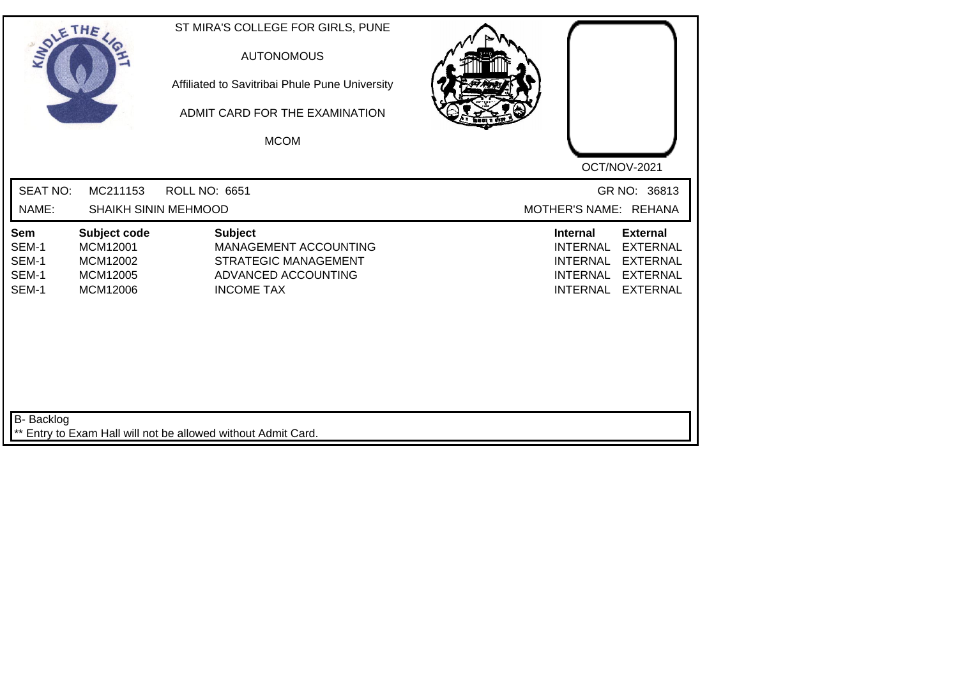| SOLETHE ,                               |                                                              | ST MIRA'S COLLEGE FOR GIRLS, PUNE<br><b>AUTONOMOUS</b><br>Affiliated to Savitribai Phule Pune University<br>ADMIT CARD FOR THE EXAMINATION<br><b>MCOM</b> |                                                                                                                                                                                            |
|-----------------------------------------|--------------------------------------------------------------|-----------------------------------------------------------------------------------------------------------------------------------------------------------|--------------------------------------------------------------------------------------------------------------------------------------------------------------------------------------------|
|                                         |                                                              |                                                                                                                                                           | OCT/NOV-2021                                                                                                                                                                               |
| <b>SEAT NO:</b><br>NAME:                | MC211153<br>SHAIKH SININ MEHMOOD                             | <b>ROLL NO: 6651</b>                                                                                                                                      | GR NO: 36813<br>MOTHER'S NAME: REHANA                                                                                                                                                      |
| Sem<br>SEM-1<br>SEM-1<br>SEM-1<br>SEM-1 | Subject code<br>MCM12001<br>MCM12002<br>MCM12005<br>MCM12006 | <b>Subject</b><br>MANAGEMENT ACCOUNTING<br><b>STRATEGIC MANAGEMENT</b><br>ADVANCED ACCOUNTING<br><b>INCOME TAX</b>                                        | <b>Internal</b><br><b>External</b><br><b>INTERNAL</b><br><b>EXTERNAL</b><br><b>INTERNAL</b><br><b>EXTERNAL</b><br><b>INTERNAL</b><br><b>EXTERNAL</b><br><b>INTERNAL</b><br><b>EXTERNAL</b> |
| B- Backlog                              |                                                              | ** Entry to Exam Hall will not be allowed without Admit Card.                                                                                             |                                                                                                                                                                                            |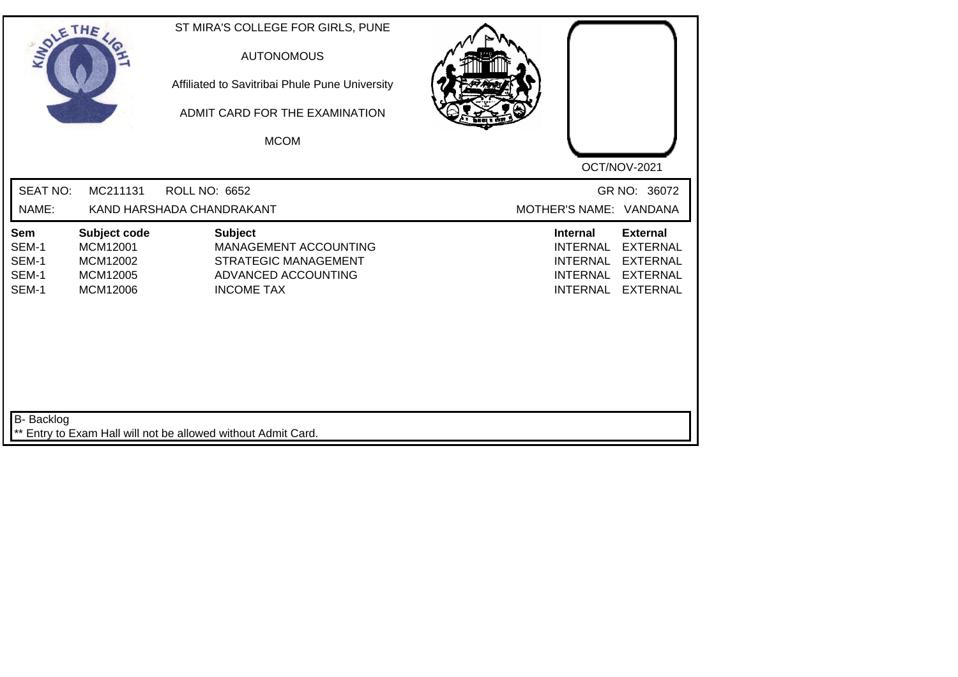| SOLETHE .                               |                                                              | ST MIRA'S COLLEGE FOR GIRLS, PUNE<br><b>AUTONOMOUS</b><br>Affiliated to Savitribai Phule Pune University<br>ADMIT CARD FOR THE EXAMINATION<br><b>MCOM</b> | OCT/NOV-2021                                                                                                                                                                               |  |
|-----------------------------------------|--------------------------------------------------------------|-----------------------------------------------------------------------------------------------------------------------------------------------------------|--------------------------------------------------------------------------------------------------------------------------------------------------------------------------------------------|--|
| <b>SEAT NO:</b><br>NAME:                | MC211131                                                     | <b>ROLL NO: 6652</b><br>KAND HARSHADA CHANDRAKANT                                                                                                         | GR NO: 36072<br>MOTHER'S NAME: VANDANA                                                                                                                                                     |  |
| Sem<br>SEM-1<br>SEM-1<br>SEM-1<br>SEM-1 | Subject code<br>MCM12001<br>MCM12002<br>MCM12005<br>MCM12006 | <b>Subject</b><br>MANAGEMENT ACCOUNTING<br><b>STRATEGIC MANAGEMENT</b><br>ADVANCED ACCOUNTING<br><b>INCOME TAX</b>                                        | <b>Internal</b><br><b>External</b><br><b>INTERNAL</b><br><b>EXTERNAL</b><br><b>EXTERNAL</b><br><b>INTERNAL</b><br><b>INTERNAL</b><br><b>EXTERNAL</b><br><b>INTERNAL</b><br><b>EXTERNAL</b> |  |
| B- Backlog                              |                                                              | ** Entry to Exam Hall will not be allowed without Admit Card.                                                                                             |                                                                                                                                                                                            |  |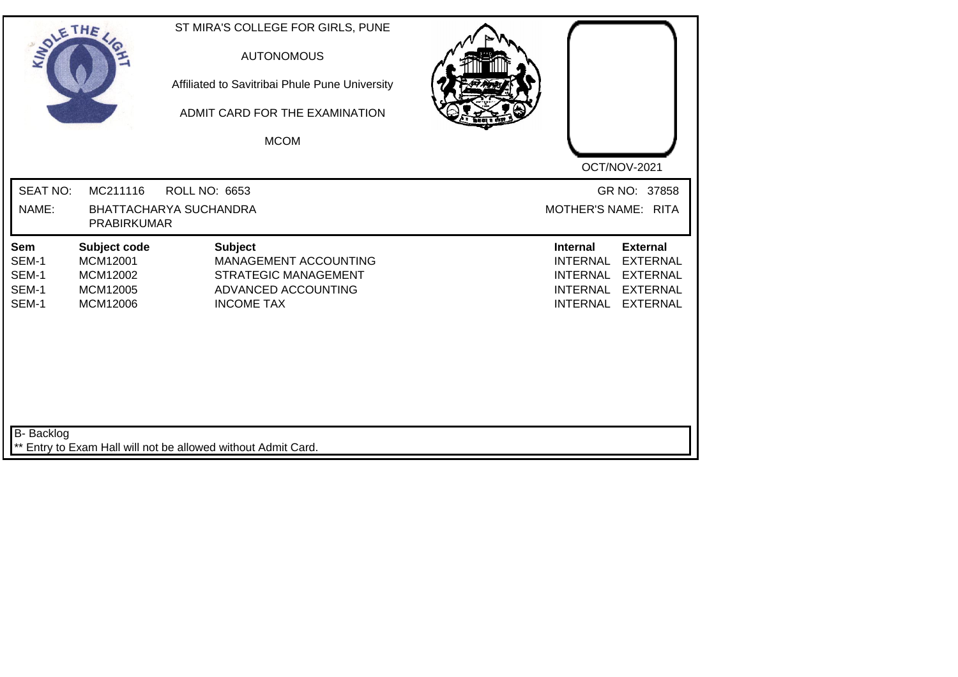| SOLE THE                                |                                                              | ST MIRA'S COLLEGE FOR GIRLS, PUNE<br><b>AUTONOMOUS</b><br>Affiliated to Savitribai Phule Pune University<br>ADMIT CARD FOR THE EXAMINATION<br><b>MCOM</b> | OCT/NOV-2021                                                                                                                                                                               |
|-----------------------------------------|--------------------------------------------------------------|-----------------------------------------------------------------------------------------------------------------------------------------------------------|--------------------------------------------------------------------------------------------------------------------------------------------------------------------------------------------|
| <b>SEAT NO:</b><br>NAME:                | MC211116<br><b>PRABIRKUMAR</b>                               | ROLL NO: 6653<br>BHATTACHARYA SUCHANDRA                                                                                                                   | GR NO: 37858<br>MOTHER'S NAME: RITA                                                                                                                                                        |
| Sem<br>SEM-1<br>SEM-1<br>SEM-1<br>SEM-1 | Subject code<br>MCM12001<br>MCM12002<br>MCM12005<br>MCM12006 | <b>Subject</b><br>MANAGEMENT ACCOUNTING<br><b>STRATEGIC MANAGEMENT</b><br>ADVANCED ACCOUNTING<br><b>INCOME TAX</b>                                        | <b>Internal</b><br><b>External</b><br><b>INTERNAL</b><br><b>EXTERNAL</b><br><b>INTERNAL</b><br><b>EXTERNAL</b><br><b>INTERNAL</b><br><b>EXTERNAL</b><br><b>INTERNAL</b><br><b>EXTERNAL</b> |
| <b>B-</b> Backlog                       |                                                              | ** Entry to Exam Hall will not be allowed without Admit Card.                                                                                             |                                                                                                                                                                                            |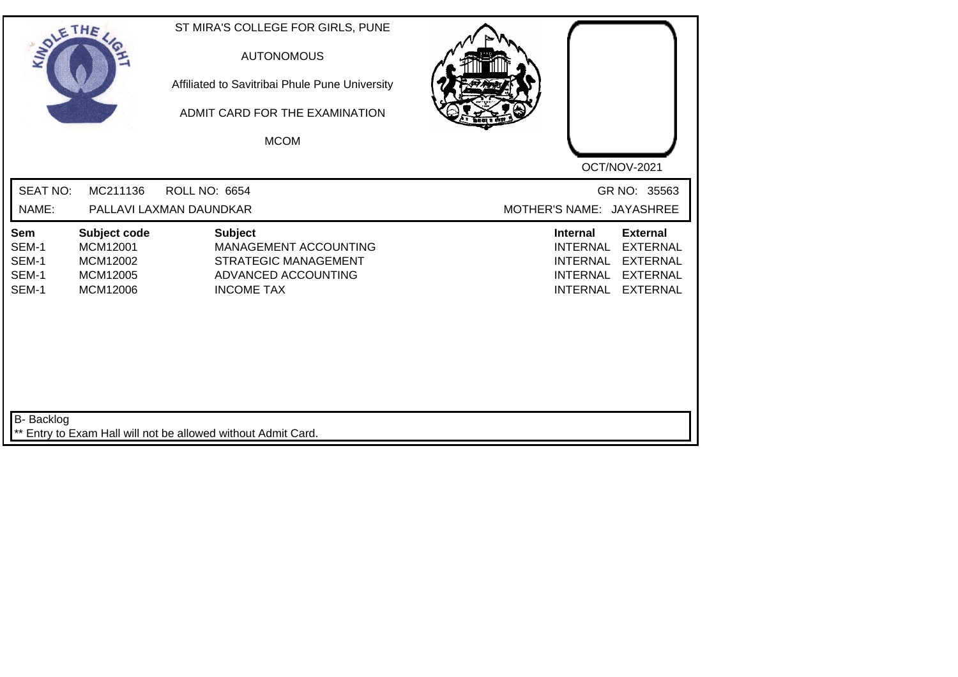| SOLETHE,                                |                                                              | ST MIRA'S COLLEGE FOR GIRLS, PUNE<br><b>AUTONOMOUS</b><br>Affiliated to Savitribai Phule Pune University<br>ADMIT CARD FOR THE EXAMINATION<br><b>MCOM</b> | OCT/NOV-2021                                                                                                                                             |
|-----------------------------------------|--------------------------------------------------------------|-----------------------------------------------------------------------------------------------------------------------------------------------------------|----------------------------------------------------------------------------------------------------------------------------------------------------------|
| <b>SEAT NO:</b><br>NAME:                | MC211136                                                     | <b>ROLL NO: 6654</b><br>PALLAVI LAXMAN DAUNDKAR                                                                                                           | GR NO: 35563<br>MOTHER'S NAME: JAYASHREE                                                                                                                 |
| Sem<br>SEM-1<br>SEM-1<br>SEM-1<br>SEM-1 | Subject code<br>MCM12001<br>MCM12002<br>MCM12005<br>MCM12006 | <b>Subject</b><br>MANAGEMENT ACCOUNTING<br><b>STRATEGIC MANAGEMENT</b><br>ADVANCED ACCOUNTING<br><b>INCOME TAX</b>                                        | <b>External</b><br><b>Internal</b><br><b>INTERNAL</b><br><b>EXTERNAL</b><br>INTERNAL EXTERNAL<br>INTERNAL EXTERNAL<br><b>INTERNAL</b><br><b>EXTERNAL</b> |
| <b>B-</b> Backlog                       |                                                              | ** Entry to Exam Hall will not be allowed without Admit Card.                                                                                             |                                                                                                                                                          |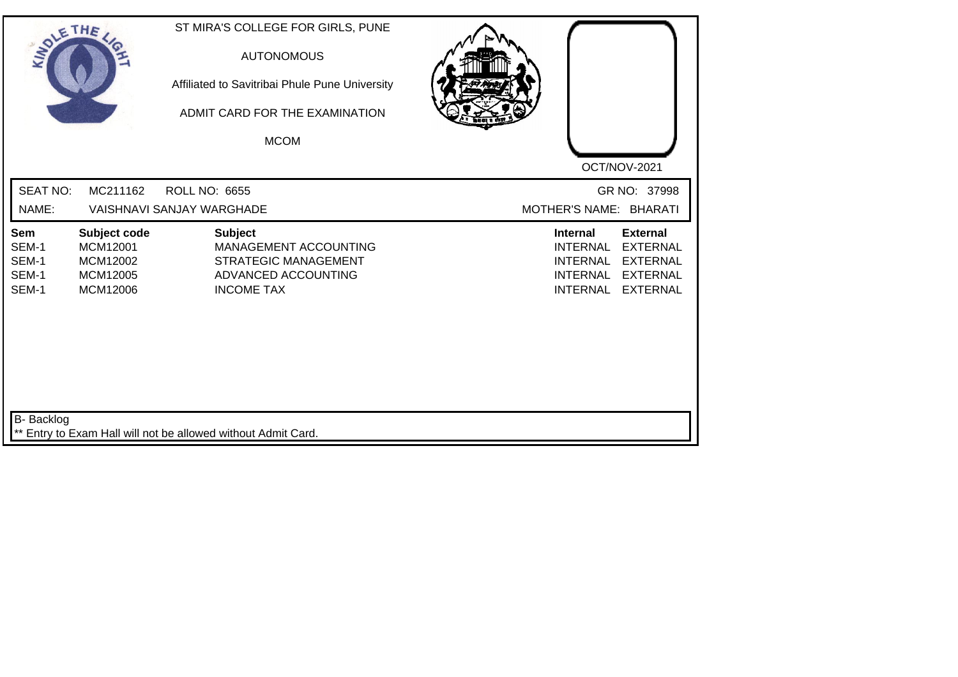| SOLETHE,                                |                                                              | ST MIRA'S COLLEGE FOR GIRLS, PUNE<br><b>AUTONOMOUS</b><br>Affiliated to Savitribai Phule Pune University<br>ADMIT CARD FOR THE EXAMINATION<br><b>MCOM</b> | OCT/NOV-2021                                                                                                                                                                               |
|-----------------------------------------|--------------------------------------------------------------|-----------------------------------------------------------------------------------------------------------------------------------------------------------|--------------------------------------------------------------------------------------------------------------------------------------------------------------------------------------------|
| <b>SEAT NO:</b><br>NAME:                | MC211162                                                     | <b>ROLL NO: 6655</b><br><b>VAISHNAVI SANJAY WARGHADE</b>                                                                                                  | GR NO: 37998<br>MOTHER'S NAME: BHARATI                                                                                                                                                     |
| Sem<br>SEM-1<br>SEM-1<br>SEM-1<br>SEM-1 | Subject code<br>MCM12001<br>MCM12002<br>MCM12005<br>MCM12006 | <b>Subject</b><br>MANAGEMENT ACCOUNTING<br><b>STRATEGIC MANAGEMENT</b><br>ADVANCED ACCOUNTING<br><b>INCOME TAX</b>                                        | <b>Internal</b><br><b>External</b><br><b>INTERNAL</b><br><b>EXTERNAL</b><br><b>EXTERNAL</b><br><b>INTERNAL</b><br><b>INTERNAL</b><br><b>EXTERNAL</b><br><b>INTERNAL</b><br><b>EXTERNAL</b> |
| B- Backlog                              |                                                              | ** Entry to Exam Hall will not be allowed without Admit Card.                                                                                             |                                                                                                                                                                                            |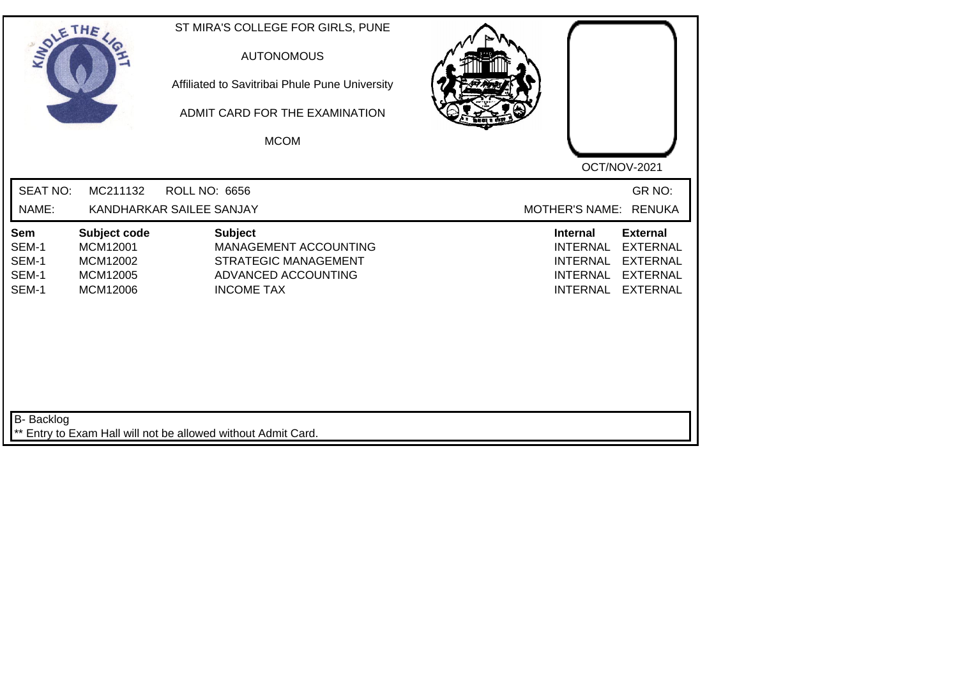| SOLETHE .                               |                                                              | ST MIRA'S COLLEGE FOR GIRLS, PUNE<br><b>AUTONOMOUS</b><br>Affiliated to Savitribai Phule Pune University<br>ADMIT CARD FOR THE EXAMINATION<br><b>MCOM</b> |                                                                                                                                                                                            |
|-----------------------------------------|--------------------------------------------------------------|-----------------------------------------------------------------------------------------------------------------------------------------------------------|--------------------------------------------------------------------------------------------------------------------------------------------------------------------------------------------|
|                                         |                                                              |                                                                                                                                                           | OCT/NOV-2021                                                                                                                                                                               |
| <b>SEAT NO:</b><br>NAME:                | MC211132                                                     | <b>ROLL NO: 6656</b><br>KANDHARKAR SAILEE SANJAY                                                                                                          | GR NO:<br><b>MOTHER'S NAME:</b><br><b>RENUKA</b>                                                                                                                                           |
| Sem<br>SEM-1<br>SEM-1<br>SEM-1<br>SEM-1 | Subject code<br>MCM12001<br>MCM12002<br>MCM12005<br>MCM12006 | <b>Subject</b><br>MANAGEMENT ACCOUNTING<br><b>STRATEGIC MANAGEMENT</b><br>ADVANCED ACCOUNTING<br><b>INCOME TAX</b>                                        | <b>Internal</b><br><b>External</b><br><b>INTERNAL</b><br><b>EXTERNAL</b><br><b>INTERNAL</b><br><b>EXTERNAL</b><br><b>INTERNAL</b><br><b>EXTERNAL</b><br><b>INTERNAL</b><br><b>EXTERNAL</b> |
| <b>B-</b> Backlog                       |                                                              | ** Entry to Exam Hall will not be allowed without Admit Card.                                                                                             |                                                                                                                                                                                            |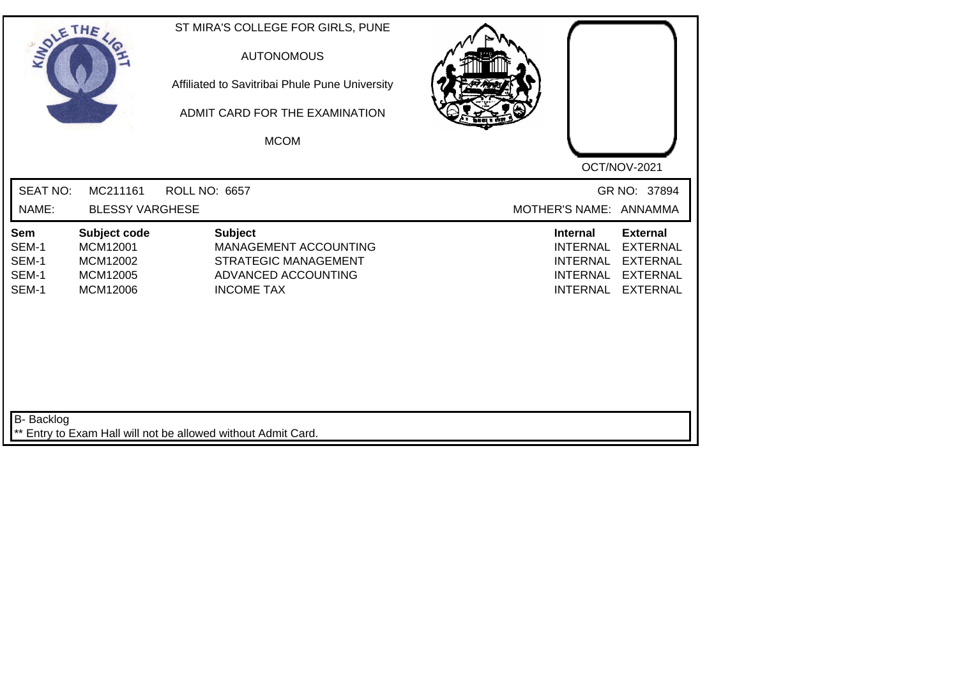| SOLETHE ,                               |                                                              | ST MIRA'S COLLEGE FOR GIRLS, PUNE<br><b>AUTONOMOUS</b><br>Affiliated to Savitribai Phule Pune University<br>ADMIT CARD FOR THE EXAMINATION<br><b>MCOM</b> |                                                                                             |                                                                                             |
|-----------------------------------------|--------------------------------------------------------------|-----------------------------------------------------------------------------------------------------------------------------------------------------------|---------------------------------------------------------------------------------------------|---------------------------------------------------------------------------------------------|
| <b>SEAT NO:</b><br>NAME:                | MC211161<br><b>BLESSY VARGHESE</b>                           | ROLL NO: 6657                                                                                                                                             | MOTHER'S NAME: ANNAMMA                                                                      | OCT/NOV-2021<br>GR NO: 37894                                                                |
| Sem<br>SEM-1<br>SEM-1<br>SEM-1<br>SEM-1 | Subject code<br>MCM12001<br>MCM12002<br>MCM12005<br>MCM12006 | <b>Subject</b><br>MANAGEMENT ACCOUNTING<br><b>STRATEGIC MANAGEMENT</b><br>ADVANCED ACCOUNTING<br><b>INCOME TAX</b>                                        | <b>Internal</b><br><b>INTERNAL</b><br><b>INTERNAL</b><br><b>INTERNAL</b><br><b>INTERNAL</b> | <b>External</b><br><b>EXTERNAL</b><br><b>EXTERNAL</b><br><b>EXTERNAL</b><br><b>EXTERNAL</b> |
| <b>B-</b> Backlog                       |                                                              | ** Entry to Exam Hall will not be allowed without Admit Card.                                                                                             |                                                                                             |                                                                                             |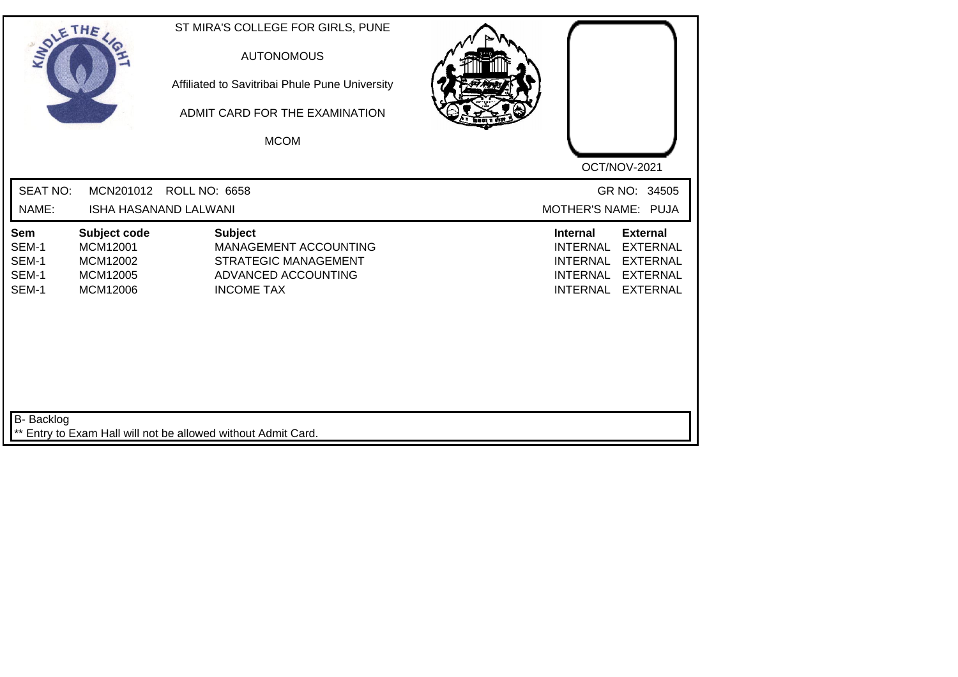| SOLETHE .                               |                                                              | ST MIRA'S COLLEGE FOR GIRLS, PUNE<br><b>AUTONOMOUS</b><br>Affiliated to Savitribai Phule Pune University<br>ADMIT CARD FOR THE EXAMINATION<br><b>MCOM</b> |                                                                                                                                                          |
|-----------------------------------------|--------------------------------------------------------------|-----------------------------------------------------------------------------------------------------------------------------------------------------------|----------------------------------------------------------------------------------------------------------------------------------------------------------|
|                                         |                                                              |                                                                                                                                                           | OCT/NOV-2021                                                                                                                                             |
| <b>SEAT NO:</b><br>NAME:                |                                                              | MCN201012 ROLL NO: 6658<br><b>ISHA HASANAND LALWANI</b>                                                                                                   | GR NO: 34505<br>MOTHER'S NAME: PUJA                                                                                                                      |
| Sem<br>SEM-1<br>SEM-1<br>SEM-1<br>SEM-1 | Subject code<br>MCM12001<br>MCM12002<br>MCM12005<br>MCM12006 | <b>Subject</b><br>MANAGEMENT ACCOUNTING<br><b>STRATEGIC MANAGEMENT</b><br>ADVANCED ACCOUNTING<br><b>INCOME TAX</b>                                        | <b>Internal</b><br><b>External</b><br><b>INTERNAL</b><br><b>EXTERNAL</b><br>INTERNAL EXTERNAL<br><b>INTERNAL</b><br><b>EXTERNAL</b><br>INTERNAL EXTERNAL |
| <b>B-</b> Backlog                       |                                                              | ** Entry to Exam Hall will not be allowed without Admit Card.                                                                                             |                                                                                                                                                          |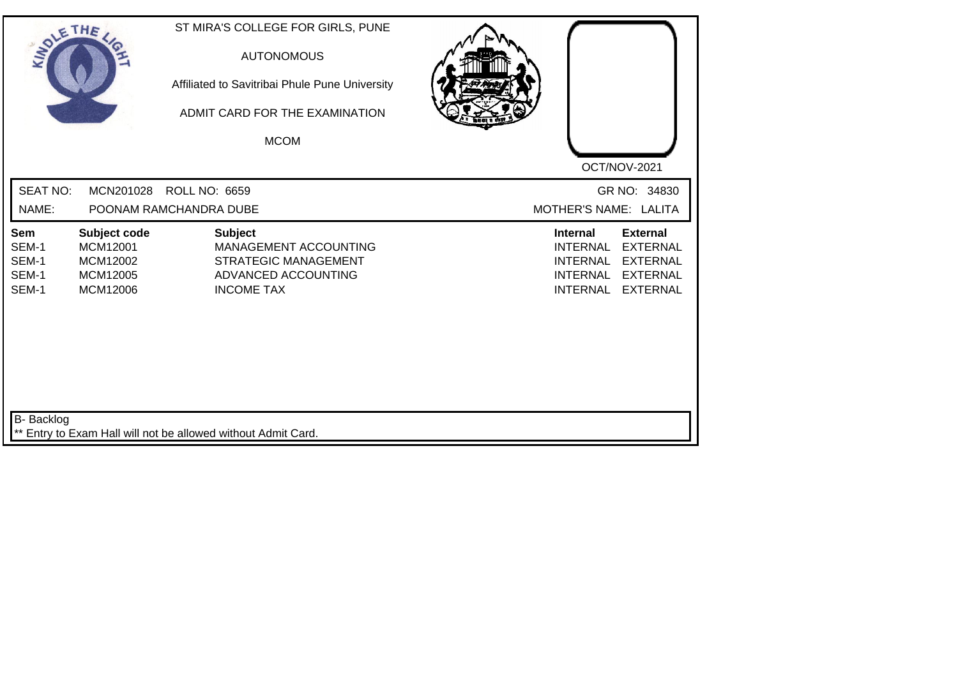| SOLETHE .                               |                                                              | ST MIRA'S COLLEGE FOR GIRLS, PUNE<br><b>AUTONOMOUS</b><br>Affiliated to Savitribai Phule Pune University<br>ADMIT CARD FOR THE EXAMINATION<br><b>MCOM</b> | OCT/NOV-2021                                                                                                                            |
|-----------------------------------------|--------------------------------------------------------------|-----------------------------------------------------------------------------------------------------------------------------------------------------------|-----------------------------------------------------------------------------------------------------------------------------------------|
| <b>SEAT NO:</b><br>NAME:                | MCN201028                                                    | ROLL NO: 6659<br>POONAM RAMCHANDRA DUBE                                                                                                                   | GR NO: 34830<br>MOTHER'S NAME: LALITA                                                                                                   |
| Sem<br>SEM-1<br>SEM-1<br>SEM-1<br>SEM-1 | Subject code<br>MCM12001<br>MCM12002<br>MCM12005<br>MCM12006 | <b>Subject</b><br>MANAGEMENT ACCOUNTING<br><b>STRATEGIC MANAGEMENT</b><br>ADVANCED ACCOUNTING<br><b>INCOME TAX</b>                                        | <b>Internal</b><br><b>External</b><br><b>INTERNAL</b><br><b>EXTERNAL</b><br>INTERNAL EXTERNAL<br>INTERNAL EXTERNAL<br>INTERNAL EXTERNAL |
| <b>B-</b> Backlog                       |                                                              | ** Entry to Exam Hall will not be allowed without Admit Card.                                                                                             |                                                                                                                                         |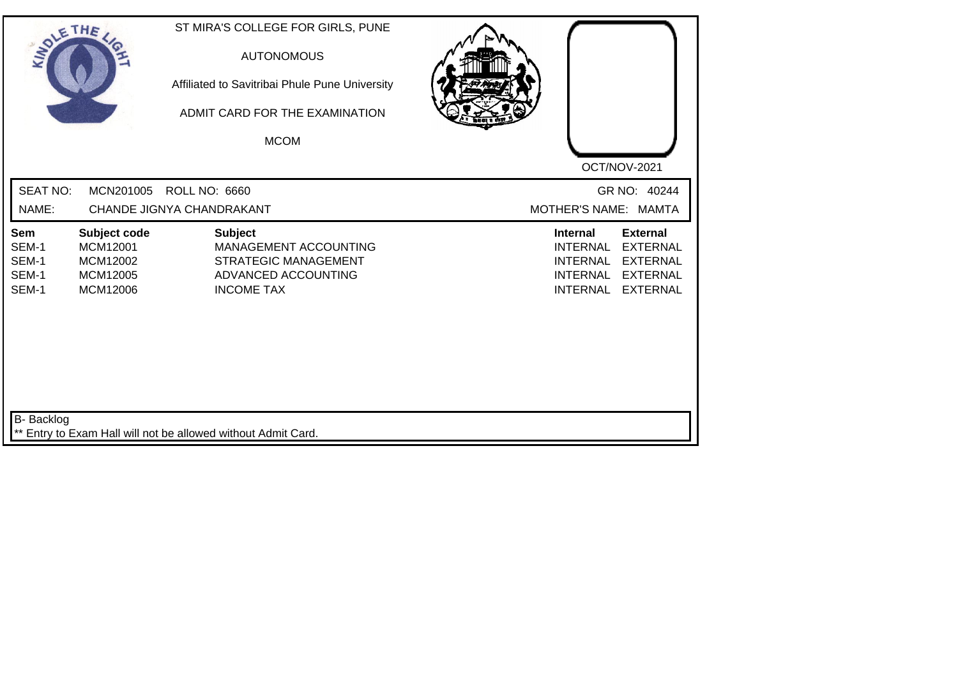| SOLETHE .<br><b>AUTONOMOUS</b><br>Affiliated to Savitribai Phule Pune University<br>ADMIT CARD FOR THE EXAMINATION<br><b>MCOM</b>                                                                                                                                                                                                                                                         |  |
|-------------------------------------------------------------------------------------------------------------------------------------------------------------------------------------------------------------------------------------------------------------------------------------------------------------------------------------------------------------------------------------------|--|
| OCT/NOV-2021                                                                                                                                                                                                                                                                                                                                                                              |  |
| <b>SEAT NO:</b><br>GR NO: 40244<br>MCN201005<br><b>ROLL NO: 6660</b>                                                                                                                                                                                                                                                                                                                      |  |
| NAME:<br>CHANDE JIGNYA CHANDRAKANT<br>MOTHER'S NAME: MAMTA                                                                                                                                                                                                                                                                                                                                |  |
| Subject code<br><b>Subject</b><br><b>Internal</b><br><b>External</b><br>Sem<br>SEM-1<br>MANAGEMENT ACCOUNTING<br><b>INTERNAL</b><br><b>EXTERNAL</b><br>MCM12001<br>SEM-1<br><b>STRATEGIC MANAGEMENT</b><br>INTERNAL EXTERNAL<br>MCM12002<br>SEM-1<br><b>INTERNAL</b><br><b>EXTERNAL</b><br>MCM12005<br>ADVANCED ACCOUNTING<br>SEM-1<br>MCM12006<br><b>INCOME TAX</b><br>INTERNAL EXTERNAL |  |
| B- Backlog<br>** Entry to Exam Hall will not be allowed without Admit Card.                                                                                                                                                                                                                                                                                                               |  |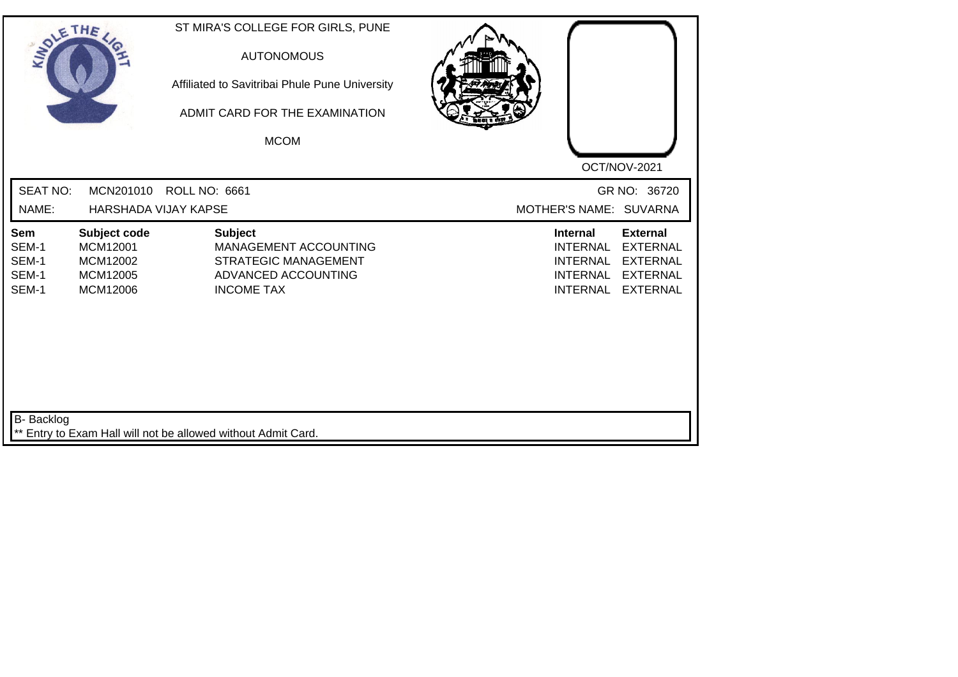| SOLE THE                                |                                                              | ST MIRA'S COLLEGE FOR GIRLS, PUNE<br><b>AUTONOMOUS</b><br>Affiliated to Savitribai Phule Pune University<br>ADMIT CARD FOR THE EXAMINATION |  |                                                                                             |                                                                                             |
|-----------------------------------------|--------------------------------------------------------------|--------------------------------------------------------------------------------------------------------------------------------------------|--|---------------------------------------------------------------------------------------------|---------------------------------------------------------------------------------------------|
|                                         |                                                              | <b>MCOM</b>                                                                                                                                |  |                                                                                             |                                                                                             |
|                                         |                                                              |                                                                                                                                            |  |                                                                                             | OCT/NOV-2021                                                                                |
| <b>SEAT NO:</b>                         | MCN201010                                                    | <b>ROLL NO: 6661</b>                                                                                                                       |  |                                                                                             | GR NO: 36720                                                                                |
| NAME:                                   | <b>HARSHADA VIJAY KAPSE</b>                                  |                                                                                                                                            |  | MOTHER'S NAME: SUVARNA                                                                      |                                                                                             |
| Sem<br>SEM-1<br>SEM-1<br>SEM-1<br>SEM-1 | Subject code<br>MCM12001<br>MCM12002<br>MCM12005<br>MCM12006 | <b>Subject</b><br>MANAGEMENT ACCOUNTING<br><b>STRATEGIC MANAGEMENT</b><br>ADVANCED ACCOUNTING<br><b>INCOME TAX</b>                         |  | <b>Internal</b><br><b>INTERNAL</b><br><b>INTERNAL</b><br><b>INTERNAL</b><br><b>INTERNAL</b> | <b>External</b><br><b>EXTERNAL</b><br><b>EXTERNAL</b><br><b>EXTERNAL</b><br><b>EXTERNAL</b> |
| B- Backlog                              |                                                              | ** Entry to Exam Hall will not be allowed without Admit Card.                                                                              |  |                                                                                             |                                                                                             |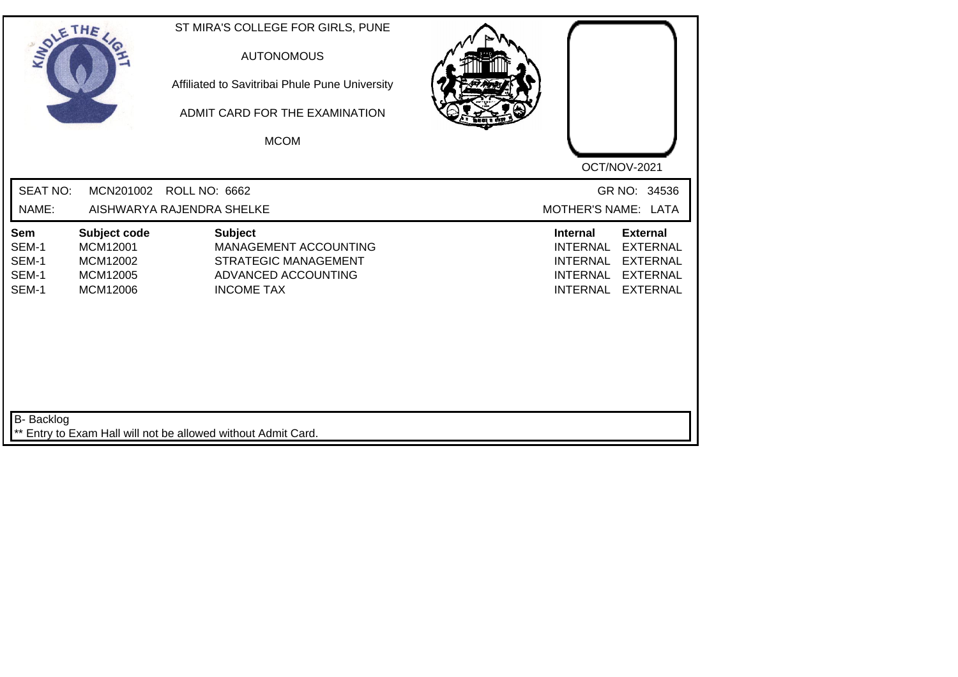| SOLE THE                                |                                                              | ST MIRA'S COLLEGE FOR GIRLS, PUNE<br><b>AUTONOMOUS</b><br>Affiliated to Savitribai Phule Pune University<br>ADMIT CARD FOR THE EXAMINATION<br><b>MCOM</b> |                                                                                                                                                                                            |
|-----------------------------------------|--------------------------------------------------------------|-----------------------------------------------------------------------------------------------------------------------------------------------------------|--------------------------------------------------------------------------------------------------------------------------------------------------------------------------------------------|
|                                         |                                                              |                                                                                                                                                           | OCT/NOV-2021                                                                                                                                                                               |
| <b>SEAT NO:</b><br>NAME:                | MCN201002                                                    | <b>ROLL NO: 6662</b><br>AISHWARYA RAJENDRA SHELKE                                                                                                         | GR NO: 34536<br>MOTHER'S NAME: LATA                                                                                                                                                        |
| Sem<br>SEM-1<br>SEM-1<br>SEM-1<br>SEM-1 | Subject code<br>MCM12001<br>MCM12002<br>MCM12005<br>MCM12006 | <b>Subject</b><br>MANAGEMENT ACCOUNTING<br><b>STRATEGIC MANAGEMENT</b><br>ADVANCED ACCOUNTING<br><b>INCOME TAX</b>                                        | <b>External</b><br><b>Internal</b><br><b>INTERNAL</b><br><b>EXTERNAL</b><br><b>INTERNAL</b><br><b>EXTERNAL</b><br><b>INTERNAL</b><br><b>EXTERNAL</b><br><b>INTERNAL</b><br><b>EXTERNAL</b> |
| <b>B-</b> Backlog                       |                                                              | Entry to Exam Hall will not be allowed without Admit Card.                                                                                                |                                                                                                                                                                                            |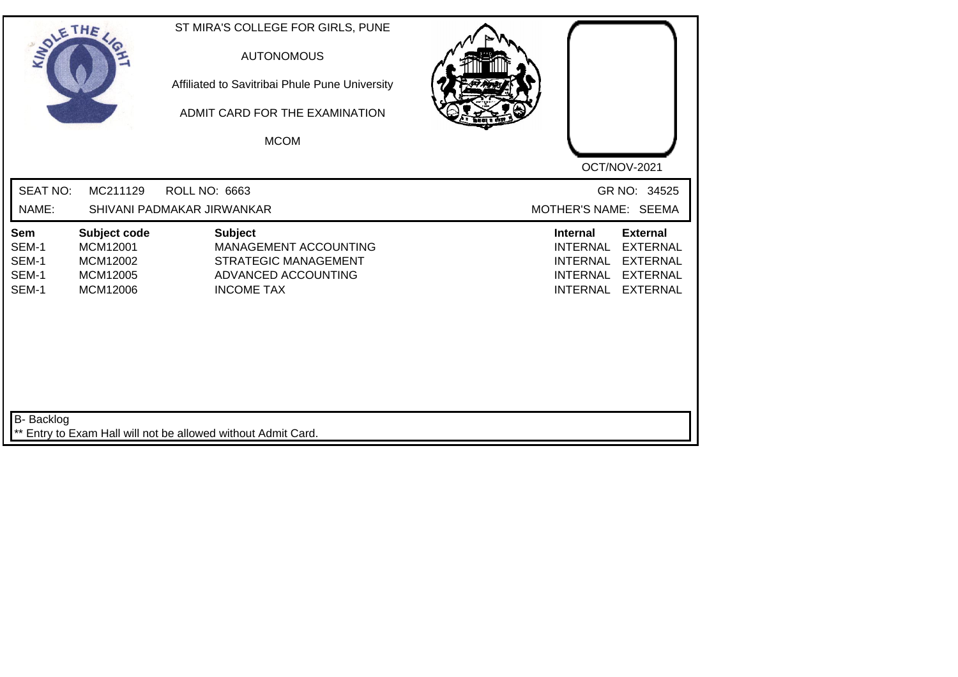| SOLETHE,                                |                                                              | ST MIRA'S COLLEGE FOR GIRLS, PUNE<br><b>AUTONOMOUS</b><br>Affiliated to Savitribai Phule Pune University<br>ADMIT CARD FOR THE EXAMINATION<br><b>MCOM</b> |                                                                                                                                                                                            |
|-----------------------------------------|--------------------------------------------------------------|-----------------------------------------------------------------------------------------------------------------------------------------------------------|--------------------------------------------------------------------------------------------------------------------------------------------------------------------------------------------|
| <b>SEAT NO:</b><br>NAME:                | MC211129                                                     | <b>ROLL NO: 6663</b><br>SHIVANI PADMAKAR JIRWANKAR                                                                                                        | OCT/NOV-2021<br>GR NO: 34525<br>MOTHER'S NAME: SEEMA                                                                                                                                       |
| Sem<br>SEM-1<br>SEM-1<br>SEM-1<br>SEM-1 | Subject code<br>MCM12001<br>MCM12002<br>MCM12005<br>MCM12006 | <b>Subject</b><br>MANAGEMENT ACCOUNTING<br><b>STRATEGIC MANAGEMENT</b><br>ADVANCED ACCOUNTING<br><b>INCOME TAX</b>                                        | <b>External</b><br><b>Internal</b><br><b>INTERNAL</b><br><b>EXTERNAL</b><br><b>EXTERNAL</b><br><b>INTERNAL</b><br><b>INTERNAL</b><br><b>EXTERNAL</b><br><b>INTERNAL</b><br><b>EXTERNAL</b> |
| B- Backlog                              |                                                              | ** Entry to Exam Hall will not be allowed without Admit Card.                                                                                             |                                                                                                                                                                                            |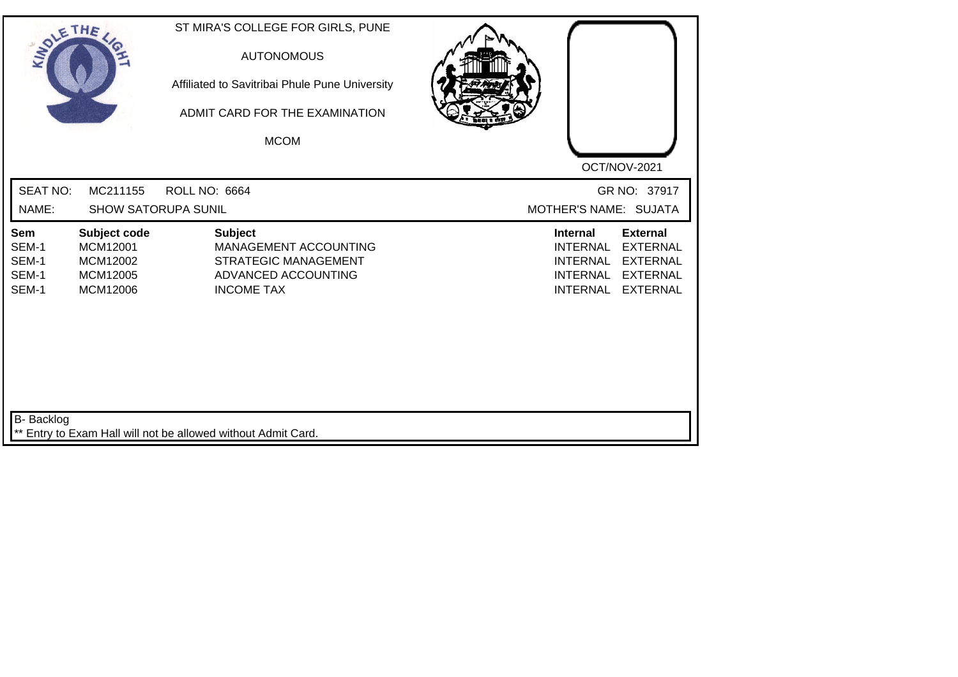| SOLETHE                                 |                                                              | ST MIRA'S COLLEGE FOR GIRLS, PUNE<br><b>AUTONOMOUS</b><br>Affiliated to Savitribai Phule Pune University<br>ADMIT CARD FOR THE EXAMINATION<br><b>MCOM</b> |                                                                                                                                                                                            |
|-----------------------------------------|--------------------------------------------------------------|-----------------------------------------------------------------------------------------------------------------------------------------------------------|--------------------------------------------------------------------------------------------------------------------------------------------------------------------------------------------|
|                                         |                                                              |                                                                                                                                                           | OCT/NOV-2021                                                                                                                                                                               |
| <b>SEAT NO:</b>                         | MC211155                                                     | <b>ROLL NO: 6664</b>                                                                                                                                      | GR NO: 37917                                                                                                                                                                               |
| NAME:                                   | <b>SHOW SATORUPA SUNIL</b>                                   |                                                                                                                                                           | MOTHER'S NAME: SUJATA                                                                                                                                                                      |
| Sem<br>SEM-1<br>SEM-1<br>SEM-1<br>SEM-1 | Subject code<br>MCM12001<br>MCM12002<br>MCM12005<br>MCM12006 | <b>Subject</b><br>MANAGEMENT ACCOUNTING<br><b>STRATEGIC MANAGEMENT</b><br>ADVANCED ACCOUNTING<br><b>INCOME TAX</b>                                        | <b>External</b><br><b>Internal</b><br><b>INTERNAL</b><br><b>EXTERNAL</b><br><b>INTERNAL</b><br><b>EXTERNAL</b><br><b>INTERNAL</b><br><b>EXTERNAL</b><br><b>INTERNAL</b><br><b>EXTERNAL</b> |
| <b>B-</b> Backlog                       |                                                              | ** Entry to Exam Hall will not be allowed without Admit Card.                                                                                             |                                                                                                                                                                                            |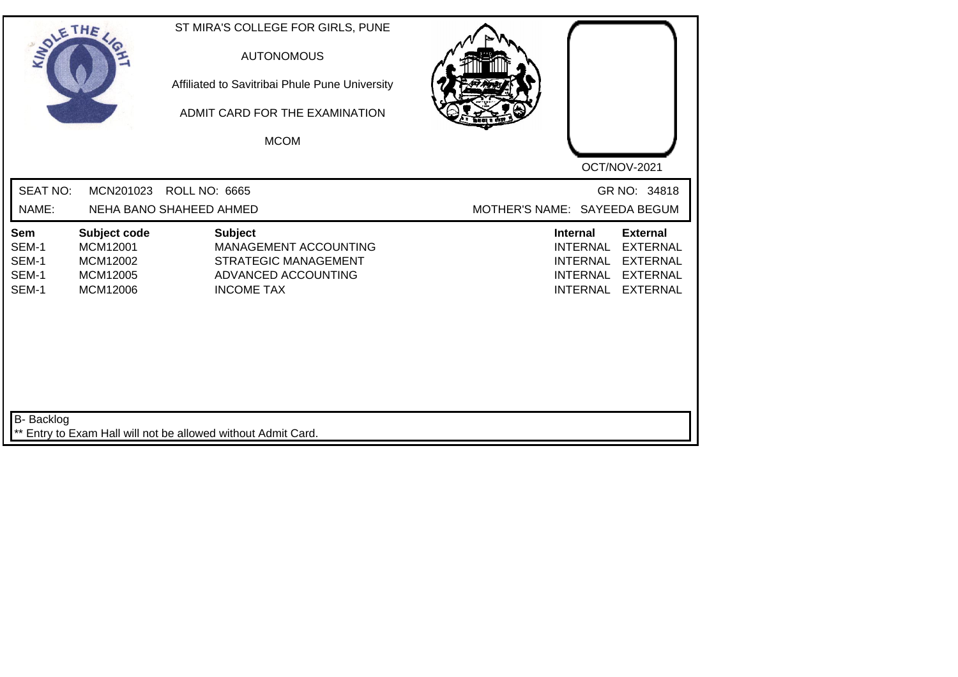| SOLETHE,                                |                                                              | ST MIRA'S COLLEGE FOR GIRLS, PUNE<br><b>AUTONOMOUS</b><br>Affiliated to Savitribai Phule Pune University<br>ADMIT CARD FOR THE EXAMINATION<br><b>MCOM</b> | OCT/NOV-2021                                                                                                                                             |  |
|-----------------------------------------|--------------------------------------------------------------|-----------------------------------------------------------------------------------------------------------------------------------------------------------|----------------------------------------------------------------------------------------------------------------------------------------------------------|--|
| <b>SEAT NO:</b><br>NAME:                | MCN201023                                                    | <b>ROLL NO: 6665</b><br>NEHA BANO SHAHEED AHMED                                                                                                           | GR NO: 34818<br>MOTHER'S NAME: SAYEEDA BEGUM                                                                                                             |  |
| Sem<br>SEM-1<br>SEM-1<br>SEM-1<br>SEM-1 | Subject code<br>MCM12001<br>MCM12002<br>MCM12005<br>MCM12006 | <b>Subject</b><br>MANAGEMENT ACCOUNTING<br><b>STRATEGIC MANAGEMENT</b><br>ADVANCED ACCOUNTING<br><b>INCOME TAX</b>                                        | <b>External</b><br><b>Internal</b><br><b>INTERNAL</b><br><b>EXTERNAL</b><br>INTERNAL EXTERNAL<br>INTERNAL EXTERNAL<br><b>INTERNAL</b><br><b>EXTERNAL</b> |  |
| B- Backlog                              |                                                              | ** Entry to Exam Hall will not be allowed without Admit Card.                                                                                             |                                                                                                                                                          |  |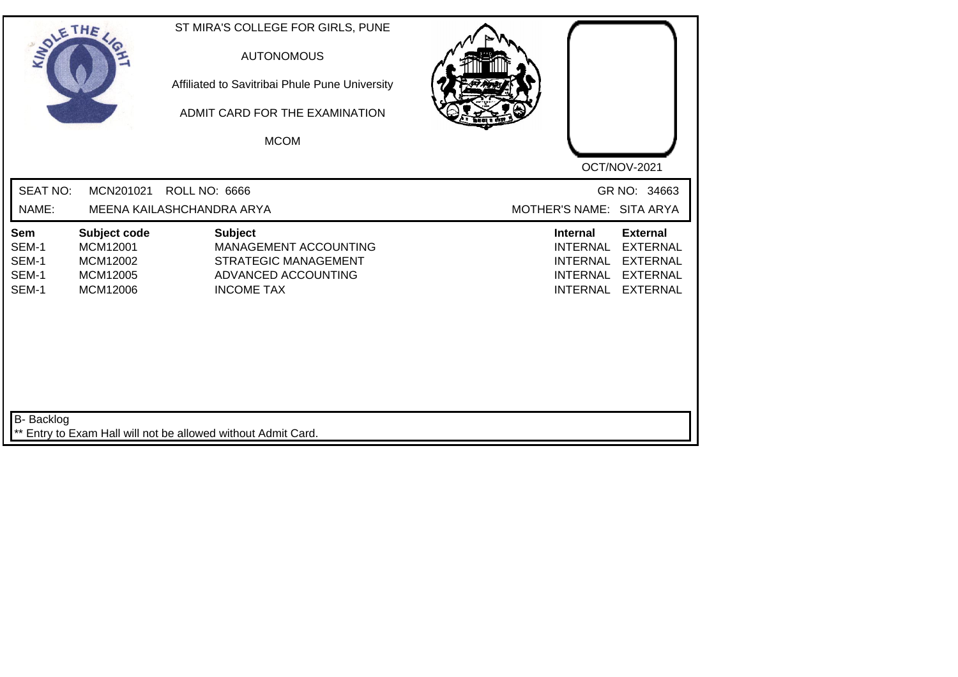| SOLETHE ,                               |                                                              | ST MIRA'S COLLEGE FOR GIRLS, PUNE<br><b>AUTONOMOUS</b><br>Affiliated to Savitribai Phule Pune University<br>ADMIT CARD FOR THE EXAMINATION |                                                                                                                                                                                            |
|-----------------------------------------|--------------------------------------------------------------|--------------------------------------------------------------------------------------------------------------------------------------------|--------------------------------------------------------------------------------------------------------------------------------------------------------------------------------------------|
|                                         |                                                              | <b>MCOM</b>                                                                                                                                |                                                                                                                                                                                            |
| <b>SEAT NO:</b>                         | MCN201021                                                    | <b>ROLL NO: 6666</b>                                                                                                                       | OCT/NOV-2021<br>GR NO: 34663                                                                                                                                                               |
| NAME:                                   |                                                              | MEENA KAILASHCHANDRA ARYA                                                                                                                  | MOTHER'S NAME: SITA ARYA                                                                                                                                                                   |
| Sem<br>SEM-1<br>SEM-1<br>SEM-1<br>SEM-1 | Subject code<br>MCM12001<br>MCM12002<br>MCM12005<br>MCM12006 | <b>Subject</b><br>MANAGEMENT ACCOUNTING<br><b>STRATEGIC MANAGEMENT</b><br>ADVANCED ACCOUNTING<br><b>INCOME TAX</b>                         | <b>Internal</b><br><b>External</b><br><b>INTERNAL</b><br><b>EXTERNAL</b><br><b>EXTERNAL</b><br><b>INTERNAL</b><br><b>INTERNAL</b><br><b>EXTERNAL</b><br><b>INTERNAL</b><br><b>EXTERNAL</b> |
| <b>B-</b> Backlog                       |                                                              | ** Entry to Exam Hall will not be allowed without Admit Card.                                                                              |                                                                                                                                                                                            |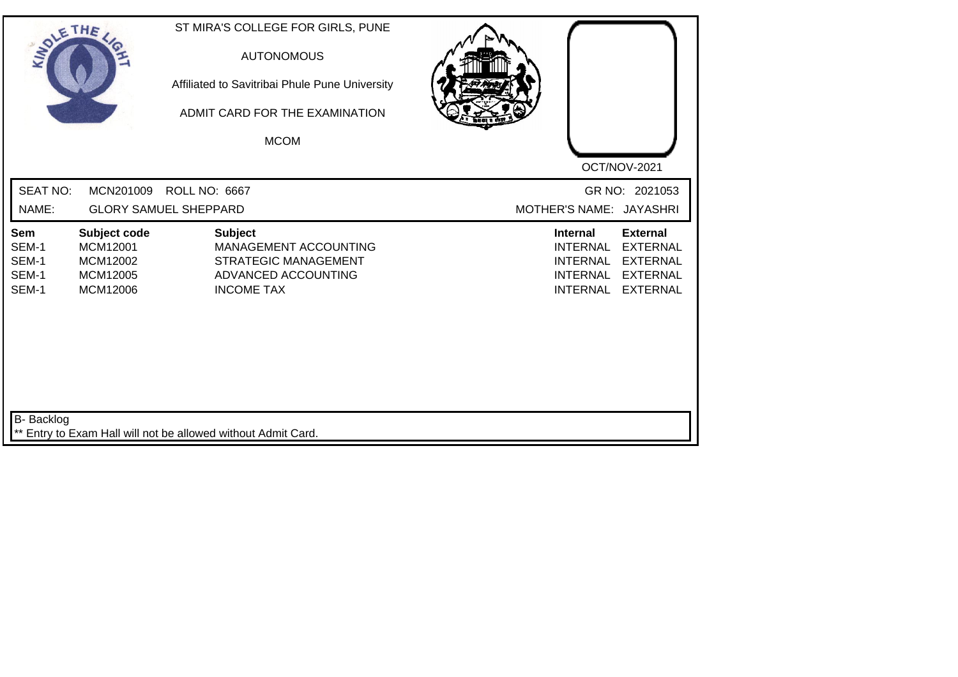| SOLETHE,                                |                                                              | ST MIRA'S COLLEGE FOR GIRLS, PUNE<br><b>AUTONOMOUS</b><br>Affiliated to Savitribai Phule Pune University<br>ADMIT CARD FOR THE EXAMINATION<br><b>MCOM</b> | OCT/NOV-2021                                                                                                                                                                               |
|-----------------------------------------|--------------------------------------------------------------|-----------------------------------------------------------------------------------------------------------------------------------------------------------|--------------------------------------------------------------------------------------------------------------------------------------------------------------------------------------------|
| <b>SEAT NO:</b><br>NAME:                | MCN201009                                                    | ROLL NO: 6667<br><b>GLORY SAMUEL SHEPPARD</b>                                                                                                             | GR NO: 2021053<br>MOTHER'S NAME: JAYASHRI                                                                                                                                                  |
| Sem<br>SEM-1<br>SEM-1<br>SEM-1<br>SEM-1 | Subject code<br>MCM12001<br>MCM12002<br>MCM12005<br>MCM12006 | <b>Subject</b><br>MANAGEMENT ACCOUNTING<br><b>STRATEGIC MANAGEMENT</b><br>ADVANCED ACCOUNTING<br><b>INCOME TAX</b>                                        | <b>External</b><br><b>Internal</b><br><b>EXTERNAL</b><br><b>INTERNAL</b><br><b>INTERNAL</b><br><b>EXTERNAL</b><br><b>INTERNAL</b><br><b>EXTERNAL</b><br><b>INTERNAL</b><br><b>EXTERNAL</b> |
| <b>B-</b> Backlog                       |                                                              | ** Entry to Exam Hall will not be allowed without Admit Card.                                                                                             |                                                                                                                                                                                            |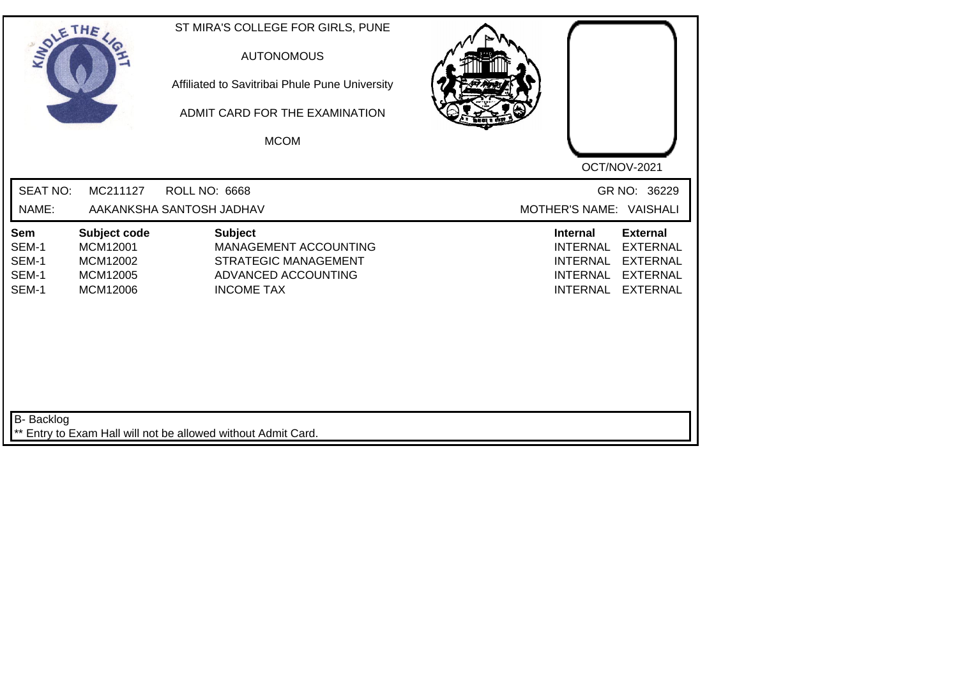| SOLETHE,                                |                                                              | ST MIRA'S COLLEGE FOR GIRLS, PUNE<br><b>AUTONOMOUS</b><br>Affiliated to Savitribai Phule Pune University<br>ADMIT CARD FOR THE EXAMINATION<br><b>MCOM</b> | OCT/NOV-2021                                                                                                                                                                               |
|-----------------------------------------|--------------------------------------------------------------|-----------------------------------------------------------------------------------------------------------------------------------------------------------|--------------------------------------------------------------------------------------------------------------------------------------------------------------------------------------------|
| <b>SEAT NO:</b><br>NAME:                | MC211127                                                     | <b>ROLL NO: 6668</b><br>AAKANKSHA SANTOSH JADHAV                                                                                                          | GR NO: 36229<br>MOTHER'S NAME: VAISHALI                                                                                                                                                    |
| Sem<br>SEM-1<br>SEM-1<br>SEM-1<br>SEM-1 | Subject code<br>MCM12001<br>MCM12002<br>MCM12005<br>MCM12006 | <b>Subject</b><br>MANAGEMENT ACCOUNTING<br><b>STRATEGIC MANAGEMENT</b><br>ADVANCED ACCOUNTING<br><b>INCOME TAX</b>                                        | <b>Internal</b><br><b>External</b><br><b>INTERNAL</b><br><b>EXTERNAL</b><br><b>EXTERNAL</b><br><b>INTERNAL</b><br><b>INTERNAL</b><br><b>EXTERNAL</b><br><b>INTERNAL</b><br><b>EXTERNAL</b> |
| B- Backlog                              |                                                              | ** Entry to Exam Hall will not be allowed without Admit Card.                                                                                             |                                                                                                                                                                                            |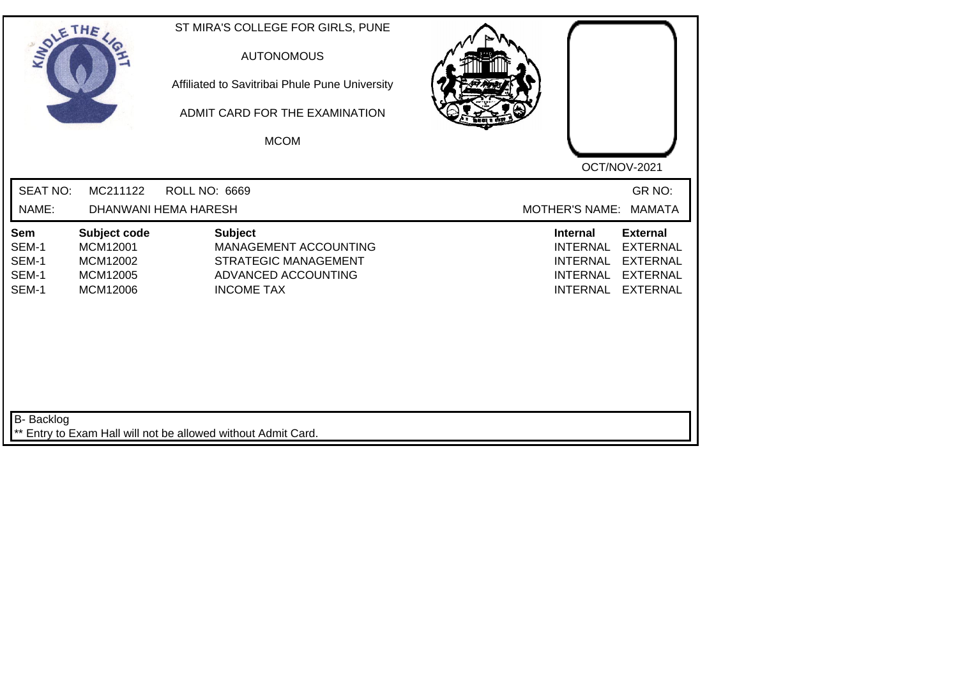| SOLETHE,                                |                                                              | ST MIRA'S COLLEGE FOR GIRLS, PUNE<br><b>AUTONOMOUS</b><br>Affiliated to Savitribai Phule Pune University<br>ADMIT CARD FOR THE EXAMINATION<br><b>MCOM</b> | OCT/NOV-2021                                                                                                                                                                               |  |
|-----------------------------------------|--------------------------------------------------------------|-----------------------------------------------------------------------------------------------------------------------------------------------------------|--------------------------------------------------------------------------------------------------------------------------------------------------------------------------------------------|--|
| <b>SEAT NO:</b><br>NAME:                | MC211122                                                     | <b>ROLL NO: 6669</b><br>DHANWANI HEMA HARESH                                                                                                              | GR NO:<br><b>MOTHER'S NAME:</b><br><b>MAMATA</b>                                                                                                                                           |  |
| Sem<br>SEM-1<br>SEM-1<br>SEM-1<br>SEM-1 | Subject code<br>MCM12001<br>MCM12002<br>MCM12005<br>MCM12006 | <b>Subject</b><br>MANAGEMENT ACCOUNTING<br><b>STRATEGIC MANAGEMENT</b><br>ADVANCED ACCOUNTING<br><b>INCOME TAX</b>                                        | <b>Internal</b><br><b>External</b><br><b>INTERNAL</b><br><b>EXTERNAL</b><br><b>EXTERNAL</b><br><b>INTERNAL</b><br><b>INTERNAL</b><br><b>EXTERNAL</b><br><b>INTERNAL</b><br><b>EXTERNAL</b> |  |
| <b>B-</b> Backlog                       |                                                              | ** Entry to Exam Hall will not be allowed without Admit Card.                                                                                             |                                                                                                                                                                                            |  |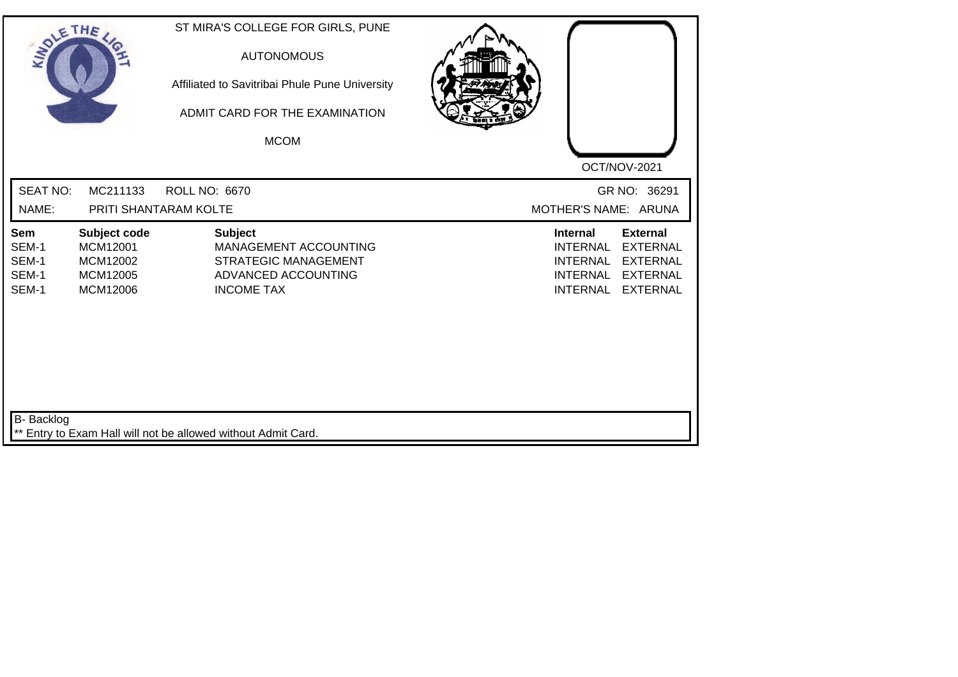| SOLETHE,                                |                                                              | ST MIRA'S COLLEGE FOR GIRLS, PUNE<br><b>AUTONOMOUS</b><br>Affiliated to Savitribai Phule Pune University<br>ADMIT CARD FOR THE EXAMINATION<br><b>MCOM</b> | OCT/NOV-2021                                                                                                                                                                               |
|-----------------------------------------|--------------------------------------------------------------|-----------------------------------------------------------------------------------------------------------------------------------------------------------|--------------------------------------------------------------------------------------------------------------------------------------------------------------------------------------------|
| <b>SEAT NO:</b><br>NAME:                | MC211133                                                     | <b>ROLL NO: 6670</b><br><b>PRITI SHANTARAM KOLTE</b>                                                                                                      | GR NO: 36291<br>MOTHER'S NAME: ARUNA                                                                                                                                                       |
| Sem<br>SEM-1<br>SEM-1<br>SEM-1<br>SEM-1 | Subject code<br>MCM12001<br>MCM12002<br>MCM12005<br>MCM12006 | <b>Subject</b><br>MANAGEMENT ACCOUNTING<br><b>STRATEGIC MANAGEMENT</b><br>ADVANCED ACCOUNTING<br><b>INCOME TAX</b>                                        | <b>External</b><br><b>Internal</b><br><b>INTERNAL</b><br><b>EXTERNAL</b><br><b>EXTERNAL</b><br><b>INTERNAL</b><br><b>INTERNAL</b><br><b>EXTERNAL</b><br><b>INTERNAL</b><br><b>EXTERNAL</b> |
| <b>B-</b> Backlog                       |                                                              | ** Entry to Exam Hall will not be allowed without Admit Card.                                                                                             |                                                                                                                                                                                            |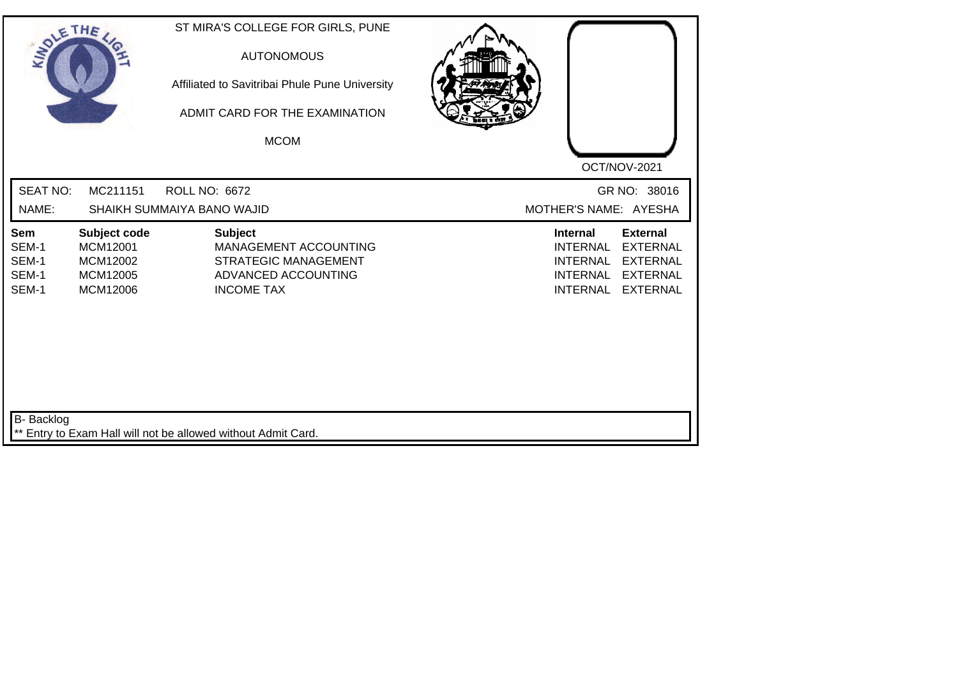| SOLETHE,                                |                                                              | ST MIRA'S COLLEGE FOR GIRLS, PUNE<br><b>AUTONOMOUS</b><br>Affiliated to Savitribai Phule Pune University<br>ADMIT CARD FOR THE EXAMINATION<br><b>MCOM</b> |                                                                                                                                                                    |
|-----------------------------------------|--------------------------------------------------------------|-----------------------------------------------------------------------------------------------------------------------------------------------------------|--------------------------------------------------------------------------------------------------------------------------------------------------------------------|
| <b>SEAT NO:</b><br>NAME:                | MC211151                                                     | ROLL NO: 6672<br>SHAIKH SUMMAIYA BANO WAJID                                                                                                               | OCT/NOV-2021<br>GR NO: 38016<br>MOTHER'S NAME: AYESHA                                                                                                              |
| Sem<br>SEM-1<br>SEM-1<br>SEM-1<br>SEM-1 | Subject code<br>MCM12001<br>MCM12002<br>MCM12005<br>MCM12006 | <b>Subject</b><br>MANAGEMENT ACCOUNTING<br><b>STRATEGIC MANAGEMENT</b><br>ADVANCED ACCOUNTING<br><b>INCOME TAX</b>                                        | <b>External</b><br>Internal<br><b>EXTERNAL</b><br><b>INTERNAL</b><br>INTERNAL EXTERNAL<br><b>INTERNAL</b><br><b>EXTERNAL</b><br><b>INTERNAL</b><br><b>EXTERNAL</b> |
| <b>B-</b> Backlog                       |                                                              | ** Entry to Exam Hall will not be allowed without Admit Card.                                                                                             |                                                                                                                                                                    |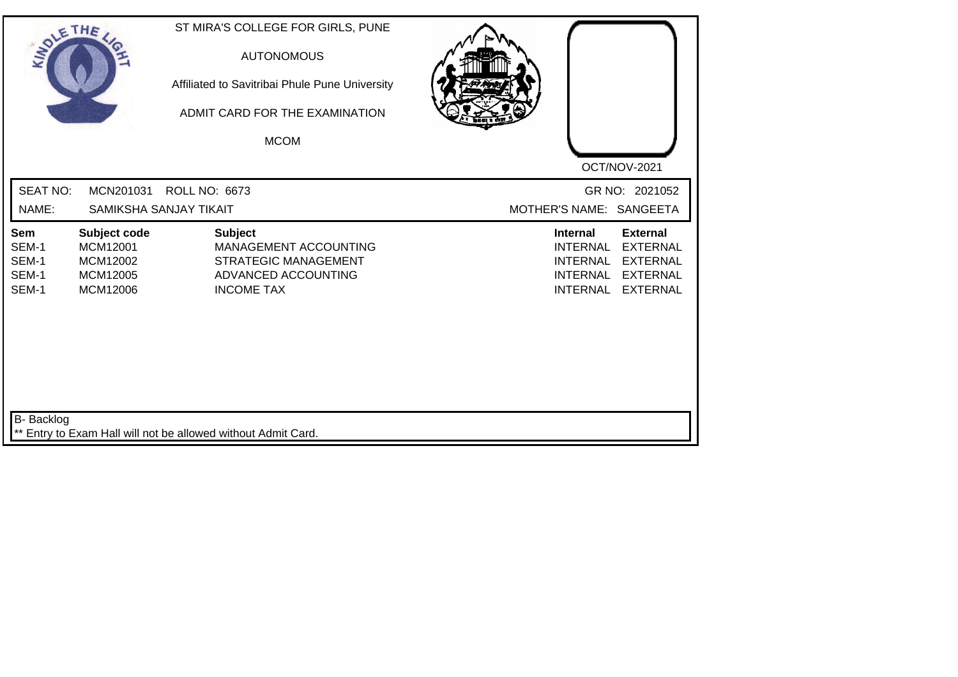| SOLETHE,                                |                                                              | ST MIRA'S COLLEGE FOR GIRLS, PUNE<br><b>AUTONOMOUS</b><br>Affiliated to Savitribai Phule Pune University<br>ADMIT CARD FOR THE EXAMINATION<br><b>MCOM</b> | OCT/NOV-2021                                                                                                                                                                               |
|-----------------------------------------|--------------------------------------------------------------|-----------------------------------------------------------------------------------------------------------------------------------------------------------|--------------------------------------------------------------------------------------------------------------------------------------------------------------------------------------------|
| <b>SEAT NO:</b><br>NAME:                | MCN201031                                                    | ROLL NO: 6673<br>SAMIKSHA SANJAY TIKAIT                                                                                                                   | GR NO: 2021052<br>MOTHER'S NAME: SANGEETA                                                                                                                                                  |
| Sem<br>SEM-1<br>SEM-1<br>SEM-1<br>SEM-1 | Subject code<br>MCM12001<br>MCM12002<br>MCM12005<br>MCM12006 | <b>Subject</b><br>MANAGEMENT ACCOUNTING<br><b>STRATEGIC MANAGEMENT</b><br>ADVANCED ACCOUNTING<br><b>INCOME TAX</b>                                        | <b>Internal</b><br><b>External</b><br><b>INTERNAL</b><br><b>EXTERNAL</b><br><b>INTERNAL</b><br><b>EXTERNAL</b><br><b>INTERNAL</b><br><b>EXTERNAL</b><br><b>INTERNAL</b><br><b>EXTERNAL</b> |
| B- Backlog                              |                                                              | ** Entry to Exam Hall will not be allowed without Admit Card.                                                                                             |                                                                                                                                                                                            |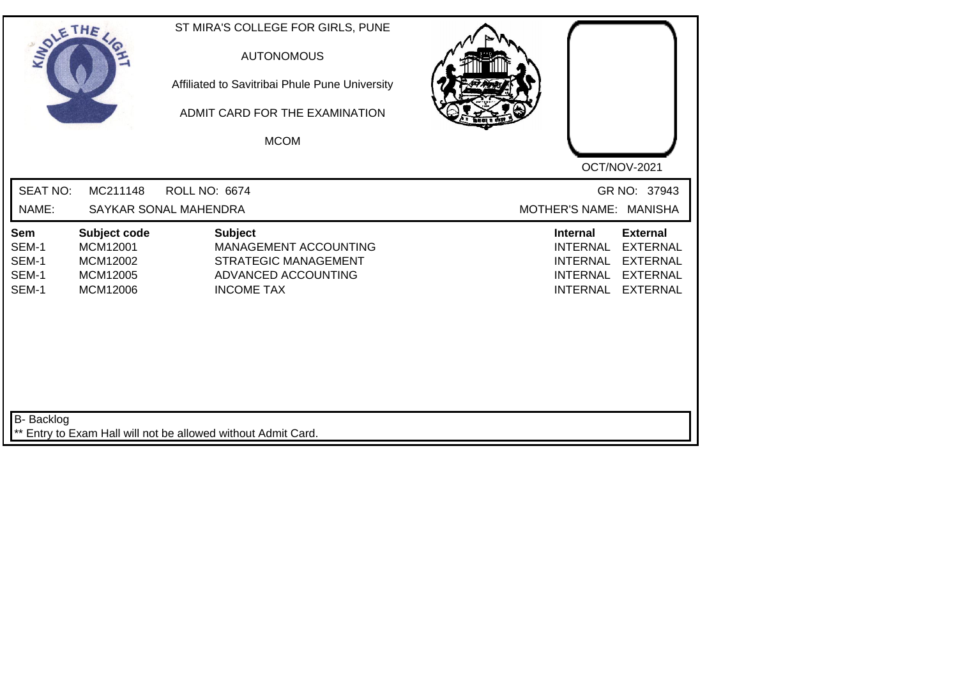| SOLETHE,                                |                                                              | ST MIRA'S COLLEGE FOR GIRLS, PUNE<br><b>AUTONOMOUS</b><br>Affiliated to Savitribai Phule Pune University<br>ADMIT CARD FOR THE EXAMINATION<br><b>MCOM</b> | OCT/NOV-2021                                                                                                                                                                               |
|-----------------------------------------|--------------------------------------------------------------|-----------------------------------------------------------------------------------------------------------------------------------------------------------|--------------------------------------------------------------------------------------------------------------------------------------------------------------------------------------------|
| <b>SEAT NO:</b><br>NAME:                | MC211148                                                     | <b>ROLL NO: 6674</b><br>SAYKAR SONAL MAHENDRA                                                                                                             | GR NO: 37943<br>MOTHER'S NAME: MANISHA                                                                                                                                                     |
| Sem<br>SEM-1<br>SEM-1<br>SEM-1<br>SEM-1 | Subject code<br>MCM12001<br>MCM12002<br>MCM12005<br>MCM12006 | <b>Subject</b><br>MANAGEMENT ACCOUNTING<br><b>STRATEGIC MANAGEMENT</b><br>ADVANCED ACCOUNTING<br><b>INCOME TAX</b>                                        | <b>Internal</b><br><b>External</b><br><b>INTERNAL</b><br><b>EXTERNAL</b><br><b>INTERNAL</b><br><b>EXTERNAL</b><br><b>INTERNAL</b><br><b>EXTERNAL</b><br><b>INTERNAL</b><br><b>EXTERNAL</b> |
| <b>B-</b> Backlog                       |                                                              | ** Entry to Exam Hall will not be allowed without Admit Card.                                                                                             |                                                                                                                                                                                            |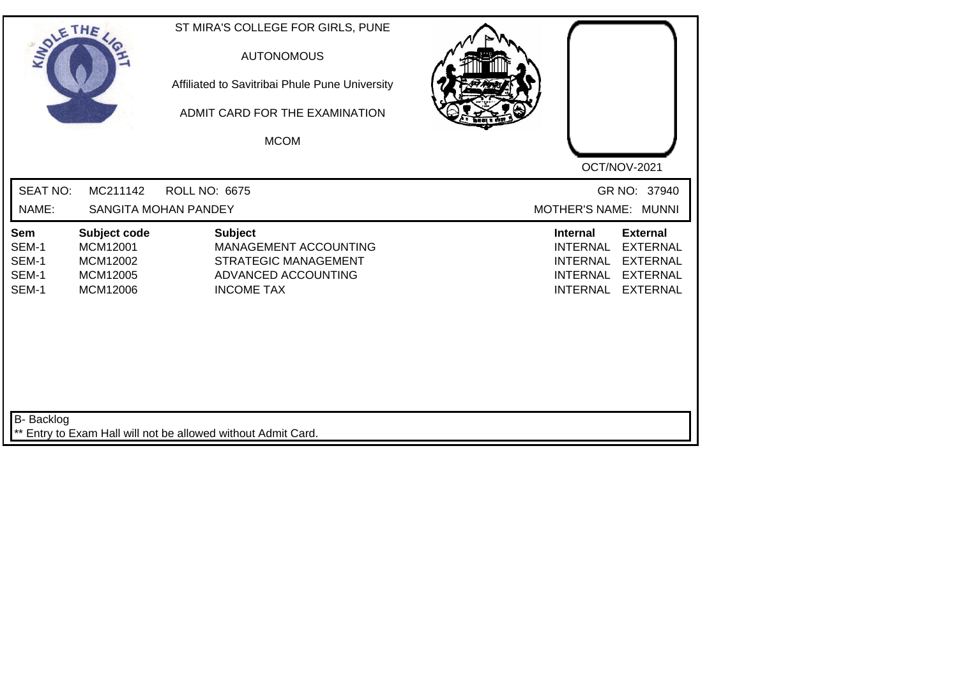| SOLETHE ,                               |                                                              | ST MIRA'S COLLEGE FOR GIRLS, PUNE<br><b>AUTONOMOUS</b><br>Affiliated to Savitribai Phule Pune University<br>ADMIT CARD FOR THE EXAMINATION<br><b>MCOM</b> |                                                                                                                                                                                            |
|-----------------------------------------|--------------------------------------------------------------|-----------------------------------------------------------------------------------------------------------------------------------------------------------|--------------------------------------------------------------------------------------------------------------------------------------------------------------------------------------------|
|                                         |                                                              |                                                                                                                                                           | OCT/NOV-2021                                                                                                                                                                               |
| <b>SEAT NO:</b><br>NAME:                | MC211142                                                     | <b>ROLL NO: 6675</b><br>SANGITA MOHAN PANDEY                                                                                                              | GR NO: 37940<br>MOTHER'S NAME: MUNNI                                                                                                                                                       |
| Sem<br>SEM-1<br>SEM-1<br>SEM-1<br>SEM-1 | Subject code<br>MCM12001<br>MCM12002<br>MCM12005<br>MCM12006 | <b>Subject</b><br>MANAGEMENT ACCOUNTING<br><b>STRATEGIC MANAGEMENT</b><br>ADVANCED ACCOUNTING<br><b>INCOME TAX</b>                                        | <b>External</b><br><b>Internal</b><br><b>INTERNAL</b><br><b>EXTERNAL</b><br><b>EXTERNAL</b><br><b>INTERNAL</b><br><b>INTERNAL</b><br><b>EXTERNAL</b><br><b>INTERNAL</b><br><b>EXTERNAL</b> |
| B- Backlog                              |                                                              | ** Entry to Exam Hall will not be allowed without Admit Card.                                                                                             |                                                                                                                                                                                            |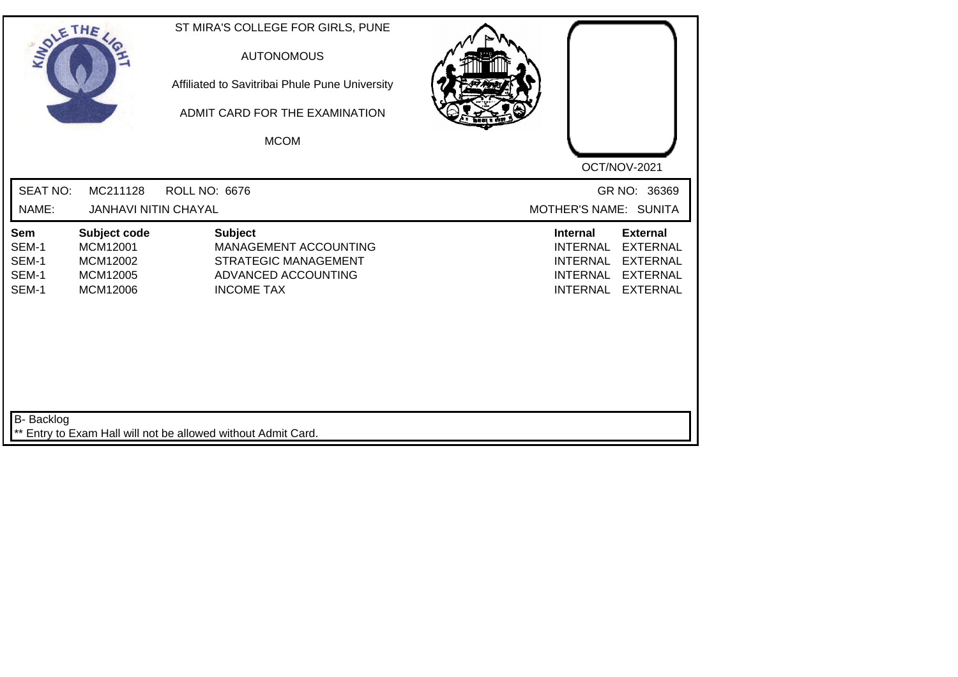| SOLETHE,                                |                                                              | ST MIRA'S COLLEGE FOR GIRLS, PUNE<br><b>AUTONOMOUS</b><br>Affiliated to Savitribai Phule Pune University<br>ADMIT CARD FOR THE EXAMINATION<br><b>MCOM</b> | OCT/NOV-2021                                                                                                                                                                               |
|-----------------------------------------|--------------------------------------------------------------|-----------------------------------------------------------------------------------------------------------------------------------------------------------|--------------------------------------------------------------------------------------------------------------------------------------------------------------------------------------------|
| <b>SEAT NO:</b><br>NAME:                | MC211128<br><b>JANHAVI NITIN CHAYAL</b>                      | <b>ROLL NO: 6676</b>                                                                                                                                      | GR NO: 36369<br>MOTHER'S NAME: SUNITA                                                                                                                                                      |
| Sem<br>SEM-1<br>SEM-1<br>SEM-1<br>SEM-1 | Subject code<br>MCM12001<br>MCM12002<br>MCM12005<br>MCM12006 | <b>Subject</b><br>MANAGEMENT ACCOUNTING<br><b>STRATEGIC MANAGEMENT</b><br>ADVANCED ACCOUNTING<br><b>INCOME TAX</b>                                        | <b>Internal</b><br><b>External</b><br><b>INTERNAL</b><br><b>EXTERNAL</b><br><b>INTERNAL</b><br><b>EXTERNAL</b><br><b>INTERNAL</b><br><b>EXTERNAL</b><br><b>INTERNAL</b><br><b>EXTERNAL</b> |
| <b>B-</b> Backlog                       |                                                              | ** Entry to Exam Hall will not be allowed without Admit Card.                                                                                             |                                                                                                                                                                                            |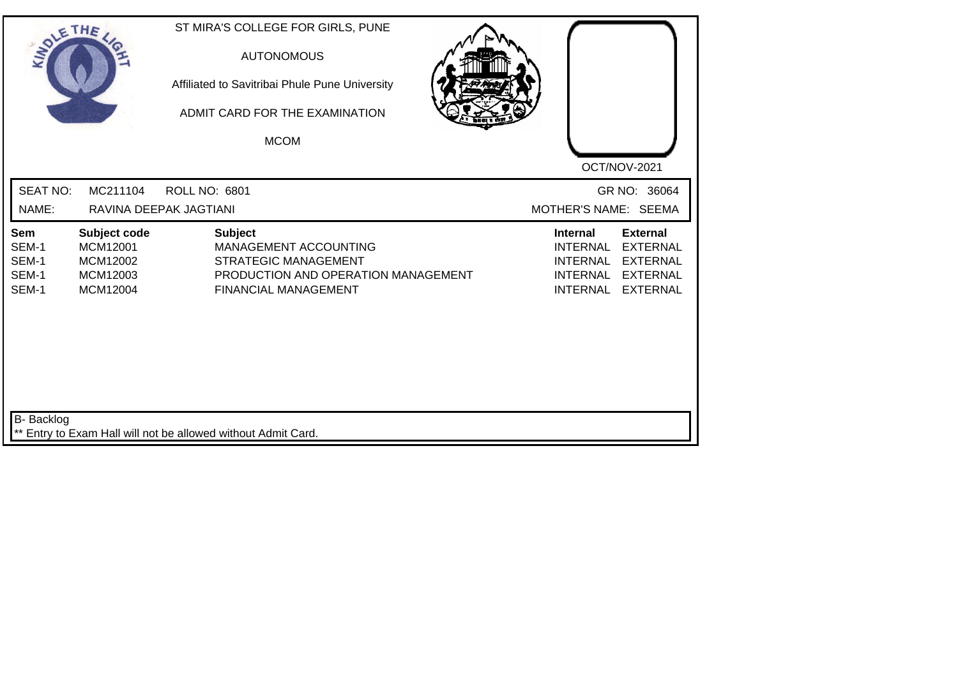| SOLETHE .                                      |                                                              | ST MIRA'S COLLEGE FOR GIRLS, PUNE<br><b>AUTONOMOUS</b><br>Affiliated to Savitribai Phule Pune University<br>ADMIT CARD FOR THE EXAMINATION<br><b>MCOM</b> | OCT/NOV-2021                                                                                                                                                                               |
|------------------------------------------------|--------------------------------------------------------------|-----------------------------------------------------------------------------------------------------------------------------------------------------------|--------------------------------------------------------------------------------------------------------------------------------------------------------------------------------------------|
| <b>SEAT NO:</b><br>NAME:                       | MC211104                                                     | <b>ROLL NO: 6801</b><br>RAVINA DEEPAK JAGTIANI                                                                                                            | GR NO: 36064<br>MOTHER'S NAME: SEEMA                                                                                                                                                       |
| <b>Sem</b><br>SEM-1<br>SEM-1<br>SEM-1<br>SEM-1 | Subject code<br>MCM12001<br>MCM12002<br>MCM12003<br>MCM12004 | <b>Subject</b><br>MANAGEMENT ACCOUNTING<br><b>STRATEGIC MANAGEMENT</b><br>PRODUCTION AND OPERATION MANAGEMENT<br><b>FINANCIAL MANAGEMENT</b>              | <b>Internal</b><br><b>External</b><br><b>INTERNAL</b><br><b>EXTERNAL</b><br><b>EXTERNAL</b><br><b>INTERNAL</b><br><b>INTERNAL</b><br><b>EXTERNAL</b><br><b>INTERNAL</b><br><b>EXTERNAL</b> |
| <b>B-</b> Backlog                              |                                                              | ** Entry to Exam Hall will not be allowed without Admit Card.                                                                                             |                                                                                                                                                                                            |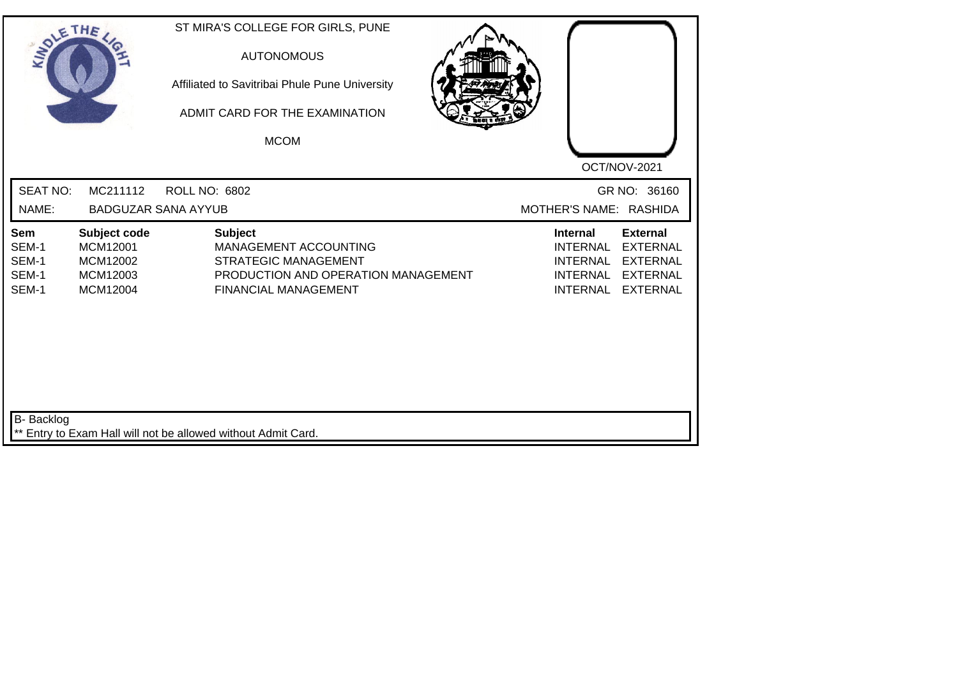| SOLETHE .                               |                                                              |                                                               | ST MIRA'S COLLEGE FOR GIRLS, PUNE<br><b>AUTONOMOUS</b><br>Affiliated to Savitribai Phule Pune University<br>ADMIT CARD FOR THE EXAMINATION<br><b>MCOM</b> |                                                                                             |                                                                                             |
|-----------------------------------------|--------------------------------------------------------------|---------------------------------------------------------------|-----------------------------------------------------------------------------------------------------------------------------------------------------------|---------------------------------------------------------------------------------------------|---------------------------------------------------------------------------------------------|
| <b>SEAT NO:</b><br>NAME:                | MC211112                                                     | ROLL NO: 6802<br><b>BADGUZAR SANA AYYUB</b>                   |                                                                                                                                                           |                                                                                             | OCT/NOV-2021<br>GR NO: 36160<br>MOTHER'S NAME: RASHIDA                                      |
| Sem<br>SEM-1<br>SEM-1<br>SEM-1<br>SEM-1 | Subject code<br>MCM12001<br>MCM12002<br>MCM12003<br>MCM12004 | <b>Subject</b>                                                | MANAGEMENT ACCOUNTING<br><b>STRATEGIC MANAGEMENT</b><br>PRODUCTION AND OPERATION MANAGEMENT<br>FINANCIAL MANAGEMENT                                       | <b>Internal</b><br><b>INTERNAL</b><br><b>INTERNAL</b><br><b>INTERNAL</b><br><b>INTERNAL</b> | <b>External</b><br><b>EXTERNAL</b><br><b>EXTERNAL</b><br><b>EXTERNAL</b><br><b>EXTERNAL</b> |
| <b>B-</b> Backlog                       |                                                              | ** Entry to Exam Hall will not be allowed without Admit Card. |                                                                                                                                                           |                                                                                             |                                                                                             |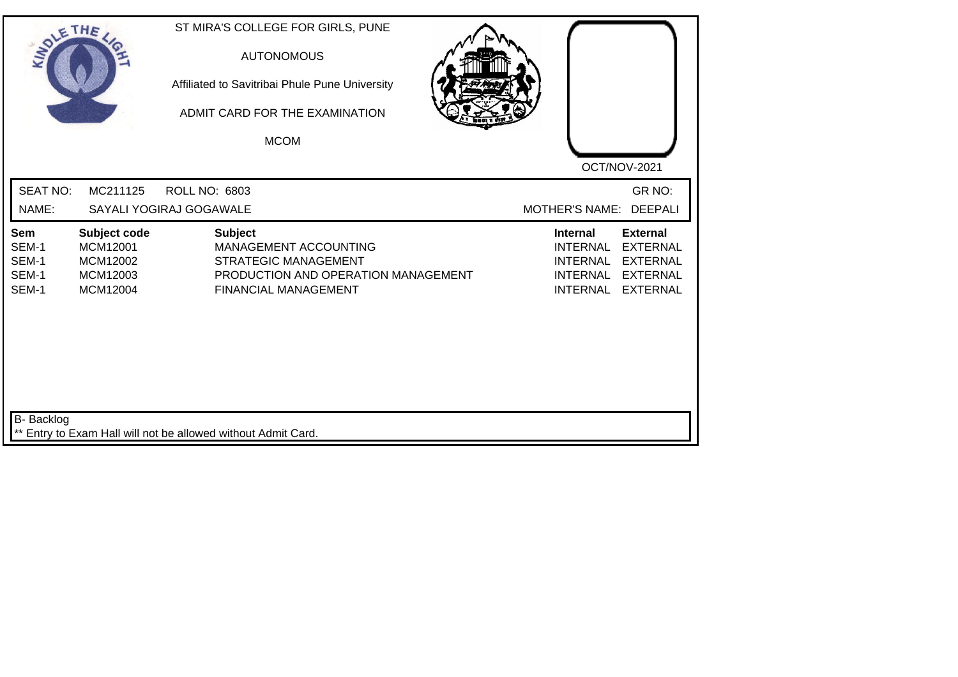| SOLETHE .                               |                                                              | ST MIRA'S COLLEGE FOR GIRLS, PUNE<br><b>AUTONOMOUS</b><br>Affiliated to Savitribai Phule Pune University<br>ADMIT CARD FOR THE EXAMINATION<br><b>MCOM</b> |                                                                                             | OCT/NOV-2021                                                                                |
|-----------------------------------------|--------------------------------------------------------------|-----------------------------------------------------------------------------------------------------------------------------------------------------------|---------------------------------------------------------------------------------------------|---------------------------------------------------------------------------------------------|
| <b>SEAT NO:</b><br>NAME:                | MC211125                                                     | <b>ROLL NO: 6803</b><br>SAYALI YOGIRAJ GOGAWALE                                                                                                           | <b>MOTHER'S NAME:</b>                                                                       | GR NO:<br><b>DEEPALI</b>                                                                    |
| Sem<br>SEM-1<br>SEM-1<br>SEM-1<br>SEM-1 | Subject code<br>MCM12001<br>MCM12002<br>MCM12003<br>MCM12004 | <b>Subject</b><br>MANAGEMENT ACCOUNTING<br><b>STRATEGIC MANAGEMENT</b><br>PRODUCTION AND OPERATION MANAGEMENT<br><b>FINANCIAL MANAGEMENT</b>              | <b>Internal</b><br><b>INTERNAL</b><br><b>INTERNAL</b><br><b>INTERNAL</b><br><b>INTERNAL</b> | <b>External</b><br><b>EXTERNAL</b><br><b>EXTERNAL</b><br><b>EXTERNAL</b><br><b>EXTERNAL</b> |
| <b>B-</b> Backlog                       |                                                              | ** Entry to Exam Hall will not be allowed without Admit Card.                                                                                             |                                                                                             |                                                                                             |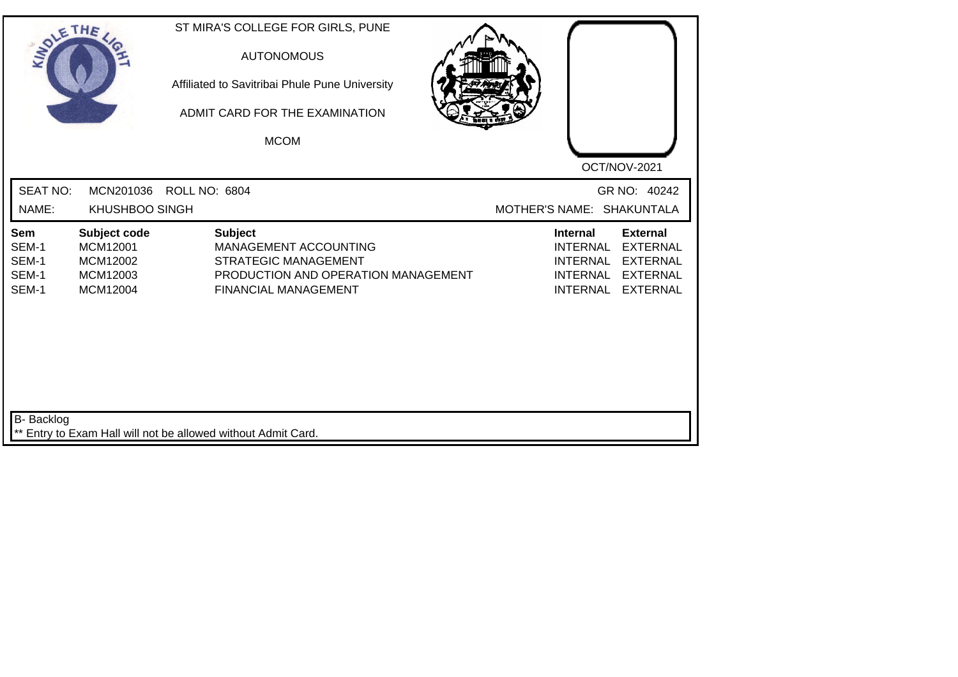| SOLETHE .                                      |                                                              | ST MIRA'S COLLEGE FOR GIRLS, PUNE<br><b>AUTONOMOUS</b><br>Affiliated to Savitribai Phule Pune University<br>ADMIT CARD FOR THE EXAMINATION<br><b>MCOM</b> |                                                                                                                                                                                            |
|------------------------------------------------|--------------------------------------------------------------|-----------------------------------------------------------------------------------------------------------------------------------------------------------|--------------------------------------------------------------------------------------------------------------------------------------------------------------------------------------------|
| <b>SEAT NO:</b><br>NAME:                       | MCN201036<br><b>KHUSHBOO SINGH</b>                           | <b>ROLL NO: 6804</b>                                                                                                                                      | OCT/NOV-2021<br>GR NO: 40242<br>MOTHER'S NAME: SHAKUNTALA                                                                                                                                  |
| <b>Sem</b><br>SEM-1<br>SEM-1<br>SEM-1<br>SEM-1 | Subject code<br>MCM12001<br>MCM12002<br>MCM12003<br>MCM12004 | <b>Subject</b><br>MANAGEMENT ACCOUNTING<br><b>STRATEGIC MANAGEMENT</b><br>PRODUCTION AND OPERATION MANAGEMENT<br><b>FINANCIAL MANAGEMENT</b>              | <b>External</b><br><b>Internal</b><br><b>INTERNAL</b><br><b>EXTERNAL</b><br><b>INTERNAL</b><br><b>EXTERNAL</b><br><b>INTERNAL</b><br><b>EXTERNAL</b><br><b>INTERNAL</b><br><b>EXTERNAL</b> |
| <b>B-</b> Backlog                              |                                                              | ** Entry to Exam Hall will not be allowed without Admit Card.                                                                                             |                                                                                                                                                                                            |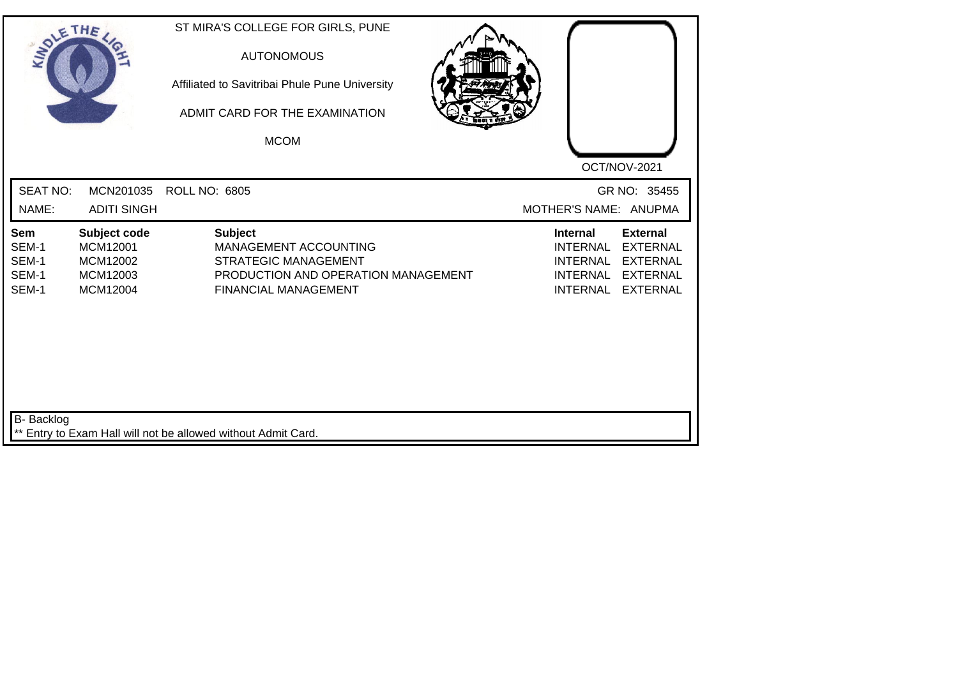| SOLETHE .                                      |                                                              | ST MIRA'S COLLEGE FOR GIRLS, PUNE<br><b>AUTONOMOUS</b><br>Affiliated to Savitribai Phule Pune University<br>ADMIT CARD FOR THE EXAMINATION<br><b>MCOM</b> |                                                                                                                                                                                            |
|------------------------------------------------|--------------------------------------------------------------|-----------------------------------------------------------------------------------------------------------------------------------------------------------|--------------------------------------------------------------------------------------------------------------------------------------------------------------------------------------------|
| <b>SEAT NO:</b><br>NAME:                       | MCN201035<br><b>ADITI SINGH</b>                              | <b>ROLL NO: 6805</b>                                                                                                                                      | OCT/NOV-2021<br>GR NO: 35455<br>MOTHER'S NAME: ANUPMA                                                                                                                                      |
| <b>Sem</b><br>SEM-1<br>SEM-1<br>SEM-1<br>SEM-1 | Subject code<br>MCM12001<br>MCM12002<br>MCM12003<br>MCM12004 | <b>Subject</b><br>MANAGEMENT ACCOUNTING<br><b>STRATEGIC MANAGEMENT</b><br>PRODUCTION AND OPERATION MANAGEMENT<br><b>FINANCIAL MANAGEMENT</b>              | <b>External</b><br><b>Internal</b><br><b>EXTERNAL</b><br><b>INTERNAL</b><br><b>INTERNAL</b><br><b>EXTERNAL</b><br><b>INTERNAL</b><br><b>EXTERNAL</b><br><b>INTERNAL</b><br><b>EXTERNAL</b> |
| <b>B-</b> Backlog                              |                                                              | ** Entry to Exam Hall will not be allowed without Admit Card.                                                                                             |                                                                                                                                                                                            |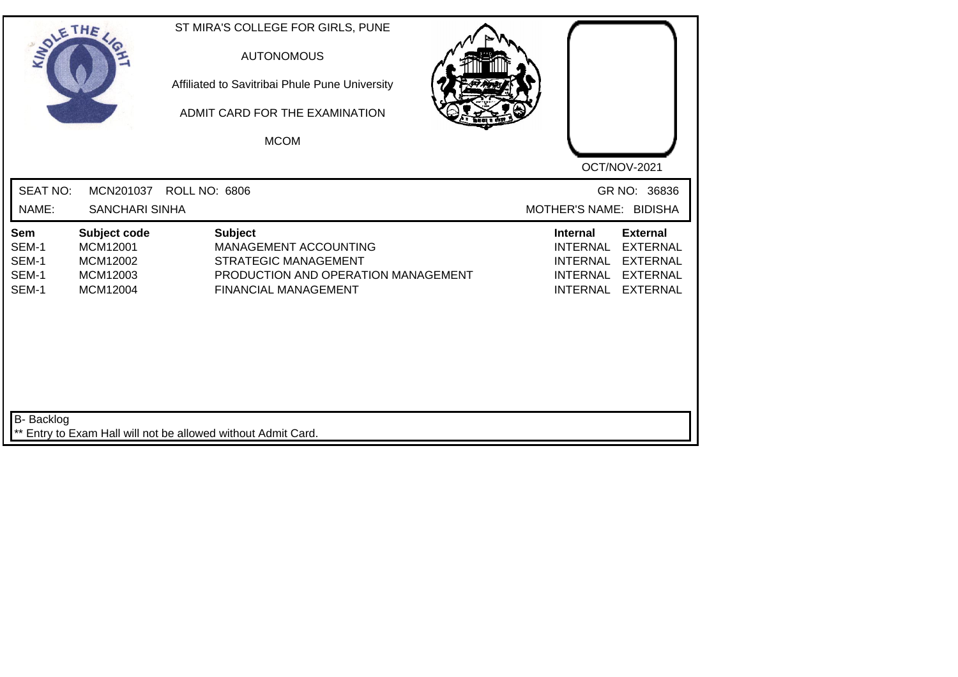| SOLE THE                                       |                                                              | ST MIRA'S COLLEGE FOR GIRLS, PUNE<br><b>AUTONOMOUS</b><br>Affiliated to Savitribai Phule Pune University<br>ADMIT CARD FOR THE EXAMINATION<br><b>MCOM</b> |                                                                                                                                                                                            |
|------------------------------------------------|--------------------------------------------------------------|-----------------------------------------------------------------------------------------------------------------------------------------------------------|--------------------------------------------------------------------------------------------------------------------------------------------------------------------------------------------|
| <b>SEAT NO:</b><br>NAME:                       | <b>SANCHARI SINHA</b>                                        | MCN201037 ROLL NO: 6806                                                                                                                                   | OCT/NOV-2021<br>GR NO: 36836<br>MOTHER'S NAME: BIDISHA                                                                                                                                     |
| <b>Sem</b><br>SEM-1<br>SEM-1<br>SEM-1<br>SEM-1 | Subject code<br>MCM12001<br>MCM12002<br>MCM12003<br>MCM12004 | <b>Subject</b><br>MANAGEMENT ACCOUNTING<br><b>STRATEGIC MANAGEMENT</b><br>PRODUCTION AND OPERATION MANAGEMENT<br><b>FINANCIAL MANAGEMENT</b>              | <b>External</b><br><b>Internal</b><br><b>INTERNAL</b><br><b>EXTERNAL</b><br><b>INTERNAL</b><br><b>EXTERNAL</b><br><b>INTERNAL</b><br><b>EXTERNAL</b><br><b>INTERNAL</b><br><b>EXTERNAL</b> |
| <b>B-</b> Backlog                              |                                                              | ** Entry to Exam Hall will not be allowed without Admit Card.                                                                                             |                                                                                                                                                                                            |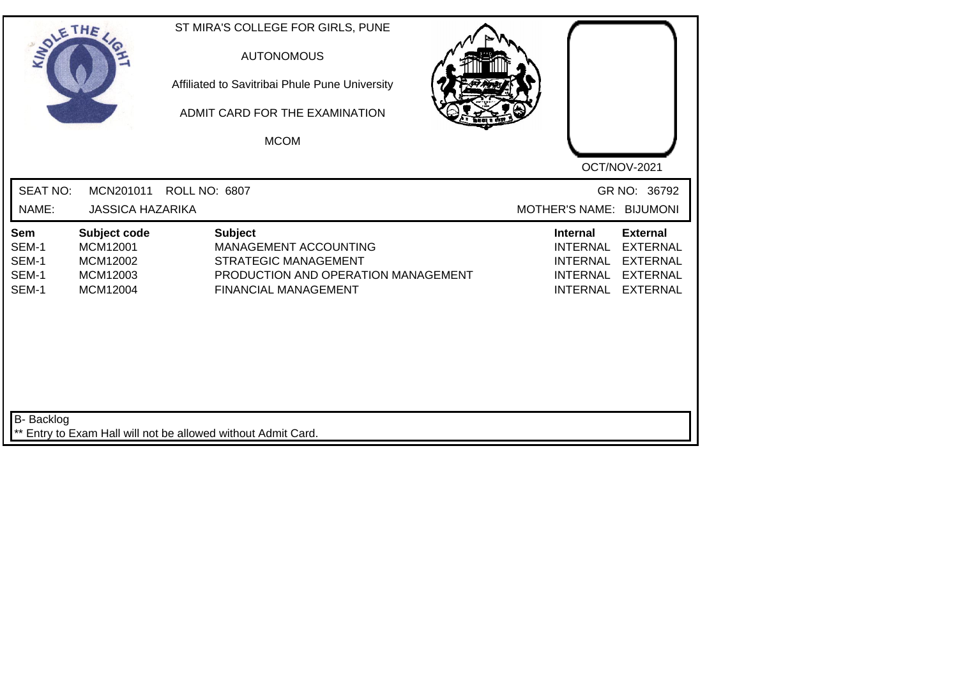| SOLE THE                                       |                                                              | ST MIRA'S COLLEGE FOR GIRLS, PUNE<br><b>AUTONOMOUS</b><br>Affiliated to Savitribai Phule Pune University<br>ADMIT CARD FOR THE EXAMINATION<br><b>MCOM</b> |                                                                                             | OCT/NOV-2021                                                                                |
|------------------------------------------------|--------------------------------------------------------------|-----------------------------------------------------------------------------------------------------------------------------------------------------------|---------------------------------------------------------------------------------------------|---------------------------------------------------------------------------------------------|
| <b>SEAT NO:</b><br>NAME:                       | MCN201011<br><b>JASSICA HAZARIKA</b>                         | ROLL NO: 6807                                                                                                                                             | MOTHER'S NAME: BIJUMONI                                                                     | GR NO: 36792                                                                                |
| <b>Sem</b><br>SEM-1<br>SEM-1<br>SEM-1<br>SEM-1 | Subject code<br>MCM12001<br>MCM12002<br>MCM12003<br>MCM12004 | <b>Subject</b><br>MANAGEMENT ACCOUNTING<br><b>STRATEGIC MANAGEMENT</b><br>PRODUCTION AND OPERATION MANAGEMENT<br><b>FINANCIAL MANAGEMENT</b>              | <b>Internal</b><br><b>INTERNAL</b><br><b>INTERNAL</b><br><b>INTERNAL</b><br><b>INTERNAL</b> | <b>External</b><br><b>EXTERNAL</b><br><b>EXTERNAL</b><br><b>EXTERNAL</b><br><b>EXTERNAL</b> |
| <b>B-</b> Backlog                              |                                                              | ** Entry to Exam Hall will not be allowed without Admit Card.                                                                                             |                                                                                             |                                                                                             |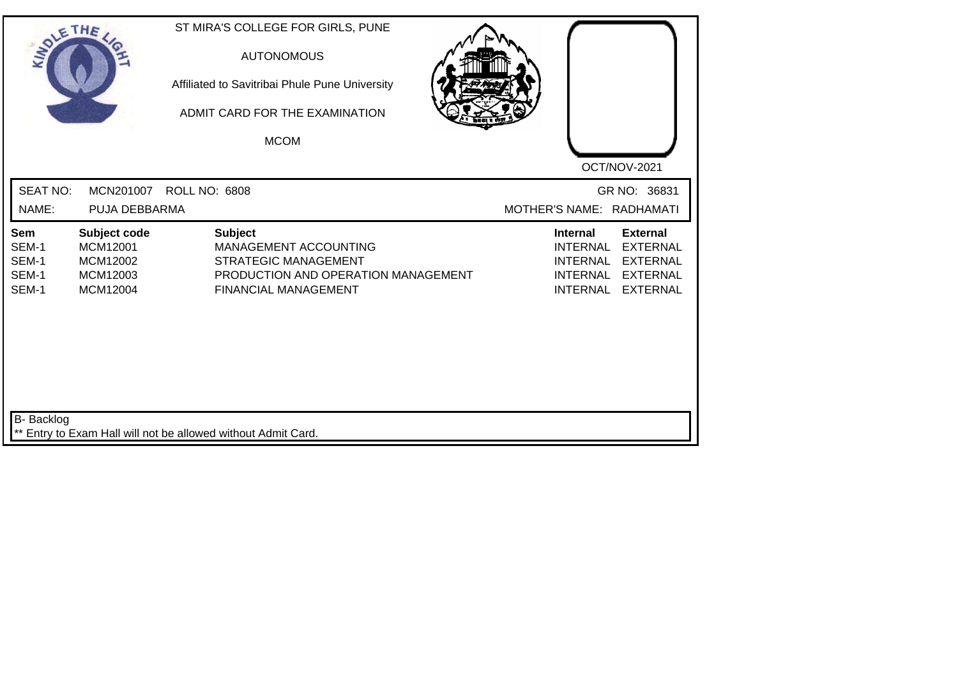| SOLE THE                                       |                                                              | ST MIRA'S COLLEGE FOR GIRLS, PUNE<br><b>AUTONOMOUS</b><br>Affiliated to Savitribai Phule Pune University<br>ADMIT CARD FOR THE EXAMINATION<br><b>MCOM</b> |                                                                                                                                                                                            |
|------------------------------------------------|--------------------------------------------------------------|-----------------------------------------------------------------------------------------------------------------------------------------------------------|--------------------------------------------------------------------------------------------------------------------------------------------------------------------------------------------|
| <b>SEAT NO:</b><br>NAME:                       | MCN201007<br>PUJA DEBBARMA                                   | <b>ROLL NO: 6808</b>                                                                                                                                      | OCT/NOV-2021<br>GR NO: 36831<br>MOTHER'S NAME: RADHAMATI                                                                                                                                   |
| <b>Sem</b><br>SEM-1<br>SEM-1<br>SEM-1<br>SEM-1 | Subject code<br>MCM12001<br>MCM12002<br>MCM12003<br>MCM12004 | <b>Subject</b><br>MANAGEMENT ACCOUNTING<br><b>STRATEGIC MANAGEMENT</b><br>PRODUCTION AND OPERATION MANAGEMENT<br><b>FINANCIAL MANAGEMENT</b>              | <b>External</b><br><b>Internal</b><br><b>INTERNAL</b><br><b>EXTERNAL</b><br><b>INTERNAL</b><br><b>EXTERNAL</b><br><b>INTERNAL</b><br><b>EXTERNAL</b><br><b>INTERNAL</b><br><b>EXTERNAL</b> |
| <b>B-</b> Backlog                              |                                                              | ** Entry to Exam Hall will not be allowed without Admit Card.                                                                                             |                                                                                                                                                                                            |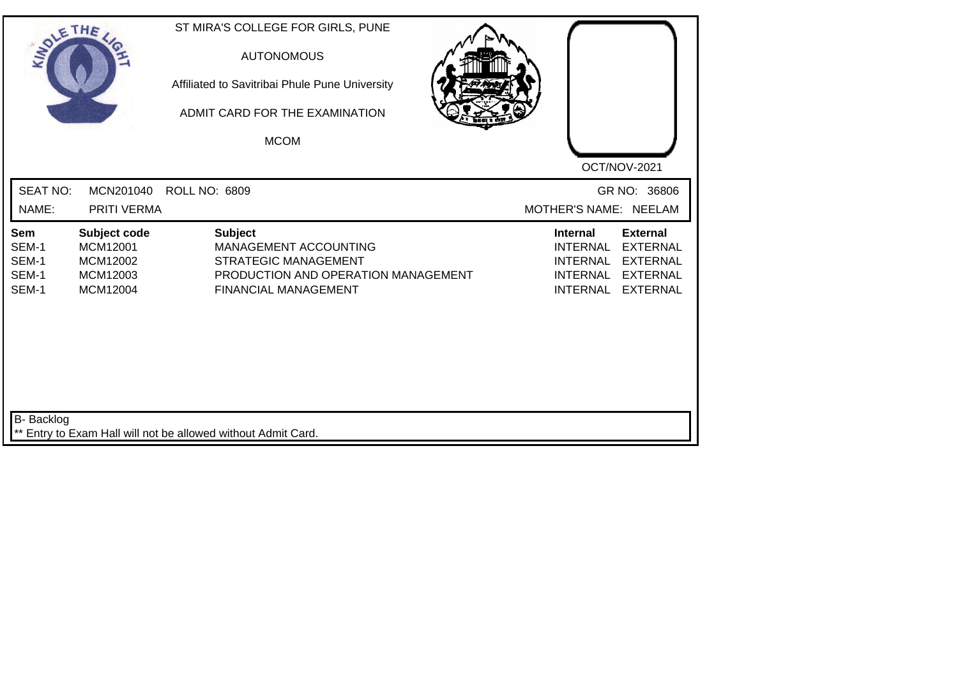| SOLETHE ,                                      |                                                              | ST MIRA'S COLLEGE FOR GIRLS, PUNE<br><b>AUTONOMOUS</b><br>Affiliated to Savitribai Phule Pune University<br>ADMIT CARD FOR THE EXAMINATION<br><b>MCOM</b> | OCT/NOV-2021                                                                                                                                                                               |
|------------------------------------------------|--------------------------------------------------------------|-----------------------------------------------------------------------------------------------------------------------------------------------------------|--------------------------------------------------------------------------------------------------------------------------------------------------------------------------------------------|
| <b>SEAT NO:</b><br>NAME:                       | MCN201040<br>PRITI VERMA                                     | <b>ROLL NO: 6809</b>                                                                                                                                      | GR NO: 36806<br>MOTHER'S NAME: NEELAM                                                                                                                                                      |
| <b>Sem</b><br>SEM-1<br>SEM-1<br>SEM-1<br>SEM-1 | Subject code<br>MCM12001<br>MCM12002<br>MCM12003<br>MCM12004 | <b>Subject</b><br>MANAGEMENT ACCOUNTING<br><b>STRATEGIC MANAGEMENT</b><br>PRODUCTION AND OPERATION MANAGEMENT<br><b>FINANCIAL MANAGEMENT</b>              | <b>External</b><br><b>Internal</b><br><b>EXTERNAL</b><br><b>INTERNAL</b><br><b>INTERNAL</b><br><b>EXTERNAL</b><br><b>INTERNAL</b><br><b>EXTERNAL</b><br><b>INTERNAL</b><br><b>EXTERNAL</b> |
| <b>B-</b> Backlog                              |                                                              | ** Entry to Exam Hall will not be allowed without Admit Card.                                                                                             |                                                                                                                                                                                            |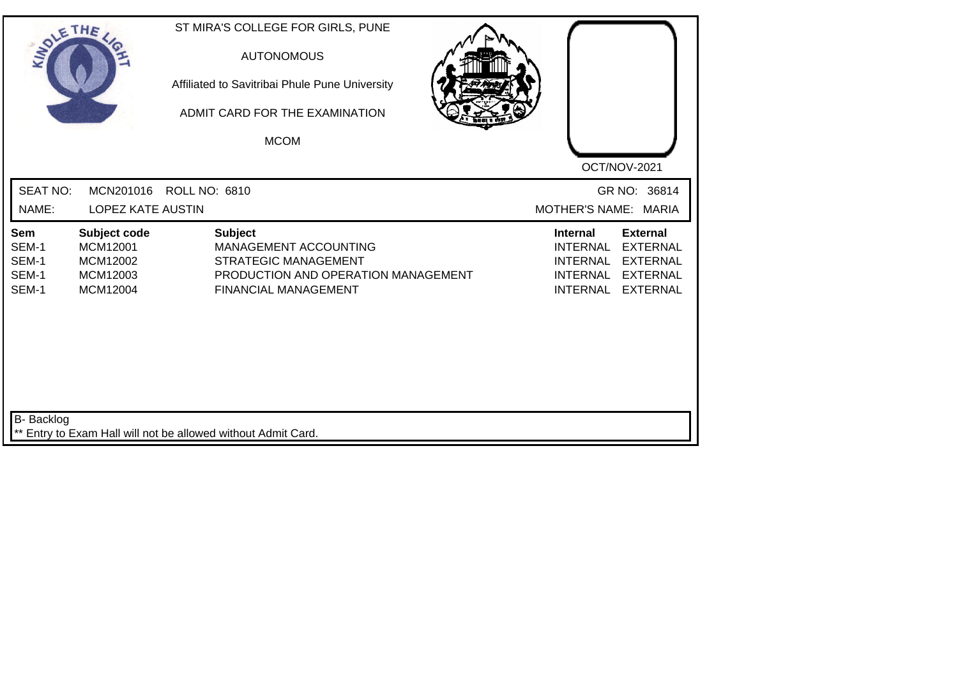| SOLETHE .                               |                                                              | ST MIRA'S COLLEGE FOR GIRLS, PUNE<br><b>AUTONOMOUS</b><br>Affiliated to Savitribai Phule Pune University<br>ADMIT CARD FOR THE EXAMINATION<br><b>MCOM</b> |                                                                                                                                                                                            |
|-----------------------------------------|--------------------------------------------------------------|-----------------------------------------------------------------------------------------------------------------------------------------------------------|--------------------------------------------------------------------------------------------------------------------------------------------------------------------------------------------|
| <b>SEAT NO:</b><br>NAME:                | <b>LOPEZ KATE AUSTIN</b>                                     | MCN201016 ROLL NO: 6810                                                                                                                                   | OCT/NOV-2021<br>GR NO: 36814<br>MOTHER'S NAME: MARIA                                                                                                                                       |
| Sem<br>SEM-1<br>SEM-1<br>SEM-1<br>SEM-1 | Subject code<br>MCM12001<br>MCM12002<br>MCM12003<br>MCM12004 | <b>Subject</b><br>MANAGEMENT ACCOUNTING<br><b>STRATEGIC MANAGEMENT</b><br>PRODUCTION AND OPERATION MANAGEMENT<br><b>FINANCIAL MANAGEMENT</b>              | <b>External</b><br><b>Internal</b><br><b>INTERNAL</b><br><b>EXTERNAL</b><br><b>INTERNAL</b><br><b>EXTERNAL</b><br><b>INTERNAL</b><br><b>EXTERNAL</b><br><b>INTERNAL</b><br><b>EXTERNAL</b> |
| <b>B-</b> Backlog                       |                                                              | ** Entry to Exam Hall will not be allowed without Admit Card.                                                                                             |                                                                                                                                                                                            |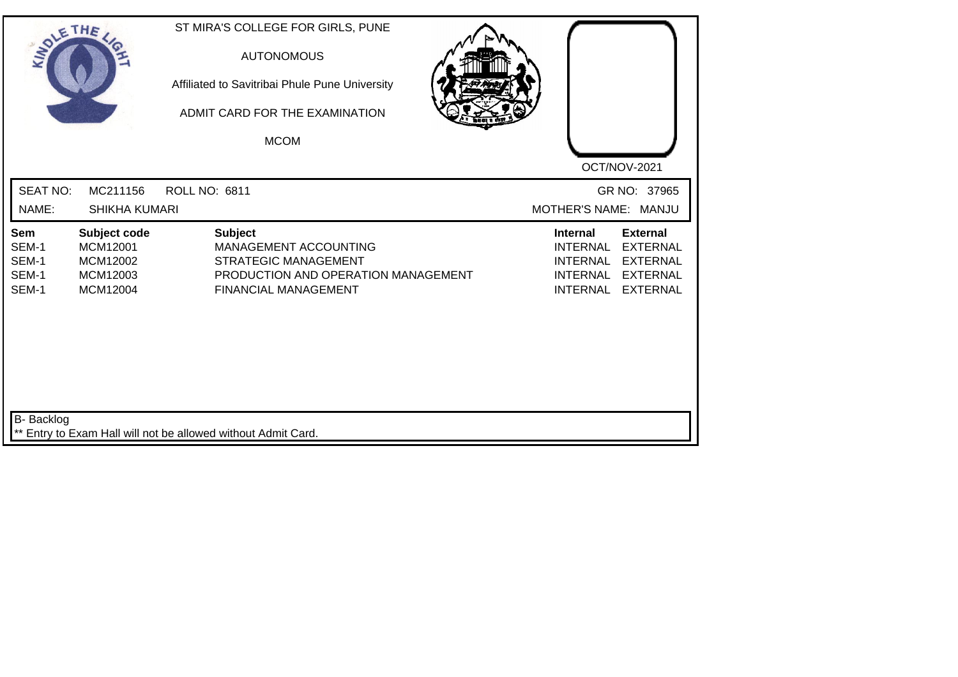| SOLE THE                                |                                                              | ST MIRA'S COLLEGE FOR GIRLS, PUNE<br><b>AUTONOMOUS</b><br>Affiliated to Savitribai Phule Pune University<br>ADMIT CARD FOR THE EXAMINATION<br><b>MCOM</b> |                                                                                                                                                                                            |
|-----------------------------------------|--------------------------------------------------------------|-----------------------------------------------------------------------------------------------------------------------------------------------------------|--------------------------------------------------------------------------------------------------------------------------------------------------------------------------------------------|
| <b>SEAT NO:</b><br>NAME:                | MC211156<br><b>SHIKHA KUMARI</b>                             | <b>ROLL NO: 6811</b>                                                                                                                                      | OCT/NOV-2021<br>GR NO: 37965<br>MOTHER'S NAME: MANJU                                                                                                                                       |
| Sem<br>SEM-1<br>SEM-1<br>SEM-1<br>SEM-1 | Subject code<br>MCM12001<br>MCM12002<br>MCM12003<br>MCM12004 | <b>Subject</b><br>MANAGEMENT ACCOUNTING<br><b>STRATEGIC MANAGEMENT</b><br>PRODUCTION AND OPERATION MANAGEMENT<br><b>FINANCIAL MANAGEMENT</b>              | <b>Internal</b><br><b>External</b><br><b>INTERNAL</b><br><b>EXTERNAL</b><br><b>INTERNAL</b><br><b>EXTERNAL</b><br><b>EXTERNAL</b><br><b>INTERNAL</b><br><b>INTERNAL</b><br><b>EXTERNAL</b> |
| <b>B-</b> Backlog                       |                                                              | ** Entry to Exam Hall will not be allowed without Admit Card.                                                                                             |                                                                                                                                                                                            |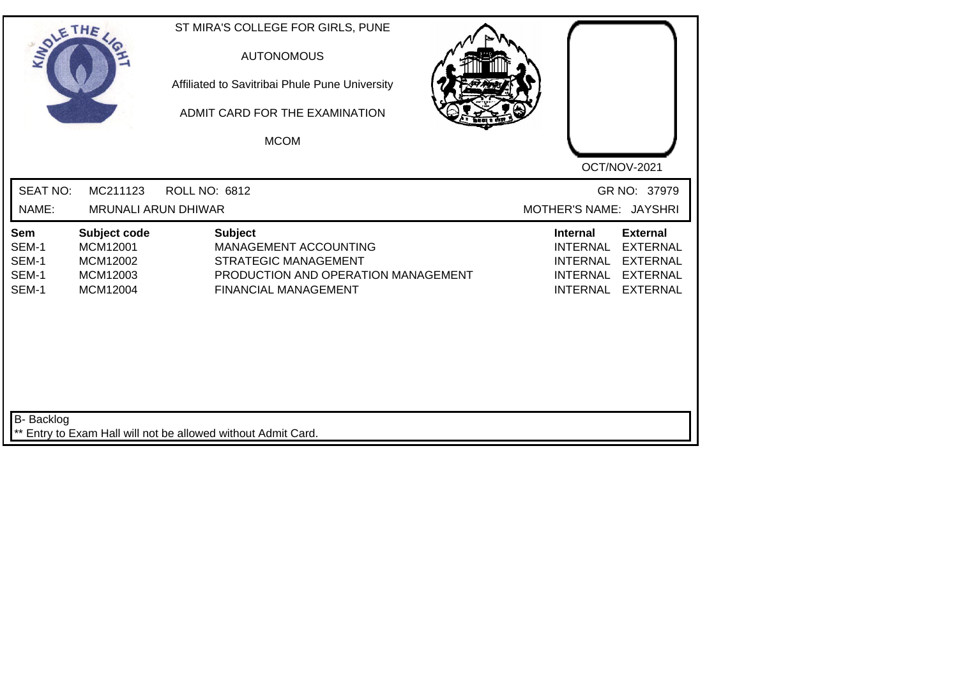| SOLETHE .                               |                                                              | ST MIRA'S COLLEGE FOR GIRLS, PUNE<br><b>AUTONOMOUS</b><br>Affiliated to Savitribai Phule Pune University<br>ADMIT CARD FOR THE EXAMINATION<br><b>MCOM</b> | OCT/NOV-2021                                                                                                                                                                               |
|-----------------------------------------|--------------------------------------------------------------|-----------------------------------------------------------------------------------------------------------------------------------------------------------|--------------------------------------------------------------------------------------------------------------------------------------------------------------------------------------------|
| <b>SEAT NO:</b><br>NAME:                | MC211123<br><b>MRUNALI ARUN DHIWAR</b>                       | <b>ROLL NO: 6812</b>                                                                                                                                      | GR NO: 37979<br>MOTHER'S NAME: JAYSHRI                                                                                                                                                     |
| Sem<br>SEM-1<br>SEM-1<br>SEM-1<br>SEM-1 | Subject code<br>MCM12001<br>MCM12002<br>MCM12003<br>MCM12004 | <b>Subject</b><br>MANAGEMENT ACCOUNTING<br><b>STRATEGIC MANAGEMENT</b><br>PRODUCTION AND OPERATION MANAGEMENT<br><b>FINANCIAL MANAGEMENT</b>              | <b>External</b><br><b>Internal</b><br><b>INTERNAL</b><br><b>EXTERNAL</b><br><b>INTERNAL</b><br><b>EXTERNAL</b><br><b>INTERNAL</b><br><b>EXTERNAL</b><br><b>INTERNAL</b><br><b>EXTERNAL</b> |
| <b>B-</b> Backlog                       |                                                              | ** Entry to Exam Hall will not be allowed without Admit Card.                                                                                             |                                                                                                                                                                                            |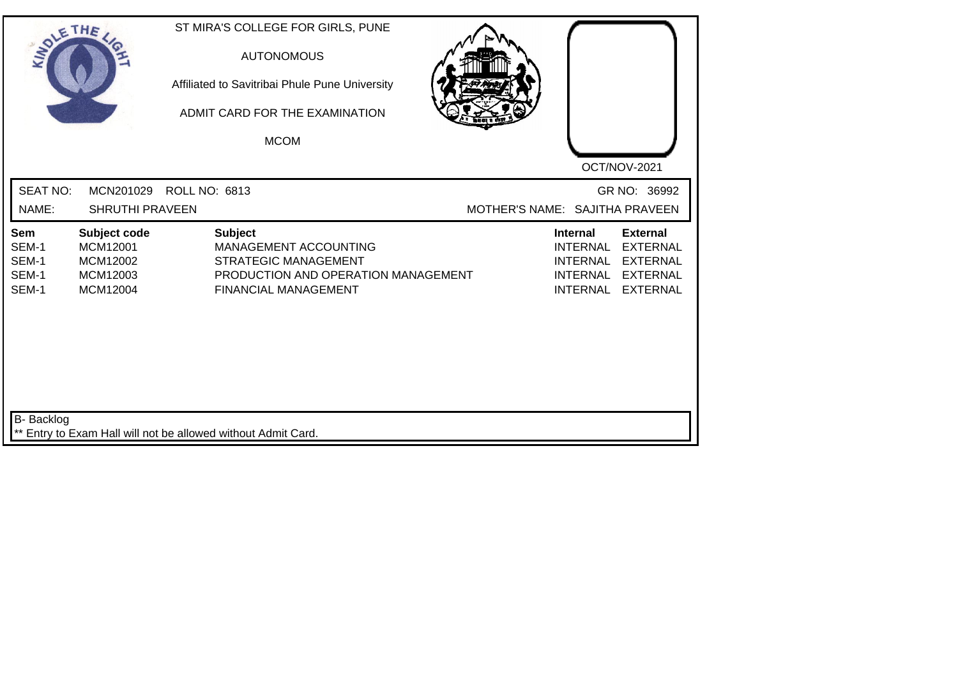| SOLETHE .                                      |                                                              | ST MIRA'S COLLEGE FOR GIRLS, PUNE<br><b>AUTONOMOUS</b><br>Affiliated to Savitribai Phule Pune University<br>ADMIT CARD FOR THE EXAMINATION<br><b>MCOM</b> | OCT/NOV-2021                                                                                                                                                                               |
|------------------------------------------------|--------------------------------------------------------------|-----------------------------------------------------------------------------------------------------------------------------------------------------------|--------------------------------------------------------------------------------------------------------------------------------------------------------------------------------------------|
| <b>SEAT NO:</b><br>NAME:                       | MCN201029<br><b>SHRUTHI PRAVEEN</b>                          | <b>ROLL NO: 6813</b>                                                                                                                                      | GR NO: 36992<br>MOTHER'S NAME: SAJITHA PRAVEEN                                                                                                                                             |
| <b>Sem</b><br>SEM-1<br>SEM-1<br>SEM-1<br>SEM-1 | Subject code<br>MCM12001<br>MCM12002<br>MCM12003<br>MCM12004 | <b>Subject</b><br>MANAGEMENT ACCOUNTING<br><b>STRATEGIC MANAGEMENT</b><br>PRODUCTION AND OPERATION MANAGEMENT<br><b>FINANCIAL MANAGEMENT</b>              | <b>External</b><br><b>Internal</b><br><b>INTERNAL</b><br><b>EXTERNAL</b><br><b>INTERNAL</b><br><b>EXTERNAL</b><br><b>INTERNAL</b><br><b>EXTERNAL</b><br><b>INTERNAL</b><br><b>EXTERNAL</b> |
| <b>B-</b> Backlog                              |                                                              | ** Entry to Exam Hall will not be allowed without Admit Card.                                                                                             |                                                                                                                                                                                            |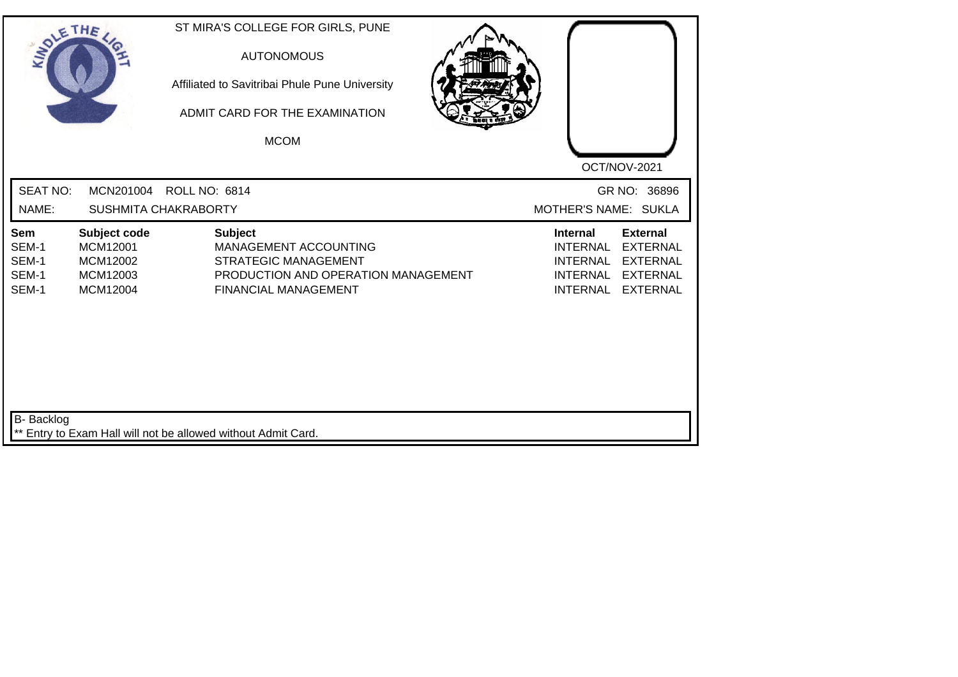| SOLETHE .                                      |                                                              | ST MIRA'S COLLEGE FOR GIRLS, PUNE<br><b>AUTONOMOUS</b><br>Affiliated to Savitribai Phule Pune University<br>ADMIT CARD FOR THE EXAMINATION<br><b>MCOM</b> |  |                                                                                             | OCT/NOV-2021                                                                                |
|------------------------------------------------|--------------------------------------------------------------|-----------------------------------------------------------------------------------------------------------------------------------------------------------|--|---------------------------------------------------------------------------------------------|---------------------------------------------------------------------------------------------|
| <b>SEAT NO:</b><br>NAME:                       | MCN201004                                                    | ROLL NO: 6814<br><b>SUSHMITA CHAKRABORTY</b>                                                                                                              |  | MOTHER'S NAME: SUKLA                                                                        | GR NO: 36896                                                                                |
| <b>Sem</b><br>SEM-1<br>SEM-1<br>SEM-1<br>SEM-1 | Subject code<br>MCM12001<br>MCM12002<br>MCM12003<br>MCM12004 | <b>Subject</b><br>MANAGEMENT ACCOUNTING<br><b>STRATEGIC MANAGEMENT</b><br>PRODUCTION AND OPERATION MANAGEMENT<br><b>FINANCIAL MANAGEMENT</b>              |  | <b>Internal</b><br><b>INTERNAL</b><br><b>INTERNAL</b><br><b>INTERNAL</b><br><b>INTERNAL</b> | <b>External</b><br><b>EXTERNAL</b><br><b>EXTERNAL</b><br><b>EXTERNAL</b><br><b>EXTERNAL</b> |
| <b>B-</b> Backlog                              |                                                              | ** Entry to Exam Hall will not be allowed without Admit Card.                                                                                             |  |                                                                                             |                                                                                             |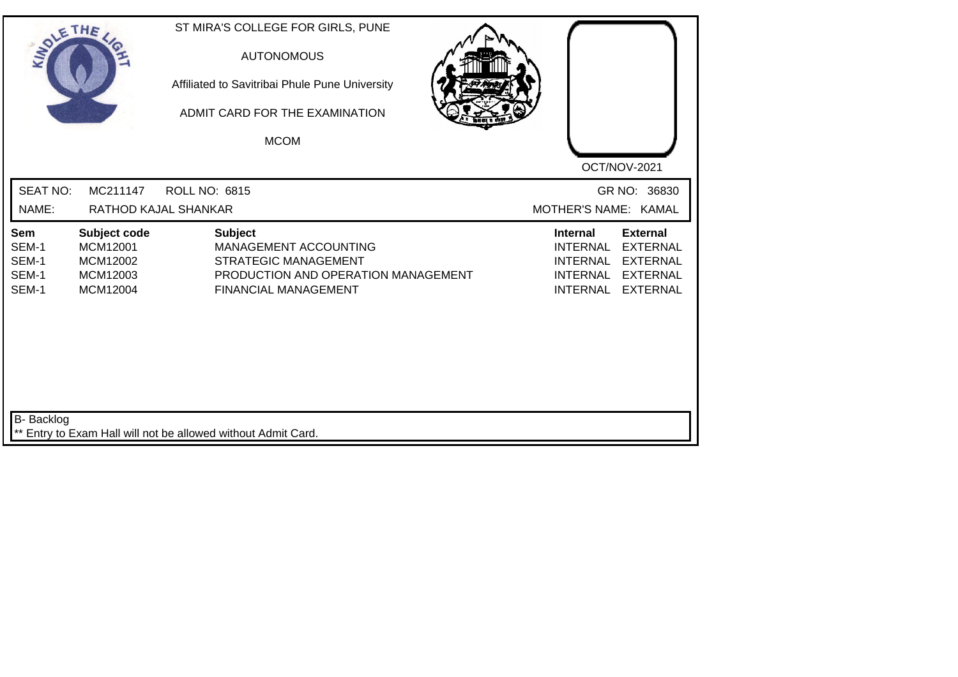| SOLETHE .                                      |                                                              | ST MIRA'S COLLEGE FOR GIRLS, PUNE<br><b>AUTONOMOUS</b><br>Affiliated to Savitribai Phule Pune University<br>ADMIT CARD FOR THE EXAMINATION<br><b>MCOM</b> |                                                                                                                            |                                                                                             |                                                                                             |
|------------------------------------------------|--------------------------------------------------------------|-----------------------------------------------------------------------------------------------------------------------------------------------------------|----------------------------------------------------------------------------------------------------------------------------|---------------------------------------------------------------------------------------------|---------------------------------------------------------------------------------------------|
| <b>SEAT NO:</b><br>NAME:                       | MC211147                                                     | <b>ROLL NO: 6815</b><br>RATHOD KAJAL SHANKAR                                                                                                              |                                                                                                                            | MOTHER'S NAME: KAMAL                                                                        | OCT/NOV-2021<br>GR NO: 36830                                                                |
| <b>Sem</b><br>SEM-1<br>SEM-1<br>SEM-1<br>SEM-1 | Subject code<br>MCM12001<br>MCM12002<br>MCM12003<br>MCM12004 | <b>Subject</b>                                                                                                                                            | MANAGEMENT ACCOUNTING<br><b>STRATEGIC MANAGEMENT</b><br>PRODUCTION AND OPERATION MANAGEMENT<br><b>FINANCIAL MANAGEMENT</b> | <b>Internal</b><br><b>INTERNAL</b><br><b>INTERNAL</b><br><b>INTERNAL</b><br><b>INTERNAL</b> | <b>External</b><br><b>EXTERNAL</b><br><b>EXTERNAL</b><br><b>EXTERNAL</b><br><b>EXTERNAL</b> |
| <b>B-</b> Backlog                              |                                                              | ** Entry to Exam Hall will not be allowed without Admit Card.                                                                                             |                                                                                                                            |                                                                                             |                                                                                             |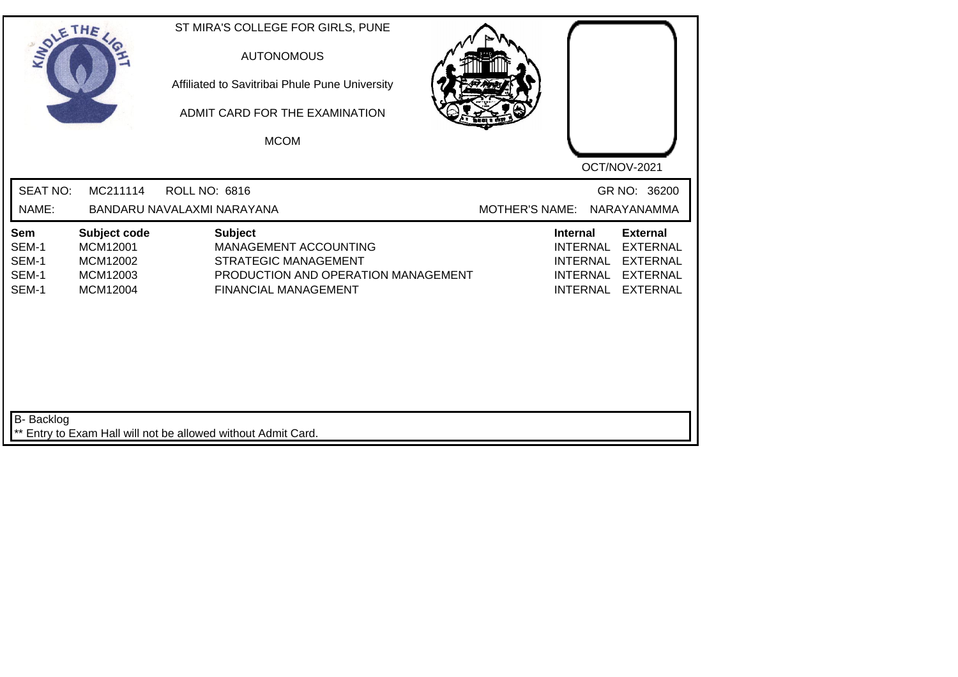| SOLETHE .                                      |                                                              | ST MIRA'S COLLEGE FOR GIRLS, PUNE<br><b>AUTONOMOUS</b><br>Affiliated to Savitribai Phule Pune University<br>ADMIT CARD FOR THE EXAMINATION<br><b>MCOM</b> |                                     |                                                                                             | OCT/NOV-2021                                                                                |
|------------------------------------------------|--------------------------------------------------------------|-----------------------------------------------------------------------------------------------------------------------------------------------------------|-------------------------------------|---------------------------------------------------------------------------------------------|---------------------------------------------------------------------------------------------|
| <b>SEAT NO:</b><br>NAME:                       | MC211114                                                     | <b>ROLL NO: 6816</b><br>BANDARU NAVALAXMI NARAYANA                                                                                                        |                                     | <b>MOTHER'S NAME:</b>                                                                       | GR NO: 36200<br>NARAYANAMMA                                                                 |
| <b>Sem</b><br>SEM-1<br>SEM-1<br>SEM-1<br>SEM-1 | Subject code<br>MCM12001<br>MCM12002<br>MCM12003<br>MCM12004 | <b>Subject</b><br>MANAGEMENT ACCOUNTING<br><b>STRATEGIC MANAGEMENT</b><br><b>FINANCIAL MANAGEMENT</b>                                                     | PRODUCTION AND OPERATION MANAGEMENT | <b>Internal</b><br><b>INTERNAL</b><br><b>INTERNAL</b><br><b>INTERNAL</b><br><b>INTERNAL</b> | <b>External</b><br><b>EXTERNAL</b><br><b>EXTERNAL</b><br><b>EXTERNAL</b><br><b>EXTERNAL</b> |
| <b>B-</b> Backlog                              |                                                              | ** Entry to Exam Hall will not be allowed without Admit Card.                                                                                             |                                     |                                                                                             |                                                                                             |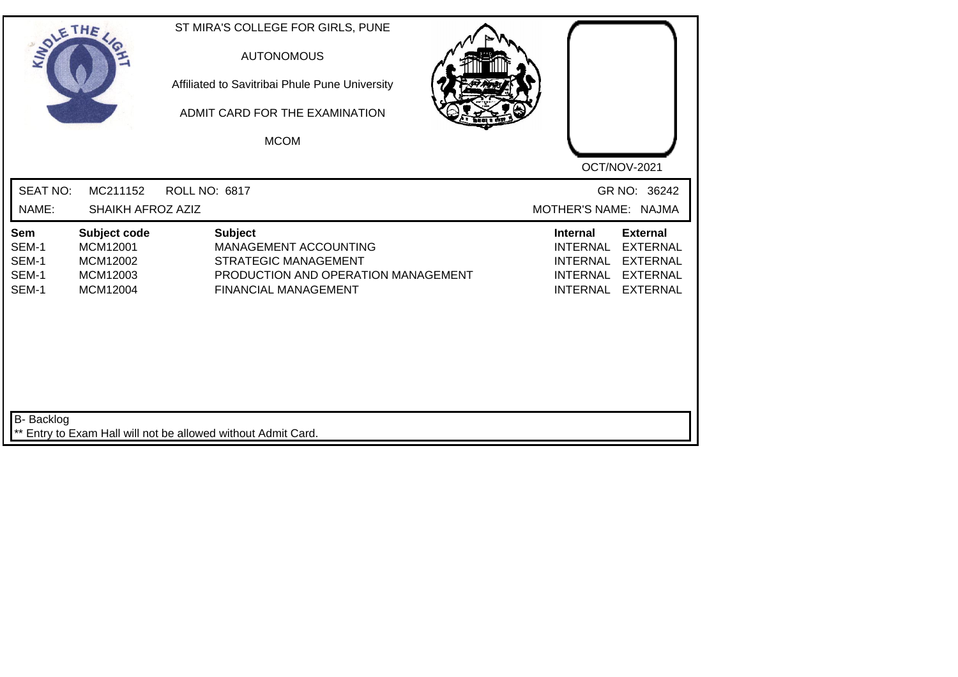| SOLETHE .                               |                                                              | ST MIRA'S COLLEGE FOR GIRLS, PUNE<br><b>AUTONOMOUS</b><br>Affiliated to Savitribai Phule Pune University<br>ADMIT CARD FOR THE EXAMINATION<br><b>MCOM</b> |                                                                                                                                                                                            |
|-----------------------------------------|--------------------------------------------------------------|-----------------------------------------------------------------------------------------------------------------------------------------------------------|--------------------------------------------------------------------------------------------------------------------------------------------------------------------------------------------|
|                                         |                                                              |                                                                                                                                                           | OCT/NOV-2021                                                                                                                                                                               |
| <b>SEAT NO:</b>                         | MC211152                                                     | <b>ROLL NO: 6817</b>                                                                                                                                      | GR NO: 36242                                                                                                                                                                               |
| NAME:                                   | SHAIKH AFROZ AZIZ                                            |                                                                                                                                                           | MOTHER'S NAME: NAJMA                                                                                                                                                                       |
| Sem<br>SEM-1<br>SEM-1<br>SEM-1<br>SEM-1 | Subject code<br>MCM12001<br>MCM12002<br>MCM12003<br>MCM12004 | <b>Subject</b><br>MANAGEMENT ACCOUNTING<br><b>STRATEGIC MANAGEMENT</b><br>PRODUCTION AND OPERATION MANAGEMENT<br>FINANCIAL MANAGEMENT                     | <b>External</b><br><b>Internal</b><br><b>EXTERNAL</b><br><b>INTERNAL</b><br><b>INTERNAL</b><br><b>EXTERNAL</b><br><b>INTERNAL</b><br><b>EXTERNAL</b><br><b>INTERNAL</b><br><b>EXTERNAL</b> |
| <b>B-</b> Backlog                       |                                                              | ** Entry to Exam Hall will not be allowed without Admit Card.                                                                                             |                                                                                                                                                                                            |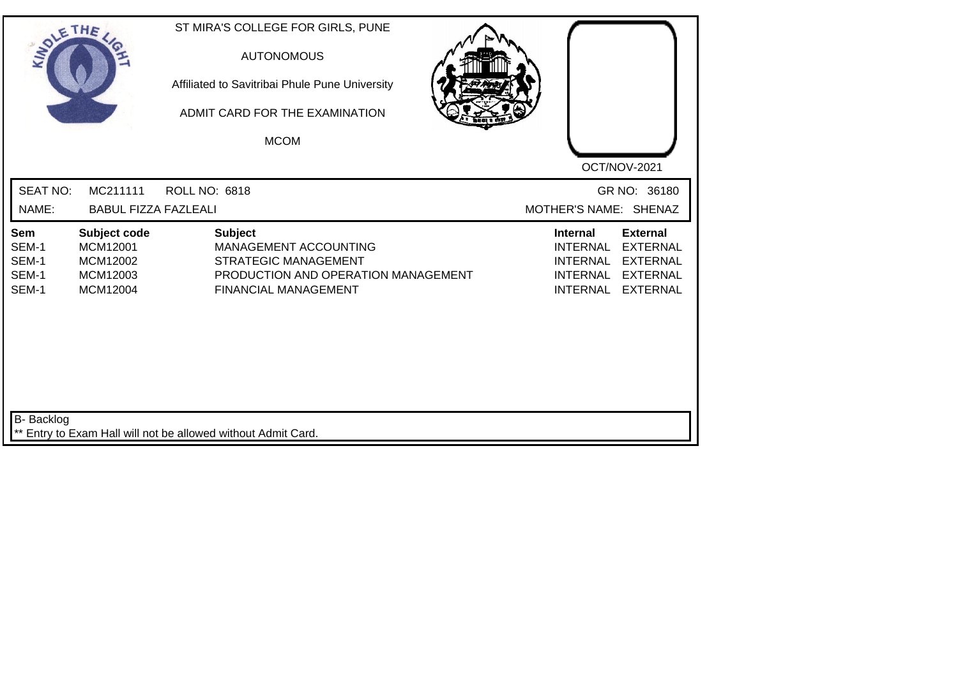| SOLETHE .                                      |                                                              | ST MIRA'S COLLEGE FOR GIRLS, PUNE<br><b>AUTONOMOUS</b><br>Affiliated to Savitribai Phule Pune University<br>ADMIT CARD FOR THE EXAMINATION<br><b>MCOM</b> |                                                                                                                                                                                            |
|------------------------------------------------|--------------------------------------------------------------|-----------------------------------------------------------------------------------------------------------------------------------------------------------|--------------------------------------------------------------------------------------------------------------------------------------------------------------------------------------------|
| <b>SEAT NO:</b><br>NAME:                       | MC211111<br><b>BABUL FIZZA FAZLEALI</b>                      | <b>ROLL NO: 6818</b>                                                                                                                                      | OCT/NOV-2021<br>GR NO: 36180<br>MOTHER'S NAME: SHENAZ                                                                                                                                      |
| <b>Sem</b><br>SEM-1<br>SEM-1<br>SEM-1<br>SEM-1 | Subject code<br>MCM12001<br>MCM12002<br>MCM12003<br>MCM12004 | <b>Subject</b><br>MANAGEMENT ACCOUNTING<br><b>STRATEGIC MANAGEMENT</b><br>PRODUCTION AND OPERATION MANAGEMENT<br><b>FINANCIAL MANAGEMENT</b>              | <b>External</b><br><b>Internal</b><br><b>EXTERNAL</b><br><b>INTERNAL</b><br><b>INTERNAL</b><br><b>EXTERNAL</b><br><b>INTERNAL</b><br><b>EXTERNAL</b><br><b>INTERNAL</b><br><b>EXTERNAL</b> |
| <b>B-</b> Backlog                              |                                                              | ** Entry to Exam Hall will not be allowed without Admit Card.                                                                                             |                                                                                                                                                                                            |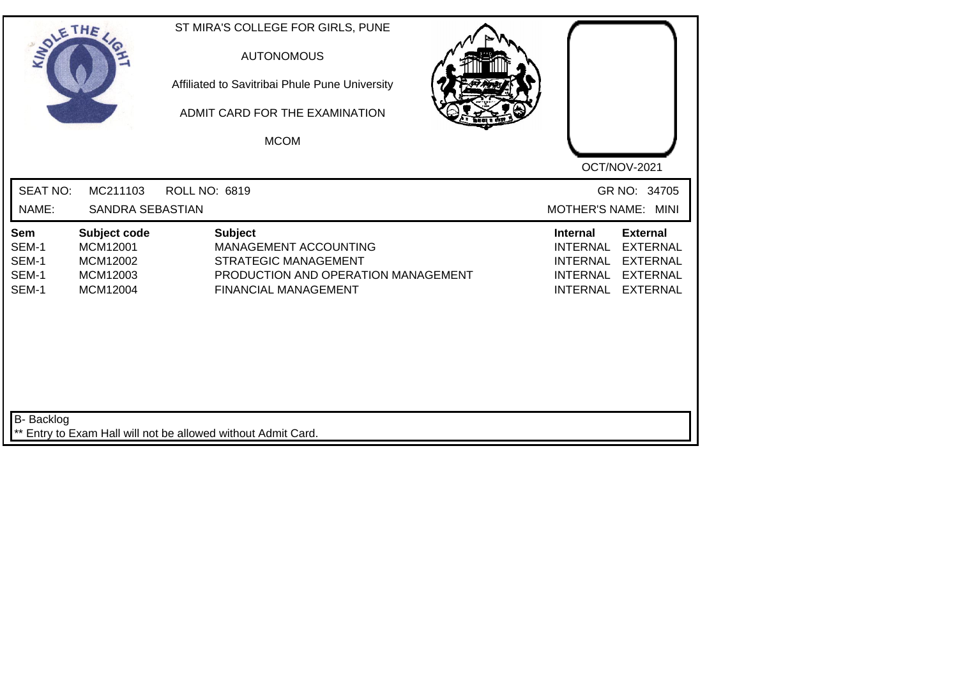| SOLETHE .                               |                                                              | ST MIRA'S COLLEGE FOR GIRLS, PUNE<br><b>AUTONOMOUS</b><br>Affiliated to Savitribai Phule Pune University<br>ADMIT CARD FOR THE EXAMINATION<br><b>MCOM</b> |                                                                                                                                                                                            |
|-----------------------------------------|--------------------------------------------------------------|-----------------------------------------------------------------------------------------------------------------------------------------------------------|--------------------------------------------------------------------------------------------------------------------------------------------------------------------------------------------|
| <b>SEAT NO:</b><br>NAME:                | MC211103<br>SANDRA SEBASTIAN                                 | <b>ROLL NO: 6819</b>                                                                                                                                      | OCT/NOV-2021<br>GR NO: 34705<br>MOTHER'S NAME: MINI                                                                                                                                        |
| Sem<br>SEM-1<br>SEM-1<br>SEM-1<br>SEM-1 | Subject code<br>MCM12001<br>MCM12002<br>MCM12003<br>MCM12004 | <b>Subject</b><br>MANAGEMENT ACCOUNTING<br><b>STRATEGIC MANAGEMENT</b><br>PRODUCTION AND OPERATION MANAGEMENT<br><b>FINANCIAL MANAGEMENT</b>              | <b>External</b><br><b>Internal</b><br><b>INTERNAL</b><br><b>EXTERNAL</b><br><b>INTERNAL</b><br><b>EXTERNAL</b><br><b>INTERNAL</b><br><b>EXTERNAL</b><br><b>INTERNAL</b><br><b>EXTERNAL</b> |
| <b>B-</b> Backlog                       |                                                              | ** Entry to Exam Hall will not be allowed without Admit Card.                                                                                             |                                                                                                                                                                                            |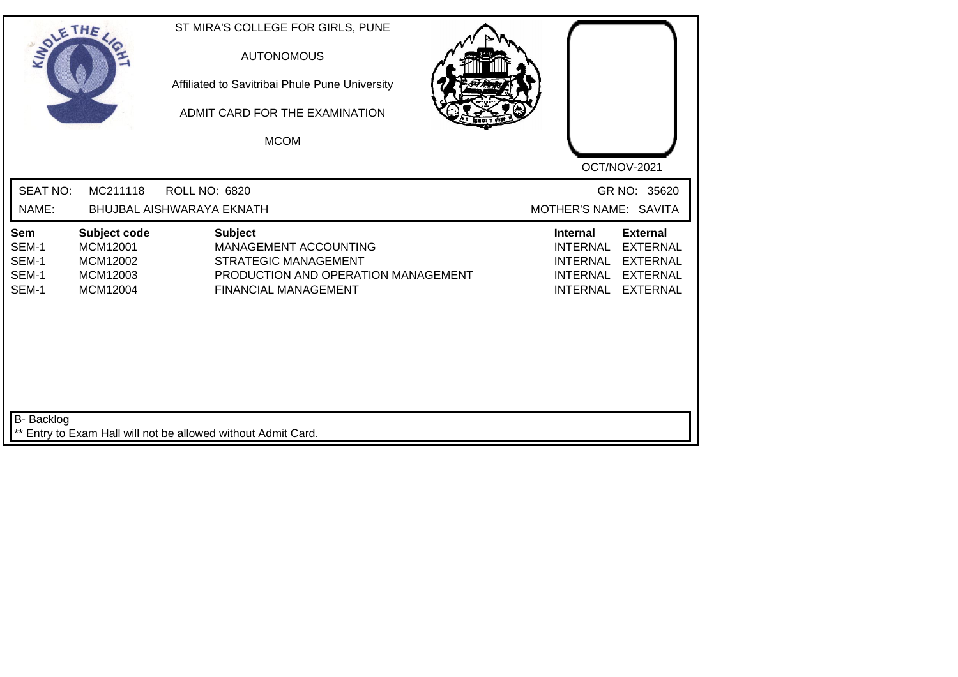| SOLETHE .                                      |                                                              | ST MIRA'S COLLEGE FOR GIRLS, PUNE<br><b>AUTONOMOUS</b><br>Affiliated to Savitribai Phule Pune University<br>ADMIT CARD FOR THE EXAMINATION<br><b>MCOM</b> |                                                                                                                                                                                            |
|------------------------------------------------|--------------------------------------------------------------|-----------------------------------------------------------------------------------------------------------------------------------------------------------|--------------------------------------------------------------------------------------------------------------------------------------------------------------------------------------------|
| <b>SEAT NO:</b><br>NAME:                       | MC211118                                                     | <b>ROLL NO: 6820</b><br>BHUJBAL AISHWARAYA EKNATH                                                                                                         | OCT/NOV-2021<br>GR NO: 35620<br>MOTHER'S NAME: SAVITA                                                                                                                                      |
| <b>Sem</b><br>SEM-1<br>SEM-1<br>SEM-1<br>SEM-1 | Subject code<br>MCM12001<br>MCM12002<br>MCM12003<br>MCM12004 | <b>Subject</b><br>MANAGEMENT ACCOUNTING<br><b>STRATEGIC MANAGEMENT</b><br>PRODUCTION AND OPERATION MANAGEMENT<br><b>FINANCIAL MANAGEMENT</b>              | <b>External</b><br><b>Internal</b><br><b>EXTERNAL</b><br><b>INTERNAL</b><br><b>INTERNAL</b><br><b>EXTERNAL</b><br><b>INTERNAL</b><br><b>EXTERNAL</b><br><b>INTERNAL</b><br><b>EXTERNAL</b> |
| <b>B-</b> Backlog                              |                                                              | ** Entry to Exam Hall will not be allowed without Admit Card.                                                                                             |                                                                                                                                                                                            |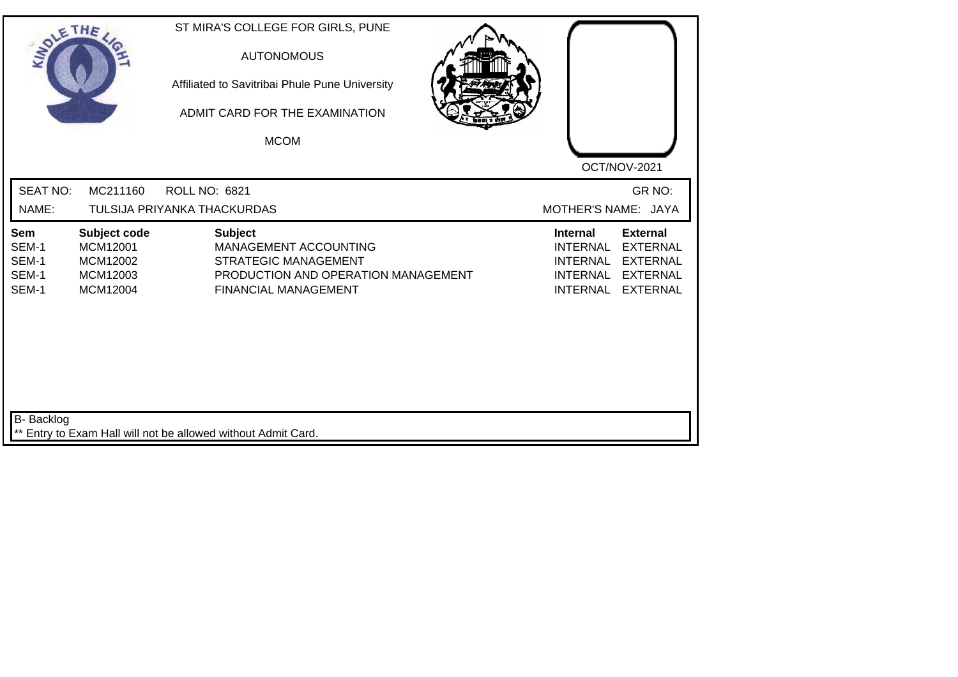| SOLETHE .                               |                                                              | ST MIRA'S COLLEGE FOR GIRLS, PUNE<br><b>AUTONOMOUS</b><br>Affiliated to Savitribai Phule Pune University<br>ADMIT CARD FOR THE EXAMINATION<br><b>MCOM</b> |                                                                                                                                                                                            |
|-----------------------------------------|--------------------------------------------------------------|-----------------------------------------------------------------------------------------------------------------------------------------------------------|--------------------------------------------------------------------------------------------------------------------------------------------------------------------------------------------|
| <b>SEAT NO:</b><br>NAME:                | MC211160                                                     | <b>ROLL NO: 6821</b><br>TULSIJA PRIYANKA THACKURDAS                                                                                                       | OCT/NOV-2021<br>GR NO:<br>MOTHER'S NAME: JAYA                                                                                                                                              |
| Sem<br>SEM-1<br>SEM-1<br>SEM-1<br>SEM-1 | Subject code<br>MCM12001<br>MCM12002<br>MCM12003<br>MCM12004 | <b>Subject</b><br>MANAGEMENT ACCOUNTING<br><b>STRATEGIC MANAGEMENT</b><br>PRODUCTION AND OPERATION MANAGEMENT<br><b>FINANCIAL MANAGEMENT</b>              | <b>External</b><br><b>Internal</b><br><b>INTERNAL</b><br><b>EXTERNAL</b><br><b>INTERNAL</b><br><b>EXTERNAL</b><br><b>INTERNAL</b><br><b>EXTERNAL</b><br><b>INTERNAL</b><br><b>EXTERNAL</b> |
| <b>B-</b> Backlog                       |                                                              | ** Entry to Exam Hall will not be allowed without Admit Card.                                                                                             |                                                                                                                                                                                            |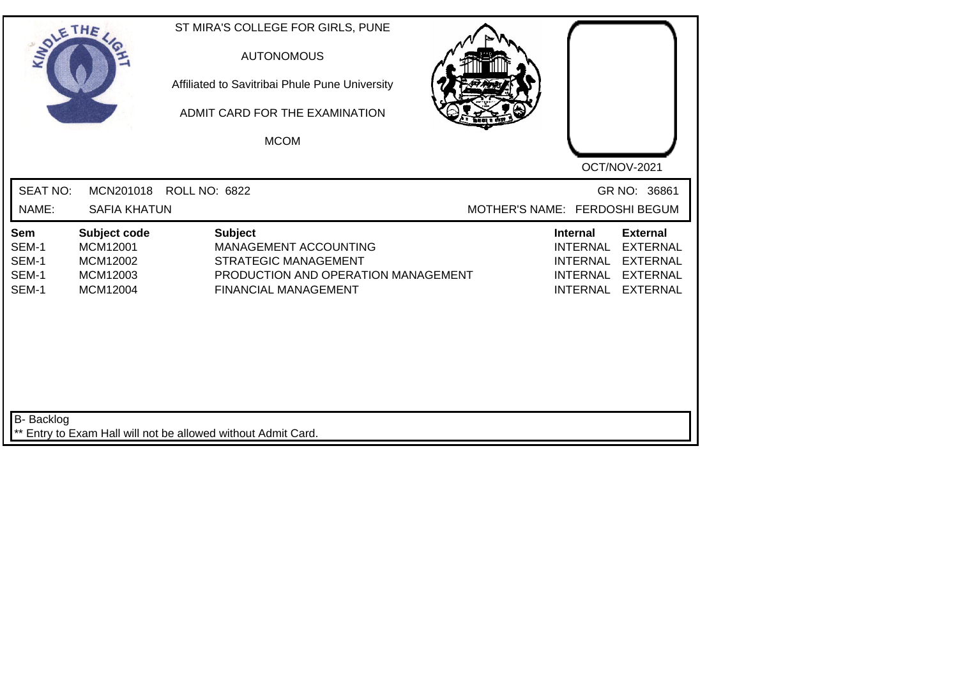| SOLETHE ,                                      |                                                              | ST MIRA'S COLLEGE FOR GIRLS, PUNE<br><b>AUTONOMOUS</b><br>Affiliated to Savitribai Phule Pune University<br>ADMIT CARD FOR THE EXAMINATION<br><b>MCOM</b> | OCT/NOV-2021                                                                                                                                                                        |
|------------------------------------------------|--------------------------------------------------------------|-----------------------------------------------------------------------------------------------------------------------------------------------------------|-------------------------------------------------------------------------------------------------------------------------------------------------------------------------------------|
| <b>SEAT NO:</b><br>NAME:                       | MCN201018<br><b>SAFIA KHATUN</b>                             | ROLL NO: 6822                                                                                                                                             | GR NO: 36861<br>MOTHER'S NAME: FERDOSHI BEGUM                                                                                                                                       |
| <b>Sem</b><br>SEM-1<br>SEM-1<br>SEM-1<br>SEM-1 | Subject code<br>MCM12001<br>MCM12002<br>MCM12003<br>MCM12004 | <b>Subject</b><br>MANAGEMENT ACCOUNTING<br><b>STRATEGIC MANAGEMENT</b><br>PRODUCTION AND OPERATION MANAGEMENT<br><b>FINANCIAL MANAGEMENT</b>              | <b>External</b><br>Internal<br><b>INTERNAL</b><br><b>EXTERNAL</b><br><b>INTERNAL</b><br><b>EXTERNAL</b><br><b>INTERNAL</b><br><b>EXTERNAL</b><br><b>INTERNAL</b><br><b>EXTERNAL</b> |
| <b>B-</b> Backlog                              |                                                              | ** Entry to Exam Hall will not be allowed without Admit Card.                                                                                             |                                                                                                                                                                                     |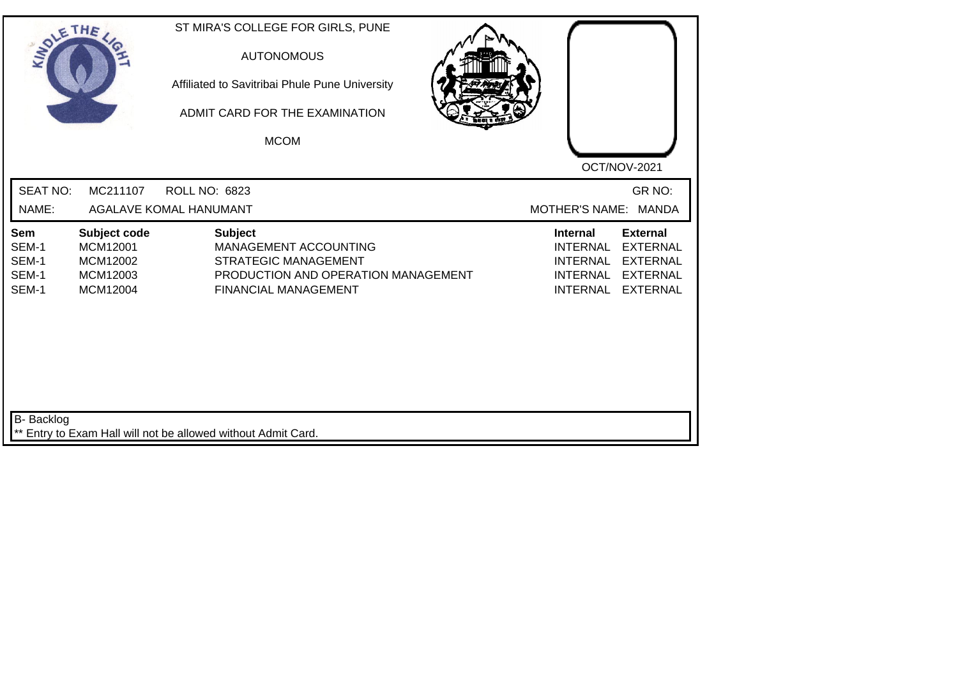| SOLETHE.                                |                                                              | ST MIRA'S COLLEGE FOR GIRLS, PUNE<br><b>AUTONOMOUS</b><br>Affiliated to Savitribai Phule Pune University<br>ADMIT CARD FOR THE EXAMINATION<br><b>MCOM</b> | OCT/NOV-2021                                                                                                                                                                               |
|-----------------------------------------|--------------------------------------------------------------|-----------------------------------------------------------------------------------------------------------------------------------------------------------|--------------------------------------------------------------------------------------------------------------------------------------------------------------------------------------------|
| <b>SEAT NO:</b><br>NAME:                | MC211107                                                     | ROLL NO: 6823<br><b>AGALAVE KOMAL HANUMANT</b>                                                                                                            | GR NO:<br><b>MOTHER'S NAME:</b><br><b>MANDA</b>                                                                                                                                            |
| Sem<br>SEM-1<br>SEM-1<br>SEM-1<br>SEM-1 | Subject code<br>MCM12001<br>MCM12002<br>MCM12003<br>MCM12004 | <b>Subject</b><br>MANAGEMENT ACCOUNTING<br><b>STRATEGIC MANAGEMENT</b><br>PRODUCTION AND OPERATION MANAGEMENT<br><b>FINANCIAL MANAGEMENT</b>              | <b>External</b><br><b>Internal</b><br><b>INTERNAL</b><br><b>EXTERNAL</b><br><b>INTERNAL</b><br><b>EXTERNAL</b><br><b>INTERNAL</b><br><b>EXTERNAL</b><br><b>INTERNAL</b><br><b>EXTERNAL</b> |
| B- Backlog                              |                                                              | ** Entry to Exam Hall will not be allowed without Admit Card.                                                                                             |                                                                                                                                                                                            |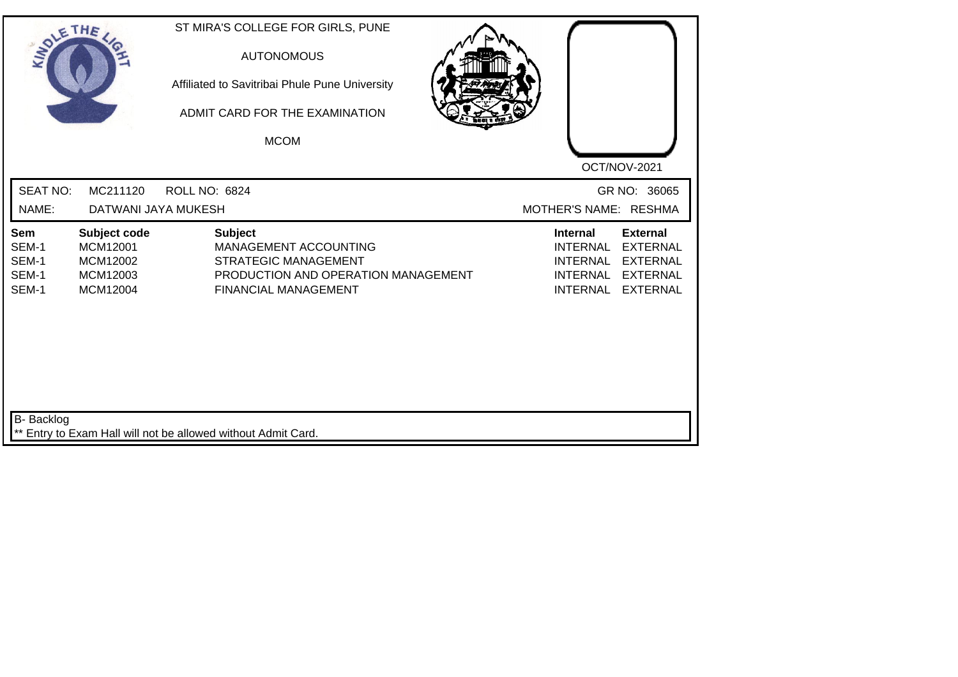| SOLETHE .                                                                          |                                                              | ST MIRA'S COLLEGE FOR GIRLS, PUNE<br><b>AUTONOMOUS</b><br>Affiliated to Savitribai Phule Pune University<br>ADMIT CARD FOR THE EXAMINATION<br><b>MCOM</b> |                                                                                                                                                                                            |  |  |
|------------------------------------------------------------------------------------|--------------------------------------------------------------|-----------------------------------------------------------------------------------------------------------------------------------------------------------|--------------------------------------------------------------------------------------------------------------------------------------------------------------------------------------------|--|--|
| <b>SEAT NO:</b><br>NAME:                                                           | MC211120                                                     | <b>ROLL NO: 6824</b><br>DATWANI JAYA MUKESH                                                                                                               | OCT/NOV-2021<br>GR NO: 36065<br>MOTHER'S NAME: RESHMA                                                                                                                                      |  |  |
| <b>Sem</b><br>SEM-1<br>SEM-1<br>SEM-1<br>SEM-1                                     | Subject code<br>MCM12001<br>MCM12002<br>MCM12003<br>MCM12004 | <b>Subject</b><br>MANAGEMENT ACCOUNTING<br><b>STRATEGIC MANAGEMENT</b><br>PRODUCTION AND OPERATION MANAGEMENT<br><b>FINANCIAL MANAGEMENT</b>              | <b>External</b><br><b>Internal</b><br><b>INTERNAL</b><br><b>EXTERNAL</b><br><b>INTERNAL</b><br><b>EXTERNAL</b><br><b>INTERNAL</b><br><b>EXTERNAL</b><br><b>INTERNAL</b><br><b>EXTERNAL</b> |  |  |
| <b>B-</b> Backlog<br>** Entry to Exam Hall will not be allowed without Admit Card. |                                                              |                                                                                                                                                           |                                                                                                                                                                                            |  |  |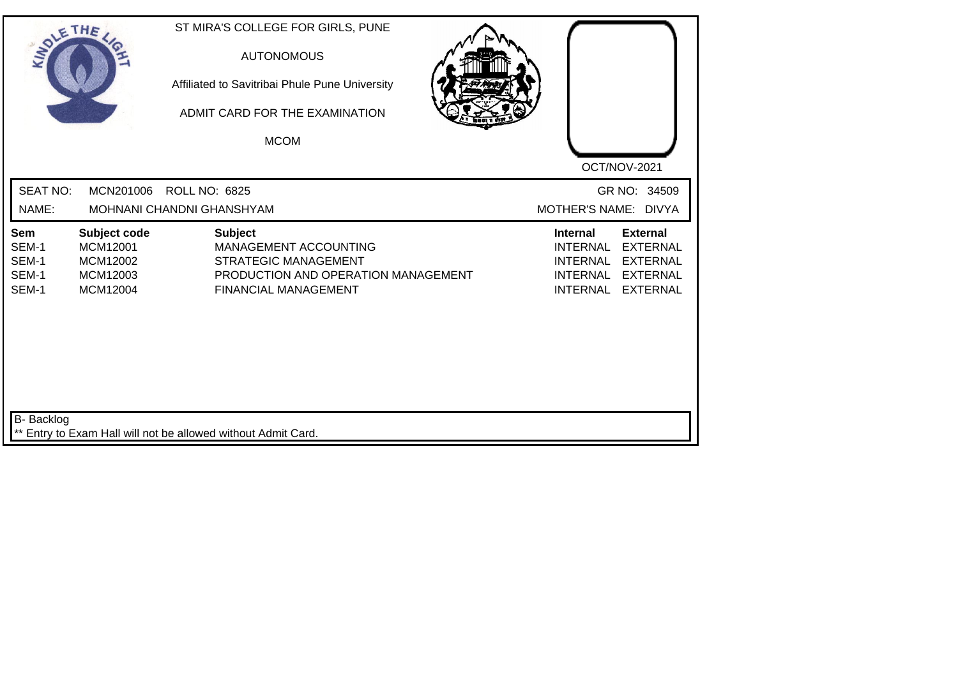| SOLE THE                                       |                                                              | ST MIRA'S COLLEGE FOR GIRLS, PUNE<br><b>AUTONOMOUS</b><br>Affiliated to Savitribai Phule Pune University<br>ADMIT CARD FOR THE EXAMINATION<br><b>MCOM</b> |                                                                                                                                                                                            |
|------------------------------------------------|--------------------------------------------------------------|-----------------------------------------------------------------------------------------------------------------------------------------------------------|--------------------------------------------------------------------------------------------------------------------------------------------------------------------------------------------|
| <b>SEAT NO:</b><br>NAME:                       | MCN201006                                                    | ROLL NO: 6825<br>MOHNANI CHANDNI GHANSHYAM                                                                                                                | OCT/NOV-2021<br>GR NO: 34509<br>MOTHER'S NAME: DIVYA                                                                                                                                       |
| <b>Sem</b><br>SEM-1<br>SEM-1<br>SEM-1<br>SEM-1 | Subject code<br>MCM12001<br>MCM12002<br>MCM12003<br>MCM12004 | <b>Subject</b><br>MANAGEMENT ACCOUNTING<br><b>STRATEGIC MANAGEMENT</b><br>PRODUCTION AND OPERATION MANAGEMENT<br>FINANCIAL MANAGEMENT                     | <b>Internal</b><br><b>External</b><br><b>INTERNAL</b><br><b>EXTERNAL</b><br><b>EXTERNAL</b><br><b>INTERNAL</b><br><b>INTERNAL</b><br><b>EXTERNAL</b><br><b>INTERNAL</b><br><b>EXTERNAL</b> |
| <b>B-</b> Backlog                              |                                                              | ** Entry to Exam Hall will not be allowed without Admit Card.                                                                                             |                                                                                                                                                                                            |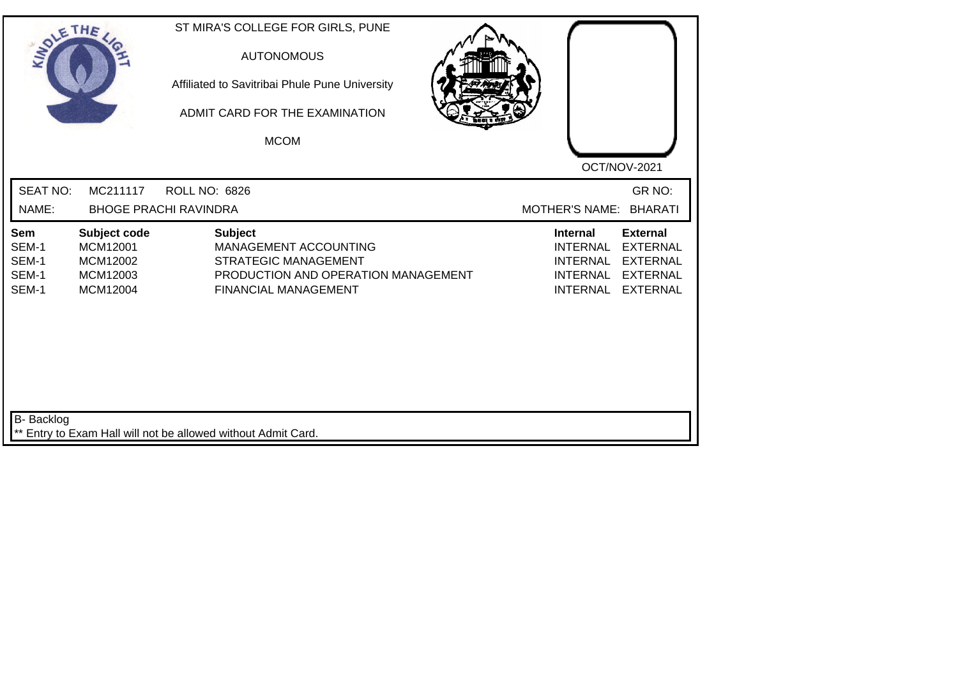| SOLE THE                                       |                                                              | ST MIRA'S COLLEGE FOR GIRLS, PUNE<br><b>AUTONOMOUS</b><br>Affiliated to Savitribai Phule Pune University<br>ADMIT CARD FOR THE EXAMINATION<br><b>MCOM</b> |                                     |                       |                                                                                             | OCT/NOV-2021                                                                                |
|------------------------------------------------|--------------------------------------------------------------|-----------------------------------------------------------------------------------------------------------------------------------------------------------|-------------------------------------|-----------------------|---------------------------------------------------------------------------------------------|---------------------------------------------------------------------------------------------|
| <b>SEAT NO:</b><br>NAME:                       | MC211117                                                     | <b>ROLL NO: 6826</b><br><b>BHOGE PRACHI RAVINDRA</b>                                                                                                      |                                     | <b>MOTHER'S NAME:</b> |                                                                                             | GR NO:<br><b>BHARATI</b>                                                                    |
| <b>Sem</b><br>SEM-1<br>SEM-1<br>SEM-1<br>SEM-1 | Subject code<br>MCM12001<br>MCM12002<br>MCM12003<br>MCM12004 | <b>Subject</b><br>MANAGEMENT ACCOUNTING<br><b>STRATEGIC MANAGEMENT</b><br><b>FINANCIAL MANAGEMENT</b>                                                     | PRODUCTION AND OPERATION MANAGEMENT |                       | <b>Internal</b><br><b>INTERNAL</b><br><b>INTERNAL</b><br><b>INTERNAL</b><br><b>INTERNAL</b> | <b>External</b><br><b>EXTERNAL</b><br><b>EXTERNAL</b><br><b>EXTERNAL</b><br><b>EXTERNAL</b> |
| <b>B-</b> Backlog                              |                                                              | ** Entry to Exam Hall will not be allowed without Admit Card.                                                                                             |                                     |                       |                                                                                             |                                                                                             |